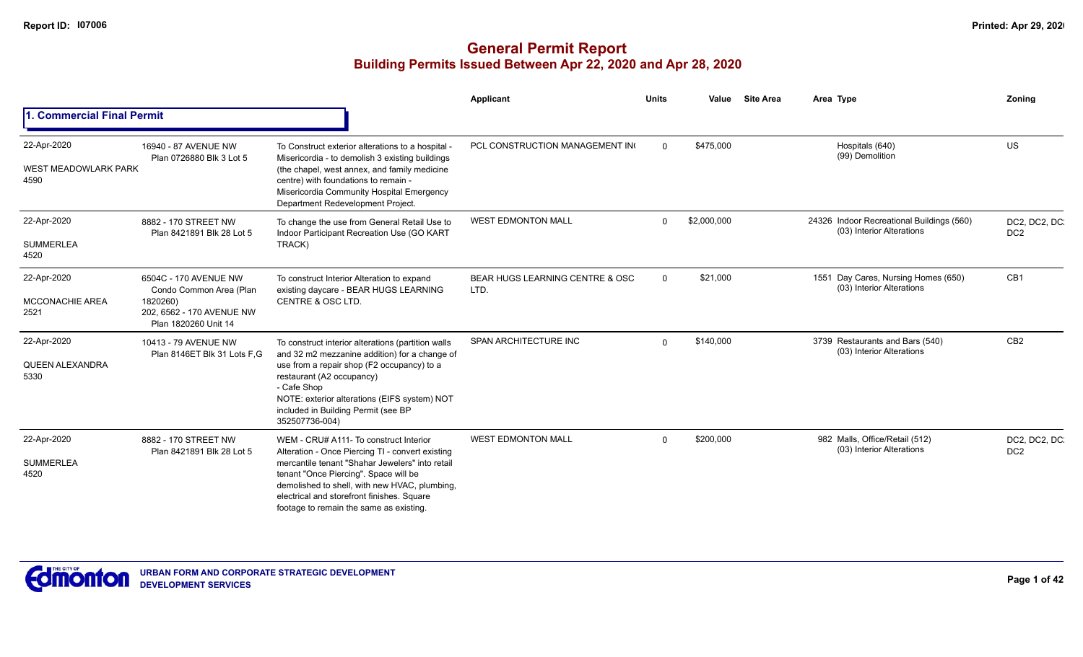|                                                    |                                                                                                                   |                                                                                                                                                                                                                                                                                                                                  | Applicant                               | <b>Units</b> | Value       | <b>Site Area</b> | Area Type                                                              | Zonina                           |
|----------------------------------------------------|-------------------------------------------------------------------------------------------------------------------|----------------------------------------------------------------------------------------------------------------------------------------------------------------------------------------------------------------------------------------------------------------------------------------------------------------------------------|-----------------------------------------|--------------|-------------|------------------|------------------------------------------------------------------------|----------------------------------|
| 1. Commercial Final Permit                         |                                                                                                                   |                                                                                                                                                                                                                                                                                                                                  |                                         |              |             |                  |                                                                        |                                  |
| 22-Apr-2020<br><b>WEST MEADOWLARK PARK</b><br>4590 | 16940 - 87 AVENUE NW<br>Plan 0726880 Blk 3 Lot 5                                                                  | To Construct exterior alterations to a hospital -<br>Misericordia - to demolish 3 existing buildings<br>(the chapel, west annex, and family medicine<br>centre) with foundations to remain -<br>Misericordia Community Hospital Emergency<br>Department Redevelopment Project.                                                   | PCL CONSTRUCTION MANAGEMENT IN          | $\Omega$     | \$475,000   |                  | Hospitals (640)<br>(99) Demolition                                     | <b>US</b>                        |
| 22-Apr-2020<br><b>SUMMERLEA</b><br>4520            | 8882 - 170 STREET NW<br>Plan 8421891 Blk 28 Lot 5                                                                 | To change the use from General Retail Use to<br>Indoor Participant Recreation Use (GO KART<br>TRACK)                                                                                                                                                                                                                             | <b>WEST EDMONTON MALL</b>               | $\Omega$     | \$2,000,000 |                  | 24326 Indoor Recreational Buildings (560)<br>(03) Interior Alterations | DC2, DC2, DC.<br>DC <sub>2</sub> |
| 22-Apr-2020<br><b>MCCONACHIE AREA</b><br>2521      | 6504C - 170 AVENUE NW<br>Condo Common Area (Plan<br>1820260)<br>202, 6562 - 170 AVENUE NW<br>Plan 1820260 Unit 14 | To construct Interior Alteration to expand<br>existing daycare - BEAR HUGS LEARNING<br>CENTRE & OSC LTD.                                                                                                                                                                                                                         | BEAR HUGS LEARNING CENTRE & OSC<br>LTD. | $\Omega$     | \$21,000    |                  | 1551 Day Cares, Nursing Homes (650)<br>(03) Interior Alterations       | CB <sub>1</sub>                  |
| 22-Apr-2020<br><b>QUEEN ALEXANDRA</b><br>5330      | 10413 - 79 AVENUE NW<br>Plan 8146ET Blk 31 Lots F.G                                                               | To construct interior alterations (partition walls<br>and 32 m2 mezzanine addition) for a change of<br>use from a repair shop (F2 occupancy) to a<br>restaurant (A2 occupancy)<br>- Cafe Shop<br>NOTE: exterior alterations (EIFS system) NOT<br>included in Building Permit (see BP<br>352507736-004)                           | SPAN ARCHITECTURE INC                   | $\Omega$     | \$140,000   |                  | 3739 Restaurants and Bars (540)<br>(03) Interior Alterations           | CB <sub>2</sub>                  |
| 22-Apr-2020<br><b>SUMMERLEA</b><br>4520            | 8882 - 170 STREET NW<br>Plan 8421891 Blk 28 Lot 5                                                                 | WEM - CRU# A111- To construct Interior<br>Alteration - Once Piercing TI - convert existing<br>mercantile tenant "Shahar Jewelers" into retail<br>tenant "Once Piercing". Space will be<br>demolished to shell, with new HVAC, plumbing,<br>electrical and storefront finishes. Square<br>footage to remain the same as existing. | <b>WEST EDMONTON MALL</b>               | $\Omega$     | \$200,000   |                  | 982 Malls, Office/Retail (512)<br>(03) Interior Alterations            | DC2, DC2, DC.<br>DC <sub>2</sub> |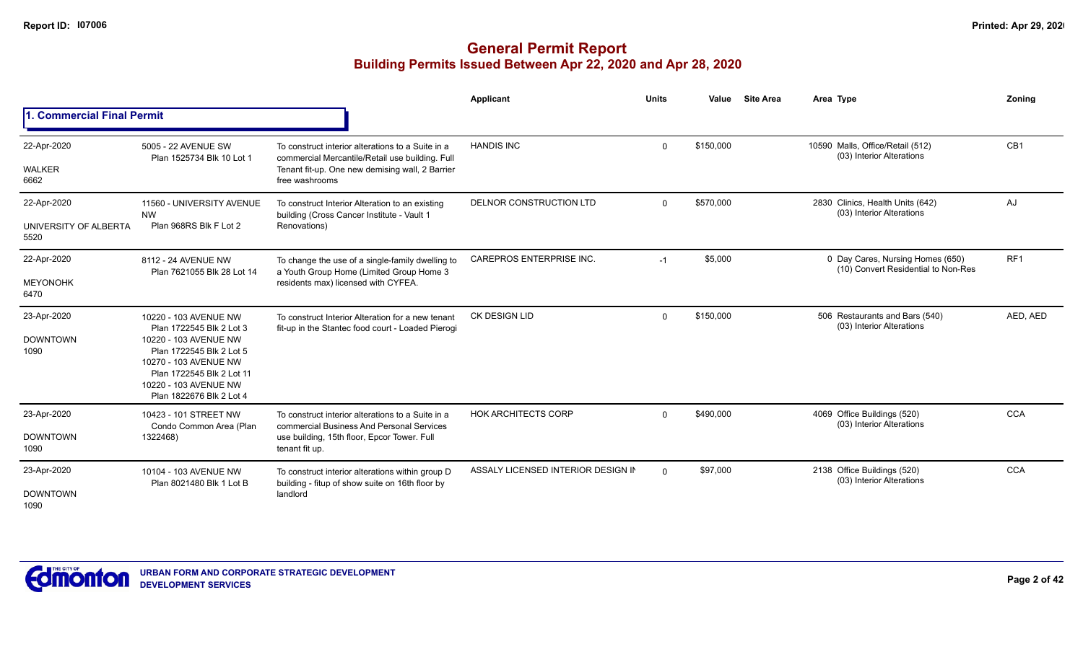|                                              |                                                                                                                                                                                                                   |                                                                                                                                                                           | Applicant                          | <b>Units</b> | Value     | <b>Site Area</b> | Area Type                                                               | Zonina          |
|----------------------------------------------|-------------------------------------------------------------------------------------------------------------------------------------------------------------------------------------------------------------------|---------------------------------------------------------------------------------------------------------------------------------------------------------------------------|------------------------------------|--------------|-----------|------------------|-------------------------------------------------------------------------|-----------------|
| 1. Commercial Final Permit                   |                                                                                                                                                                                                                   |                                                                                                                                                                           |                                    |              |           |                  |                                                                         |                 |
| 22-Apr-2020<br><b>WALKER</b><br>6662         | 5005 - 22 AVENUE SW<br>Plan 1525734 Blk 10 Lot 1                                                                                                                                                                  | To construct interior alterations to a Suite in a<br>commercial Mercantile/Retail use building. Full<br>Tenant fit-up. One new demising wall, 2 Barrier<br>free washrooms | <b>HANDIS INC</b>                  | $\Omega$     | \$150,000 |                  | 10590 Malls, Office/Retail (512)<br>(03) Interior Alterations           | CB <sub>1</sub> |
| 22-Apr-2020<br>UNIVERSITY OF ALBERTA<br>5520 | 11560 - UNIVERSITY AVENUE<br><b>NW</b><br>Plan 968RS Blk F Lot 2                                                                                                                                                  | To construct Interior Alteration to an existing<br>building (Cross Cancer Institute - Vault 1<br>Renovations)                                                             | DELNOR CONSTRUCTION LTD            | $\Omega$     | \$570,000 |                  | 2830 Clinics, Health Units (642)<br>(03) Interior Alterations           | AJ              |
| 22-Apr-2020<br><b>MEYONOHK</b><br>6470       | 8112 - 24 AVENUE NW<br>Plan 7621055 Blk 28 Lot 14                                                                                                                                                                 | To change the use of a single-family dwelling to<br>a Youth Group Home (Limited Group Home 3<br>residents max) licensed with CYFEA.                                       | <b>CAREPROS ENTERPRISE INC.</b>    | -1           | \$5,000   |                  | 0 Day Cares, Nursing Homes (650)<br>(10) Convert Residential to Non-Res | RF <sub>1</sub> |
| 23-Apr-2020<br><b>DOWNTOWN</b><br>1090       | 10220 - 103 AVENUE NW<br>Plan 1722545 Blk 2 Lot 3<br>10220 - 103 AVENUE NW<br>Plan 1722545 Blk 2 Lot 5<br>10270 - 103 AVENUE NW<br>Plan 1722545 Blk 2 Lot 11<br>10220 - 103 AVENUE NW<br>Plan 1822676 Blk 2 Lot 4 | To construct Interior Alteration for a new tenant<br>fit-up in the Stantec food court - Loaded Pierogi                                                                    | <b>CK DESIGN LID</b>               | $\Omega$     | \$150,000 |                  | 506 Restaurants and Bars (540)<br>(03) Interior Alterations             | AED, AED        |
| 23-Apr-2020<br><b>DOWNTOWN</b><br>1090       | 10423 - 101 STREET NW<br>Condo Common Area (Plan<br>1322468)                                                                                                                                                      | To construct interior alterations to a Suite in a<br>commercial Business And Personal Services<br>use building, 15th floor, Epcor Tower. Full<br>tenant fit up.           | <b>HOK ARCHITECTS CORP</b>         | $\Omega$     | \$490,000 |                  | 4069 Office Buildings (520)<br>(03) Interior Alterations                | <b>CCA</b>      |
| 23-Apr-2020<br><b>DOWNTOWN</b><br>1090       | 10104 - 103 AVENUE NW<br>Plan 8021480 Blk 1 Lot B                                                                                                                                                                 | To construct interior alterations within group D<br>building - fitup of show suite on 16th floor by<br>landlord                                                           | ASSALY LICENSED INTERIOR DESIGN IN | $\Omega$     | \$97,000  |                  | 2138 Office Buildings (520)<br>(03) Interior Alterations                | <b>CCA</b>      |

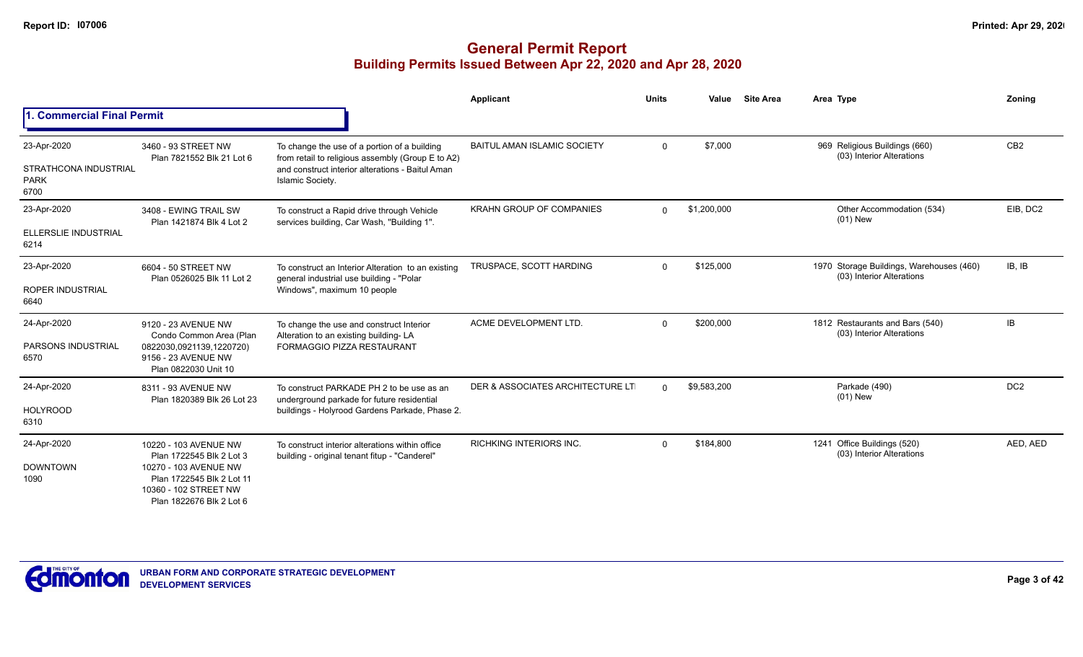|                                                             |                                                                                                                                                              |                                                                                                                                                                           | Applicant                          | <b>Units</b> | Value       | <b>Site Area</b> | Area Type                                                             | Zoning          |
|-------------------------------------------------------------|--------------------------------------------------------------------------------------------------------------------------------------------------------------|---------------------------------------------------------------------------------------------------------------------------------------------------------------------------|------------------------------------|--------------|-------------|------------------|-----------------------------------------------------------------------|-----------------|
| 1. Commercial Final Permit                                  |                                                                                                                                                              |                                                                                                                                                                           |                                    |              |             |                  |                                                                       |                 |
| 23-Apr-2020<br>STRATHCONA INDUSTRIAL<br><b>PARK</b><br>6700 | 3460 - 93 STREET NW<br>Plan 7821552 Blk 21 Lot 6                                                                                                             | To change the use of a portion of a building<br>from retail to religious assembly (Group E to A2)<br>and construct interior alterations - Baitul Aman<br>Islamic Society. | <b>BAITUL AMAN ISLAMIC SOCIETY</b> | $\Omega$     | \$7,000     |                  | 969 Religious Buildings (660)<br>(03) Interior Alterations            | CB <sub>2</sub> |
| 23-Apr-2020<br>ELLERSLIE INDUSTRIAL<br>6214                 | 3408 - EWING TRAIL SW<br>Plan 1421874 Blk 4 Lot 2                                                                                                            | To construct a Rapid drive through Vehicle<br>services building, Car Wash, "Building 1".                                                                                  | <b>KRAHN GROUP OF COMPANIES</b>    | 0            | \$1,200,000 |                  | Other Accommodation (534)<br>$(01)$ New                               | EIB, DC2        |
| 23-Apr-2020<br><b>ROPER INDUSTRIAL</b><br>6640              | 6604 - 50 STREET NW<br>Plan 0526025 Blk 11 Lot 2                                                                                                             | To construct an Interior Alteration to an existing<br>general industrial use building - "Polar<br>Windows", maximum 10 people                                             | TRUSPACE, SCOTT HARDING            | $\Omega$     | \$125,000   |                  | 1970 Storage Buildings, Warehouses (460)<br>(03) Interior Alterations | IB, IB          |
| 24-Apr-2020<br>PARSONS INDUSTRIAL<br>6570                   | 9120 - 23 AVENUE NW<br>Condo Common Area (Plan<br>0822030,0921139,1220720)<br>9156 - 23 AVENUE NW<br>Plan 0822030 Unit 10                                    | To change the use and construct Interior<br>Alteration to an existing building-LA<br><b>FORMAGGIO PIZZA RESTAURANT</b>                                                    | ACME DEVELOPMENT LTD.              | $\Omega$     | \$200,000   |                  | 1812 Restaurants and Bars (540)<br>(03) Interior Alterations          | IB              |
| 24-Apr-2020<br><b>HOLYROOD</b><br>6310                      | 8311 - 93 AVENUE NW<br>Plan 1820389 Blk 26 Lot 23                                                                                                            | To construct PARKADE PH 2 to be use as an<br>underground parkade for future residential<br>buildings - Holyrood Gardens Parkade, Phase 2.                                 | DER & ASSOCIATES ARCHITECTURE LT   | $\Omega$     | \$9,583,200 |                  | Parkade (490)<br>$(01)$ New                                           | DC <sub>2</sub> |
| 24-Apr-2020<br><b>DOWNTOWN</b><br>1090                      | 10220 - 103 AVENUE NW<br>Plan 1722545 Blk 2 Lot 3<br>10270 - 103 AVENUE NW<br>Plan 1722545 Blk 2 Lot 11<br>10360 - 102 STREET NW<br>Plan 1822676 Blk 2 Lot 6 | To construct interior alterations within office<br>building - original tenant fitup - "Canderel"                                                                          | <b>RICHKING INTERIORS INC.</b>     | $\Omega$     | \$184,800   |                  | 1241 Office Buildings (520)<br>(03) Interior Alterations              | AED, AED        |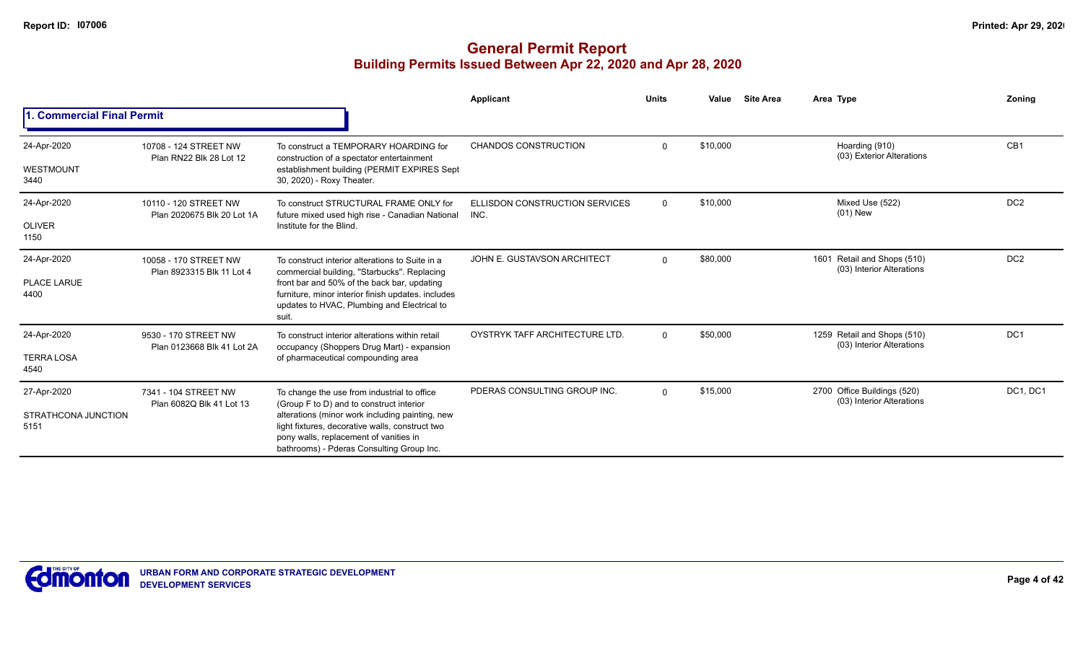|                                            |                                                     |                                                                                                                                                                                                                                                                                      | <b>Applicant</b>                      | <b>Units</b> | Value    | <b>Site Area</b> | Area Type                                                | Zoning          |
|--------------------------------------------|-----------------------------------------------------|--------------------------------------------------------------------------------------------------------------------------------------------------------------------------------------------------------------------------------------------------------------------------------------|---------------------------------------|--------------|----------|------------------|----------------------------------------------------------|-----------------|
| 1. Commercial Final Permit                 |                                                     |                                                                                                                                                                                                                                                                                      |                                       |              |          |                  |                                                          |                 |
| 24-Apr-2020<br>WESTMOUNT<br>3440           | 10708 - 124 STREET NW<br>Plan RN22 Blk 28 Lot 12    | To construct a TEMPORARY HOARDING for<br>construction of a spectator entertainment<br>establishment building (PERMIT EXPIRES Sept<br>30, 2020) - Roxy Theater.                                                                                                                       | <b>CHANDOS CONSTRUCTION</b>           | $\Omega$     | \$10,000 |                  | Hoarding (910)<br>(03) Exterior Alterations              | CB1             |
| 24-Apr-2020<br><b>OLIVER</b><br>1150       | 10110 - 120 STREET NW<br>Plan 2020675 Blk 20 Lot 1A | To construct STRUCTURAL FRAME ONLY for<br>future mixed used high rise - Canadian National INC.<br>Institute for the Blind.                                                                                                                                                           | <b>ELLISDON CONSTRUCTION SERVICES</b> | $\Omega$     | \$10,000 |                  | Mixed Use (522)<br>$(01)$ New                            | DC <sub>2</sub> |
| 24-Apr-2020<br><b>PLACE LARUE</b><br>4400  | 10058 - 170 STREET NW<br>Plan 8923315 Blk 11 Lot 4  | To construct interior alterations to Suite in a<br>commercial building, "Starbucks". Replacing<br>front bar and 50% of the back bar, updating<br>furniture, minor interior finish updates. includes<br>updates to HVAC, Plumbing and Electrical to<br>suit.                          | JOHN E. GUSTAVSON ARCHITECT           | $\Omega$     | \$80,000 |                  | 1601 Retail and Shops (510)<br>(03) Interior Alterations | DC <sub>2</sub> |
| 24-Apr-2020<br><b>TERRA LOSA</b><br>4540   | 9530 - 170 STREET NW<br>Plan 0123668 Blk 41 Lot 2A  | To construct interior alterations within retail<br>occupancy (Shoppers Drug Mart) - expansion<br>of pharmaceutical compounding area                                                                                                                                                  | OYSTRYK TAFF ARCHITECTURE LTD.        | $\Omega$     | \$50,000 |                  | 1259 Retail and Shops (510)<br>(03) Interior Alterations | DC <sub>1</sub> |
| 27-Apr-2020<br>STRATHCONA JUNCTION<br>5151 | 7341 - 104 STREET NW<br>Plan 6082Q Blk 41 Lot 13    | To change the use from industrial to office<br>(Group F to D) and to construct interior<br>alterations (minor work including painting, new<br>light fixtures, decorative walls, construct two<br>pony walls, replacement of vanities in<br>bathrooms) - Pderas Consulting Group Inc. | PDERAS CONSULTING GROUP INC.          | $\Omega$     | \$15,000 |                  | 2700 Office Buildings (520)<br>(03) Interior Alterations | DC1, DC1        |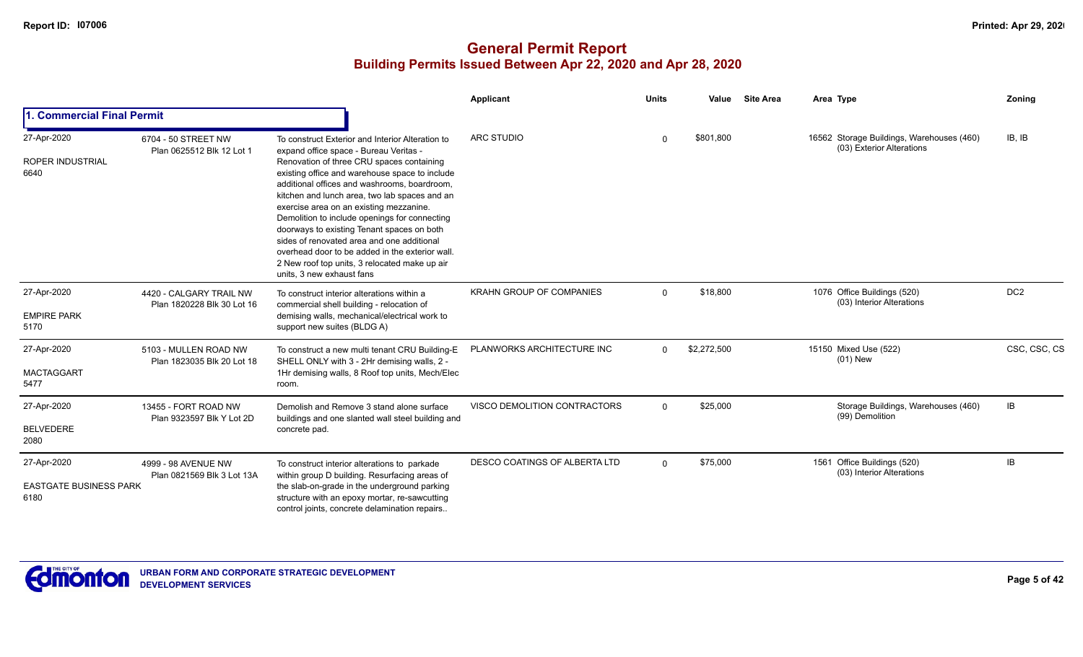|                                                      |                                                       |                                                                                                                                                                                                                                                                                                                                                                                                                                                                                                                                                                 | <b>Applicant</b>                | <b>Units</b> | Value       | <b>Site Area</b> | Area Type                                                              | Zoning          |
|------------------------------------------------------|-------------------------------------------------------|-----------------------------------------------------------------------------------------------------------------------------------------------------------------------------------------------------------------------------------------------------------------------------------------------------------------------------------------------------------------------------------------------------------------------------------------------------------------------------------------------------------------------------------------------------------------|---------------------------------|--------------|-------------|------------------|------------------------------------------------------------------------|-----------------|
| 1. Commercial Final Permit                           |                                                       |                                                                                                                                                                                                                                                                                                                                                                                                                                                                                                                                                                 |                                 |              |             |                  |                                                                        |                 |
| 27-Apr-2020                                          | 6704 - 50 STREET NW                                   | To construct Exterior and Interior Alteration to                                                                                                                                                                                                                                                                                                                                                                                                                                                                                                                | <b>ARC STUDIO</b>               | \$801,800    |             |                  | 16562 Storage Buildings, Warehouses (460)<br>(03) Exterior Alterations | IB, IB          |
| <b>ROPER INDUSTRIAL</b><br>6640                      | Plan 0625512 Blk 12 Lot 1                             | expand office space - Bureau Veritas -<br>Renovation of three CRU spaces containing<br>existing office and warehouse space to include<br>additional offices and washrooms, boardroom,<br>kitchen and lunch area, two lab spaces and an<br>exercise area on an existing mezzanine.<br>Demolition to include openings for connecting<br>doorways to existing Tenant spaces on both<br>sides of renovated area and one additional<br>overhead door to be added in the exterior wall.<br>2 New roof top units, 3 relocated make up air<br>units. 3 new exhaust fans |                                 |              |             |                  |                                                                        |                 |
| 27-Apr-2020<br><b>EMPIRE PARK</b><br>5170            | 4420 - CALGARY TRAIL NW<br>Plan 1820228 Blk 30 Lot 16 | To construct interior alterations within a<br>commercial shell building - relocation of<br>demising walls, mechanical/electrical work to<br>support new suites (BLDG A)                                                                                                                                                                                                                                                                                                                                                                                         | <b>KRAHN GROUP OF COMPANIES</b> | $\mathbf 0$  | \$18,800    |                  | 1076 Office Buildings (520)<br>(03) Interior Alterations               | DC <sub>2</sub> |
| 27-Apr-2020<br><b>MACTAGGART</b><br>5477             | 5103 - MULLEN ROAD NW<br>Plan 1823035 Blk 20 Lot 18   | To construct a new multi tenant CRU Building-E<br>SHELL ONLY with 3 - 2Hr demising walls, 2 -<br>1Hr demising walls, 8 Roof top units, Mech/Elec<br>room.                                                                                                                                                                                                                                                                                                                                                                                                       | PLANWORKS ARCHITECTURE INC      | $\Omega$     | \$2,272,500 |                  | 15150 Mixed Use (522)<br>$(01)$ New                                    | CSC, CSC, CS    |
| 27-Apr-2020<br><b>BELVEDERE</b><br>2080              | 13455 - FORT ROAD NW<br>Plan 9323597 Blk Y Lot 2D     | Demolish and Remove 3 stand alone surface<br>buildings and one slanted wall steel building and<br>concrete pad.                                                                                                                                                                                                                                                                                                                                                                                                                                                 | VISCO DEMOLITION CONTRACTORS    | $\Omega$     | \$25,000    |                  | Storage Buildings, Warehouses (460)<br>(99) Demolition                 | IB              |
| 27-Apr-2020<br><b>EASTGATE BUSINESS PARK</b><br>6180 | 4999 - 98 AVENUE NW<br>Plan 0821569 Blk 3 Lot 13A     | To construct interior alterations to parkade<br>within group D building. Resurfacing areas of<br>the slab-on-grade in the underground parking<br>structure with an epoxy mortar, re-sawcutting<br>control joints, concrete delamination repairs                                                                                                                                                                                                                                                                                                                 | DESCO COATINGS OF ALBERTA LTD   | $\Omega$     | \$75,000    |                  | 1561 Office Buildings (520)<br>(03) Interior Alterations               | IB              |

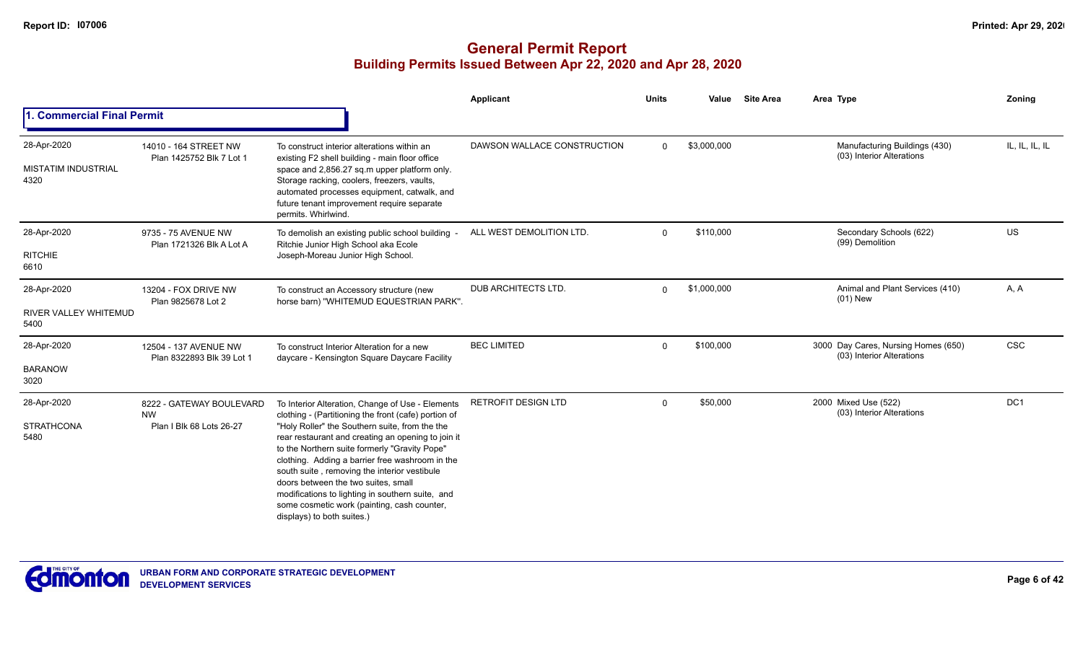|                                                   |                                                                   |                                                                                                                                                                                                                                                                                                                                                                                                                                                                                                                                              | Applicant                   | <b>Units</b> | Value       | <b>Site Area</b> | Area Type                                                        | <b>Zoning</b>  |
|---------------------------------------------------|-------------------------------------------------------------------|----------------------------------------------------------------------------------------------------------------------------------------------------------------------------------------------------------------------------------------------------------------------------------------------------------------------------------------------------------------------------------------------------------------------------------------------------------------------------------------------------------------------------------------------|-----------------------------|--------------|-------------|------------------|------------------------------------------------------------------|----------------|
| 1. Commercial Final Permit                        |                                                                   |                                                                                                                                                                                                                                                                                                                                                                                                                                                                                                                                              |                             |              |             |                  |                                                                  |                |
| 28-Apr-2020<br><b>MISTATIM INDUSTRIAL</b><br>4320 | 14010 - 164 STREET NW<br>Plan 1425752 Blk 7 Lot 1                 | To construct interior alterations within an<br>existing F2 shell building - main floor office<br>space and 2,856.27 sq.m upper platform only.<br>Storage racking, coolers, freezers, vaults,<br>automated processes equipment, catwalk, and<br>future tenant improvement require separate<br>permits. Whirlwind.                                                                                                                                                                                                                             | DAWSON WALLACE CONSTRUCTION | $\Omega$     | \$3,000,000 |                  | Manufacturing Buildings (430)<br>(03) Interior Alterations       | IL, IL, IL, IL |
| 28-Apr-2020<br><b>RITCHIE</b><br>6610             | 9735 - 75 AVENUE NW<br>Plan 1721326 Blk A Lot A                   | To demolish an existing public school building<br>Ritchie Junior High School aka Ecole<br>Joseph-Moreau Junior High School.                                                                                                                                                                                                                                                                                                                                                                                                                  | ALL WEST DEMOLITION LTD.    | $\Omega$     | \$110,000   |                  | Secondary Schools (622)<br>(99) Demolition                       | US             |
| 28-Apr-2020<br>RIVER VALLEY WHITEMUD<br>5400      | 13204 - FOX DRIVE NW<br>Plan 9825678 Lot 2                        | To construct an Accessory structure (new<br>horse barn) "WHITEMUD EQUESTRIAN PARK".                                                                                                                                                                                                                                                                                                                                                                                                                                                          | <b>DUB ARCHITECTS LTD.</b>  | $\Omega$     | \$1,000,000 |                  | Animal and Plant Services (410)<br>$(01)$ New                    | A, A           |
| 28-Apr-2020<br><b>BARANOW</b><br>3020             | 12504 - 137 AVENUE NW<br>Plan 8322893 Blk 39 Lot 1                | To construct Interior Alteration for a new<br>daycare - Kensington Square Daycare Facility                                                                                                                                                                                                                                                                                                                                                                                                                                                   | <b>BEC LIMITED</b>          | $\mathbf 0$  | \$100,000   |                  | 3000 Day Cares, Nursing Homes (650)<br>(03) Interior Alterations | <b>CSC</b>     |
| 28-Apr-2020<br><b>STRATHCONA</b><br>5480          | 8222 - GATEWAY BOULEVARD<br><b>NW</b><br>Plan I Blk 68 Lots 26-27 | To Interior Alteration, Change of Use - Elements<br>clothing - (Partitioning the front (cafe) portion of<br>"Holy Roller" the Southern suite, from the the<br>rear restaurant and creating an opening to join it<br>to the Northern suite formerly "Gravity Pope"<br>clothing. Adding a barrier free washroom in the<br>south suite, removing the interior vestibule<br>doors between the two suites, small<br>modifications to lighting in southern suite, and<br>some cosmetic work (painting, cash counter,<br>displays) to both suites.) | <b>RETROFIT DESIGN LTD</b>  | $\Omega$     | \$50,000    |                  | 2000 Mixed Use (522)<br>(03) Interior Alterations                | DC1            |

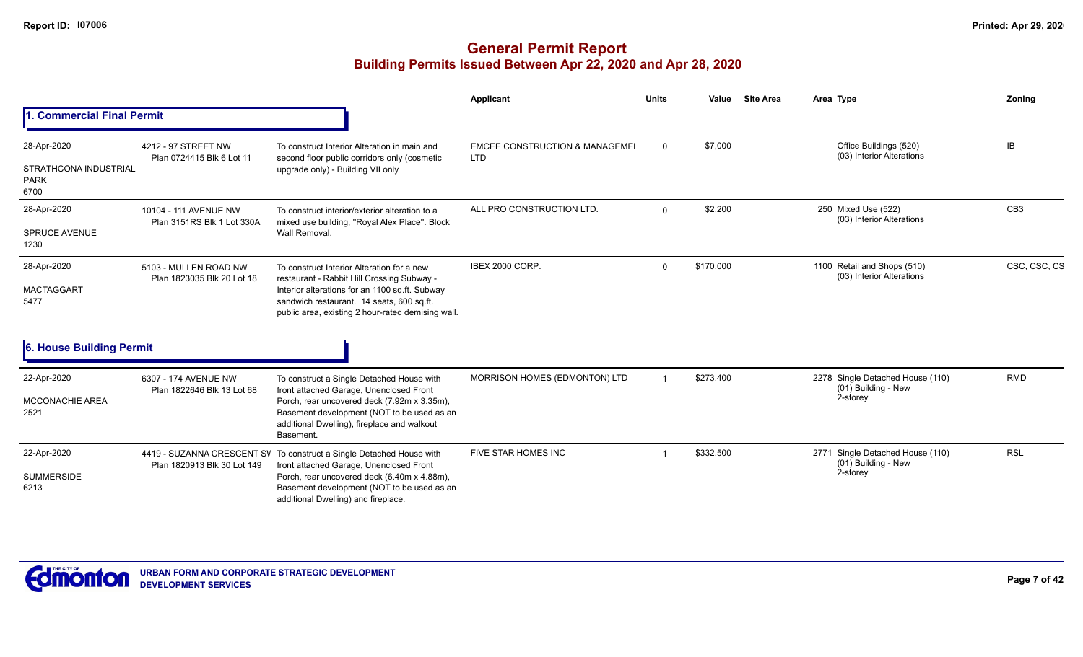|                                              |                                                     |                                                                                                                                                                                                  | <b>Applicant</b>                          | <b>Units</b> | Value     | <b>Site Area</b> | Area Type                                                | Zoning          |
|----------------------------------------------|-----------------------------------------------------|--------------------------------------------------------------------------------------------------------------------------------------------------------------------------------------------------|-------------------------------------------|--------------|-----------|------------------|----------------------------------------------------------|-----------------|
| <b>Commercial Final Permit</b>               |                                                     |                                                                                                                                                                                                  |                                           |              |           |                  |                                                          |                 |
| 28-Apr-2020                                  | 4212 - 97 STREET NW                                 | To construct Interior Alteration in main and                                                                                                                                                     | <b>EMCEE CONSTRUCTION &amp; MANAGEMEI</b> | $\Omega$     | \$7,000   |                  | Office Buildings (520)<br>(03) Interior Alterations      | IB              |
| STRATHCONA INDUSTRIAL<br><b>PARK</b><br>6700 | Plan 0724415 Blk 6 Lot 11                           | second floor public corridors only (cosmetic<br>upgrade only) - Building VII only                                                                                                                | <b>LTD</b>                                |              |           |                  |                                                          |                 |
| 28-Apr-2020                                  | 10104 - 111 AVENUE NW<br>Plan 3151RS Blk 1 Lot 330A | To construct interior/exterior alteration to a<br>mixed use building, "Royal Alex Place". Block                                                                                                  | ALL PRO CONSTRUCTION LTD.                 | 0            | \$2,200   |                  | 250 Mixed Use (522)<br>(03) Interior Alterations         | CB <sub>3</sub> |
| <b>SPRUCE AVENUE</b><br>1230                 |                                                     | Wall Removal.                                                                                                                                                                                    |                                           |              |           |                  |                                                          |                 |
| 28-Apr-2020                                  | 5103 - MULLEN ROAD NW<br>Plan 1823035 Blk 20 Lot 18 | To construct Interior Alteration for a new<br>restaurant - Rabbit Hill Crossing Subway -                                                                                                         | IBEX 2000 CORP.                           | $\Omega$     | \$170,000 |                  | 1100 Retail and Shops (510)<br>(03) Interior Alterations | CSC, CSC, CS    |
| <b>MACTAGGART</b><br>5477                    |                                                     | Interior alterations for an 1100 sq.ft. Subway<br>sandwich restaurant. 14 seats, 600 sq.ft.<br>public area, existing 2 hour-rated demising wall.                                                 |                                           |              |           |                  |                                                          |                 |
| 6. House Building Permit                     |                                                     |                                                                                                                                                                                                  |                                           |              |           |                  |                                                          |                 |
| 22-Apr-2020                                  | 6307 - 174 AVENUE NW                                | To construct a Single Detached House with                                                                                                                                                        | MORRISON HOMES (EDMONTON) LTD             |              | \$273,400 |                  | 2278 Single Detached House (110)<br>(01) Building - New  | <b>RMD</b>      |
| <b>MCCONACHIE AREA</b><br>2521               | Plan 1822646 Blk 13 Lot 68                          | front attached Garage, Unenclosed Front<br>Porch, rear uncovered deck (7.92m x 3.35m),<br>Basement development (NOT to be used as an<br>additional Dwelling), fireplace and walkout<br>Basement. |                                           |              |           |                  | 2-storey                                                 |                 |
| 22-Apr-2020                                  | Plan 1820913 Blk 30 Lot 149                         | 4419 - SUZANNA CRESCENT SV To construct a Single Detached House with<br>front attached Garage, Unenclosed Front                                                                                  | FIVE STAR HOMES INC                       |              | \$332,500 |                  | 2771 Single Detached House (110)<br>(01) Building - New  | <b>RSL</b>      |
| <b>SUMMERSIDE</b><br>6213                    |                                                     | Porch, rear uncovered deck (6.40m x 4.88m),<br>Basement development (NOT to be used as an<br>additional Dwelling) and fireplace.                                                                 |                                           |              |           |                  | 2-storey                                                 |                 |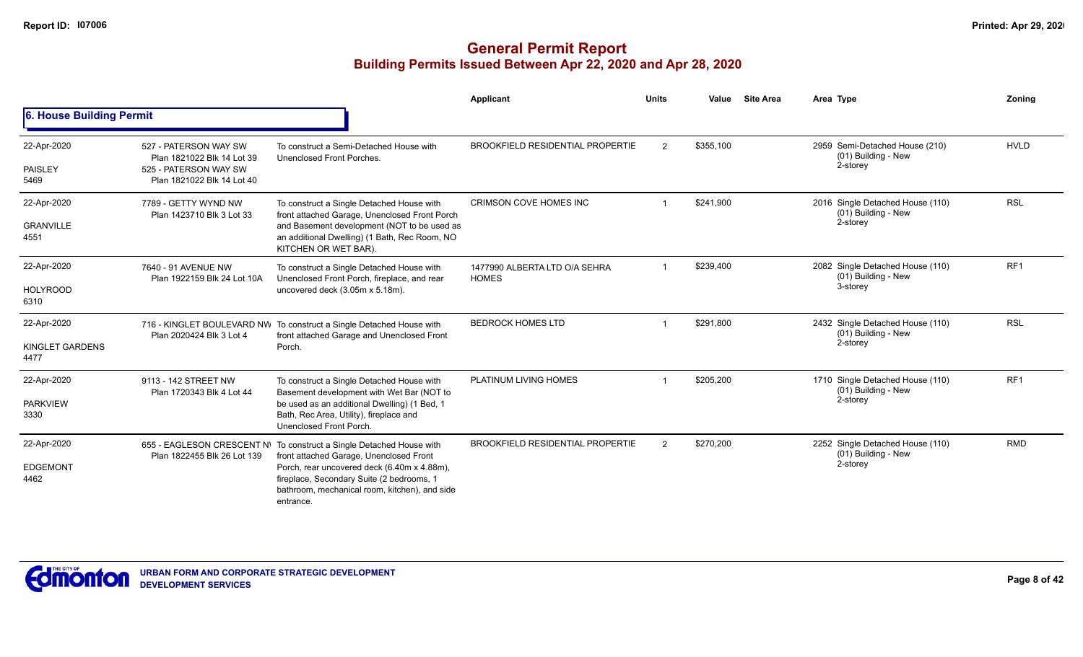|                                         |                                                                                                            |                                                                                                                                                                                                                                                                           | Applicant                                     | <b>Units</b>  | Value     | <b>Site Area</b> | Area Type                                                             | Zonina          |
|-----------------------------------------|------------------------------------------------------------------------------------------------------------|---------------------------------------------------------------------------------------------------------------------------------------------------------------------------------------------------------------------------------------------------------------------------|-----------------------------------------------|---------------|-----------|------------------|-----------------------------------------------------------------------|-----------------|
| 6. House Building Permit                |                                                                                                            |                                                                                                                                                                                                                                                                           |                                               |               |           |                  |                                                                       |                 |
| 22-Apr-2020<br><b>PAISLEY</b><br>5469   | 527 - PATERSON WAY SW<br>Plan 1821022 Blk 14 Lot 39<br>525 - PATERSON WAY SW<br>Plan 1821022 Blk 14 Lot 40 | To construct a Semi-Detached House with<br>Unenclosed Front Porches.                                                                                                                                                                                                      | <b>BROOKFIELD RESIDENTIAL PROPERTIE</b>       | $\mathcal{P}$ | \$355,100 |                  | 2959 Semi-Detached House (210)<br>(01) Building - New<br>2-storey     | <b>HVLD</b>     |
| 22-Apr-2020<br><b>GRANVILLE</b><br>4551 | 7789 - GETTY WYND NW<br>Plan 1423710 Blk 3 Lot 33                                                          | To construct a Single Detached House with<br>front attached Garage, Unenclosed Front Porch<br>and Basement development (NOT to be used as<br>an additional Dwelling) (1 Bath, Rec Room, NO<br>KITCHEN OR WET BAR).                                                        | CRIMSON COVE HOMES INC                        |               | \$241.900 |                  | 2016 Single Detached House (110)<br>(01) Building - New<br>2-storey   | <b>RSL</b>      |
| 22-Apr-2020<br><b>HOLYROOD</b><br>6310  | 7640 - 91 AVENUE NW<br>Plan 1922159 Blk 24 Lot 10A                                                         | To construct a Single Detached House with<br>Unenclosed Front Porch, fireplace, and rear<br>uncovered deck (3.05m x 5.18m).                                                                                                                                               | 1477990 ALBERTA LTD O/A SEHRA<br><b>HOMES</b> |               | \$239,400 |                  | 2082 Single Detached House (110)<br>$(01)$ Building - New<br>3-storey | RF <sub>1</sub> |
| 22-Apr-2020<br>KINGLET GARDENS<br>4477  | Plan 2020424 Blk 3 Lot 4                                                                                   | 716 - KINGLET BOULEVARD NW To construct a Single Detached House with<br>front attached Garage and Unenclosed Front<br>Porch.                                                                                                                                              | <b>BEDROCK HOMES LTD</b>                      |               | \$291,800 |                  | 2432 Single Detached House (110)<br>(01) Building - New<br>2-storey   | <b>RSL</b>      |
| 22-Apr-2020<br><b>PARKVIEW</b><br>3330  | 9113 - 142 STREET NW<br>Plan 1720343 Blk 4 Lot 44                                                          | To construct a Single Detached House with<br>Basement development with Wet Bar (NOT to<br>be used as an additional Dwelling) (1 Bed, 1<br>Bath, Rec Area, Utility), fireplace and<br>Unenclosed Front Porch.                                                              | PLATINUM LIVING HOMES                         |               | \$205,200 |                  | 1710 Single Detached House (110)<br>$(01)$ Building - New<br>2-storey | RF <sub>1</sub> |
| 22-Apr-2020<br><b>EDGEMONT</b><br>4462  | Plan 1822455 Blk 26 Lot 139                                                                                | 655 - EAGLESON CRESCENT N\ To construct a Single Detached House with<br>front attached Garage, Unenclosed Front<br>Porch, rear uncovered deck (6.40m x 4.88m),<br>fireplace, Secondary Suite (2 bedrooms, 1<br>bathroom, mechanical room, kitchen), and side<br>entrance. | <b>BROOKFIELD RESIDENTIAL PROPERTIE</b>       | $\mathcal{P}$ | \$270,200 |                  | 2252 Single Detached House (110)<br>(01) Building - New<br>2-storey   | <b>RMD</b>      |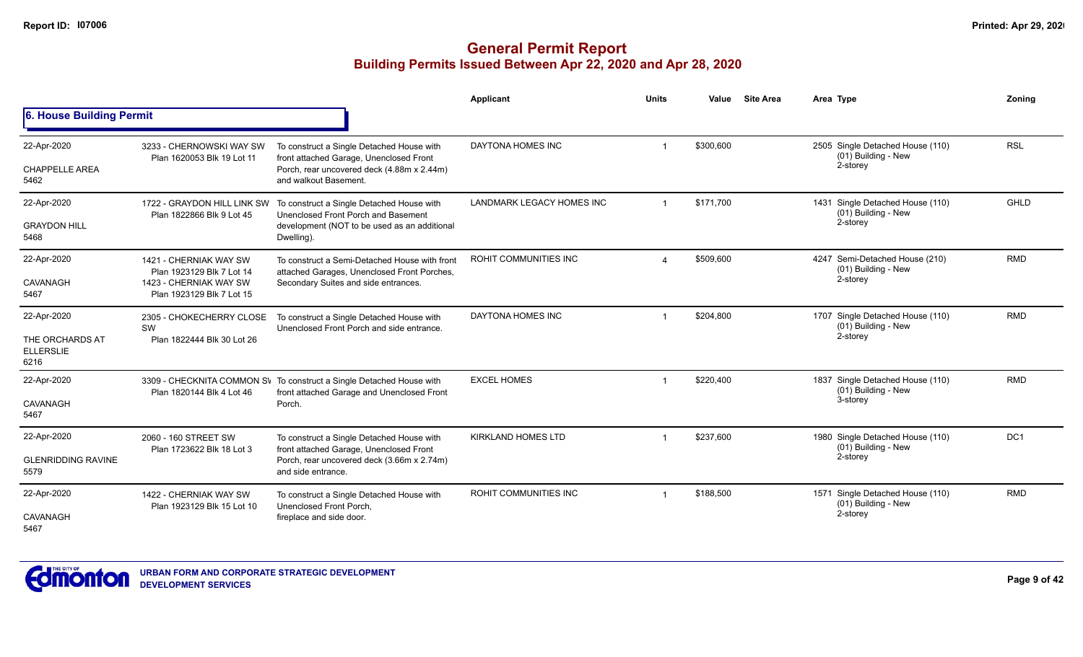|                                                            |                                                                                                            |                                                                                                                                                             | <b>Applicant</b>                 | <b>Units</b> | Value     | <b>Site Area</b> | Area Type                                                           | Zoning          |
|------------------------------------------------------------|------------------------------------------------------------------------------------------------------------|-------------------------------------------------------------------------------------------------------------------------------------------------------------|----------------------------------|--------------|-----------|------------------|---------------------------------------------------------------------|-----------------|
| 6. House Building Permit                                   |                                                                                                            |                                                                                                                                                             |                                  |              |           |                  |                                                                     |                 |
| 22-Apr-2020<br><b>CHAPPELLE AREA</b><br>5462               | 3233 - CHERNOWSKI WAY SW<br>Plan 1620053 Blk 19 Lot 11                                                     | To construct a Single Detached House with<br>front attached Garage, Unenclosed Front<br>Porch, rear uncovered deck (4.88m x 2.44m)<br>and walkout Basement. | DAYTONA HOMES INC                |              | \$300,600 |                  | 2505 Single Detached House (110)<br>(01) Building - New<br>2-storey | <b>RSL</b>      |
| 22-Apr-2020<br><b>GRAYDON HILL</b><br>5468                 | 1722 - GRAYDON HILL LINK SW<br>Plan 1822866 Blk 9 Lot 45                                                   | To construct a Single Detached House with<br>Unenclosed Front Porch and Basement<br>development (NOT to be used as an additional<br>Dwelling).              | <b>LANDMARK LEGACY HOMES INC</b> |              | \$171.700 |                  | 1431 Single Detached House (110)<br>(01) Building - New<br>2-storey | <b>GHLD</b>     |
| 22-Apr-2020<br>CAVANAGH<br>5467                            | 1421 - CHERNIAK WAY SW<br>Plan 1923129 Blk 7 Lot 14<br>1423 - CHERNIAK WAY SW<br>Plan 1923129 Blk 7 Lot 15 | To construct a Semi-Detached House with front<br>attached Garages, Unenclosed Front Porches,<br>Secondary Suites and side entrances.                        | ROHIT COMMUNITIES INC            | $\Delta$     | \$509,600 |                  | 4247 Semi-Detached House (210)<br>(01) Building - New<br>2-storey   | <b>RMD</b>      |
| 22-Apr-2020<br>THE ORCHARDS AT<br><b>ELLERSLIE</b><br>6216 | 2305 - CHOKECHERRY CLOSE<br>SW<br>Plan 1822444 Blk 30 Lot 26                                               | To construct a Single Detached House with<br>Unenclosed Front Porch and side entrance.                                                                      | DAYTONA HOMES INC                |              | \$204,800 |                  | 1707 Single Detached House (110)<br>(01) Building - New<br>2-storey | <b>RMD</b>      |
| 22-Apr-2020<br>CAVANAGH<br>5467                            | Plan 1820144 Blk 4 Lot 46                                                                                  | 3309 - CHECKNITA COMMON SV To construct a Single Detached House with<br>front attached Garage and Unenclosed Front<br>Porch.                                | <b>EXCEL HOMES</b>               |              | \$220,400 |                  | 1837 Single Detached House (110)<br>(01) Building - New<br>3-storey | <b>RMD</b>      |
| 22-Apr-2020<br><b>GLENRIDDING RAVINE</b><br>5579           | 2060 - 160 STREET SW<br>Plan 1723622 Blk 18 Lot 3                                                          | To construct a Single Detached House with<br>front attached Garage, Unenclosed Front<br>Porch, rear uncovered deck (3.66m x 2.74m)<br>and side entrance.    | <b>KIRKLAND HOMES LTD</b>        |              | \$237,600 |                  | 1980 Single Detached House (110)<br>(01) Building - New<br>2-storey | DC <sub>1</sub> |
| 22-Apr-2020<br>CAVANAGH<br>5467                            | 1422 - CHERNIAK WAY SW<br>Plan 1923129 Blk 15 Lot 10                                                       | To construct a Single Detached House with<br>Unenclosed Front Porch,<br>fireplace and side door.                                                            | ROHIT COMMUNITIES INC            |              | \$188,500 |                  | 1571 Single Detached House (110)<br>(01) Building - New<br>2-storey | <b>RMD</b>      |

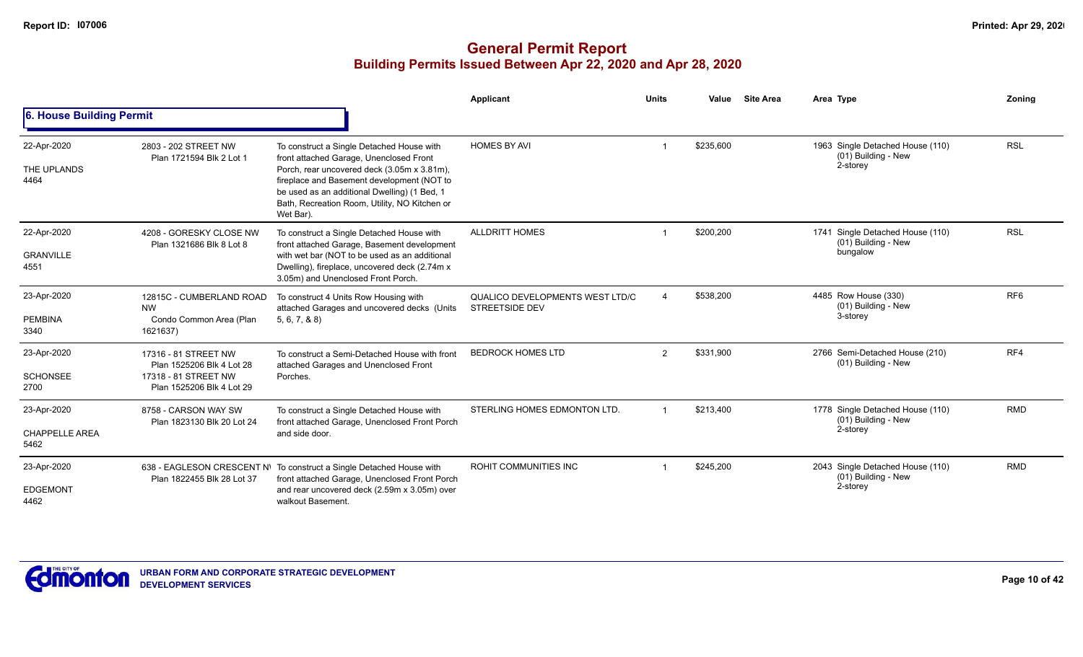|                                              |                                                                                                        |                                                                                                                                                                                                                                                                                                 | Applicant                                                       | <b>Units</b>   | Value     | <b>Site Area</b> | Area Type                                                             | Zoning          |
|----------------------------------------------|--------------------------------------------------------------------------------------------------------|-------------------------------------------------------------------------------------------------------------------------------------------------------------------------------------------------------------------------------------------------------------------------------------------------|-----------------------------------------------------------------|----------------|-----------|------------------|-----------------------------------------------------------------------|-----------------|
| 6. House Building Permit                     |                                                                                                        |                                                                                                                                                                                                                                                                                                 |                                                                 |                |           |                  |                                                                       |                 |
| 22-Apr-2020<br>THE UPLANDS<br>4464           | 2803 - 202 STREET NW<br>Plan 1721594 Blk 2 Lot 1                                                       | To construct a Single Detached House with<br>front attached Garage, Unenclosed Front<br>Porch, rear uncovered deck (3.05m x 3.81m),<br>fireplace and Basement development (NOT to<br>be used as an additional Dwelling) (1 Bed, 1<br>Bath, Recreation Room, Utility, NO Kitchen or<br>Wet Bar). | <b>HOMES BY AVI</b>                                             |                | \$235,600 |                  | 1963 Single Detached House (110)<br>(01) Building - New<br>2-storey   | <b>RSL</b>      |
| 22-Apr-2020<br><b>GRANVILLE</b><br>4551      | 4208 - GORESKY CLOSE NW<br>Plan 1321686 Blk 8 Lot 8                                                    | To construct a Single Detached House with<br>front attached Garage, Basement development<br>with wet bar (NOT to be used as an additional<br>Dwelling), fireplace, uncovered deck (2.74m x<br>3.05m) and Unenclosed Front Porch.                                                                | <b>ALLDRITT HOMES</b>                                           |                | \$200,200 |                  | 1741 Single Detached House (110)<br>$(01)$ Building - New<br>bungalow | <b>RSL</b>      |
| 23-Apr-2020<br><b>PEMBINA</b><br>3340        | 12815C - CUMBERLAND ROAD<br><b>NW</b><br>Condo Common Area (Plan<br>1621637)                           | To construct 4 Units Row Housing with<br>attached Garages and uncovered decks (Units<br>5, 6, 7, 8, 8                                                                                                                                                                                           | <b>QUALICO DEVELOPMENTS WEST LTD/C</b><br><b>STREETSIDE DEV</b> |                | \$538.200 |                  | 4485 Row House (330)<br>(01) Building - New<br>3-storey               | RF <sub>6</sub> |
| 23-Apr-2020<br><b>SCHONSEE</b><br>2700       | 17316 - 81 STREET NW<br>Plan 1525206 Blk 4 Lot 28<br>17318 - 81 STREET NW<br>Plan 1525206 Blk 4 Lot 29 | To construct a Semi-Detached House with front<br>attached Garages and Unenclosed Front<br>Porches.                                                                                                                                                                                              | <b>BEDROCK HOMES LTD</b>                                        | $\overline{2}$ | \$331,900 |                  | 2766 Semi-Detached House (210)<br>(01) Building - New                 | RF4             |
| 23-Apr-2020<br><b>CHAPPELLE AREA</b><br>5462 | 8758 - CARSON WAY SW<br>Plan 1823130 Blk 20 Lot 24                                                     | To construct a Single Detached House with<br>front attached Garage, Unenclosed Front Porch<br>and side door.                                                                                                                                                                                    | STERLING HOMES EDMONTON LTD.                                    |                | \$213,400 |                  | 1778 Single Detached House (110)<br>(01) Building - New<br>2-storey   | <b>RMD</b>      |
| 23-Apr-2020<br><b>EDGEMONT</b><br>4462       | Plan 1822455 Blk 28 Lot 37                                                                             | 638 - EAGLESON CRESCENT N\ To construct a Single Detached House with<br>front attached Garage, Unenclosed Front Porch<br>and rear uncovered deck (2.59m x 3.05m) over<br>walkout Basement.                                                                                                      | <b>ROHIT COMMUNITIES INC</b>                                    |                | \$245,200 |                  | 2043 Single Detached House (110)<br>(01) Building - New<br>2-storey   | <b>RMD</b>      |

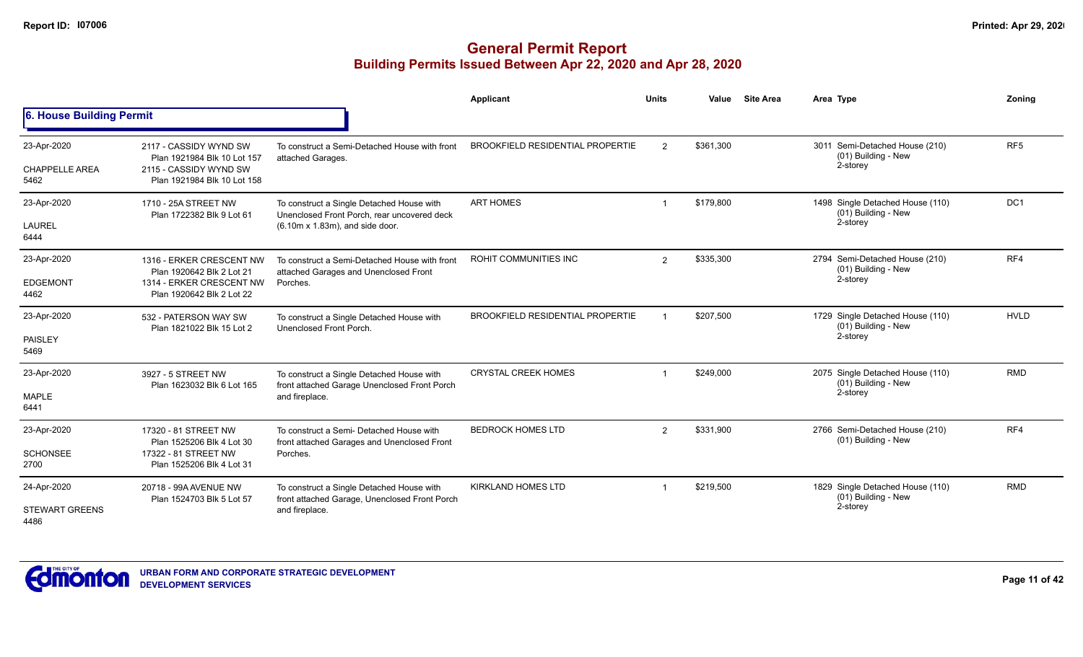|                                              |                                                                                                                |                                                                                                                                     | <b>Applicant</b>                        | <b>Units</b>   | Value     | <b>Site Area</b> | Area Type                                                           | Zoning          |
|----------------------------------------------|----------------------------------------------------------------------------------------------------------------|-------------------------------------------------------------------------------------------------------------------------------------|-----------------------------------------|----------------|-----------|------------------|---------------------------------------------------------------------|-----------------|
| 6. House Building Permit                     |                                                                                                                |                                                                                                                                     |                                         |                |           |                  |                                                                     |                 |
| 23-Apr-2020<br><b>CHAPPELLE AREA</b><br>5462 | 2117 - CASSIDY WYND SW<br>Plan 1921984 Blk 10 Lot 157<br>2115 - CASSIDY WYND SW<br>Plan 1921984 Blk 10 Lot 158 | To construct a Semi-Detached House with front<br>attached Garages.                                                                  | <b>BROOKFIELD RESIDENTIAL PROPERTIE</b> | $\overline{2}$ | \$361.300 |                  | 3011 Semi-Detached House (210)<br>(01) Building - New<br>2-storey   | RF <sub>5</sub> |
| 23-Apr-2020<br><b>LAUREL</b><br>6444         | 1710 - 25A STREET NW<br>Plan 1722382 Blk 9 Lot 61                                                              | To construct a Single Detached House with<br>Unenclosed Front Porch, rear uncovered deck<br>$(6.10m \times 1.83m)$ , and side door. | <b>ART HOMES</b>                        |                | \$179,800 |                  | 1498 Single Detached House (110)<br>(01) Building - New<br>2-storey | DC1             |
| 23-Apr-2020<br><b>EDGEMONT</b><br>4462       | 1316 - ERKER CRESCENT NW<br>Plan 1920642 Blk 2 Lot 21<br>1314 - ERKER CRESCENT NW<br>Plan 1920642 Blk 2 Lot 22 | To construct a Semi-Detached House with front<br>attached Garages and Unenclosed Front<br>Porches.                                  | ROHIT COMMUNITIES INC                   | $\overline{2}$ | \$335,300 |                  | 2794 Semi-Detached House (210)<br>(01) Building - New<br>2-storey   | RF4             |
| 23-Apr-2020<br>PAISLEY<br>5469               | 532 - PATERSON WAY SW<br>Plan 1821022 Blk 15 Lot 2                                                             | To construct a Single Detached House with<br>Unenclosed Front Porch.                                                                | BROOKFIELD RESIDENTIAL PROPERTIE        |                | \$207.500 |                  | 1729 Single Detached House (110)<br>(01) Building - New<br>2-storey | <b>HVLD</b>     |
| 23-Apr-2020<br><b>MAPLE</b><br>6441          | 3927 - 5 STREET NW<br>Plan 1623032 Blk 6 Lot 165                                                               | To construct a Single Detached House with<br>front attached Garage Unenclosed Front Porch<br>and fireplace.                         | <b>CRYSTAL CREEK HOMES</b>              |                | \$249,000 |                  | 2075 Single Detached House (110)<br>(01) Building - New<br>2-storey | <b>RMD</b>      |
| 23-Apr-2020<br><b>SCHONSEE</b><br>2700       | 17320 - 81 STREET NW<br>Plan 1525206 Blk 4 Lot 30<br>17322 - 81 STREET NW<br>Plan 1525206 Blk 4 Lot 31         | To construct a Semi- Detached House with<br>front attached Garages and Unenclosed Front<br>Porches.                                 | <b>BEDROCK HOMES LTD</b>                | 2              | \$331,900 |                  | 2766 Semi-Detached House (210)<br>(01) Building - New               | RF4             |
| 24-Apr-2020<br><b>STEWART GREENS</b><br>4486 | 20718 - 99A AVENUE NW<br>Plan 1524703 Blk 5 Lot 57                                                             | To construct a Single Detached House with<br>front attached Garage, Unenclosed Front Porch<br>and fireplace.                        | <b>KIRKLAND HOMES LTD</b>               |                | \$219,500 |                  | 1829 Single Detached House (110)<br>(01) Building - New<br>2-storey | <b>RMD</b>      |

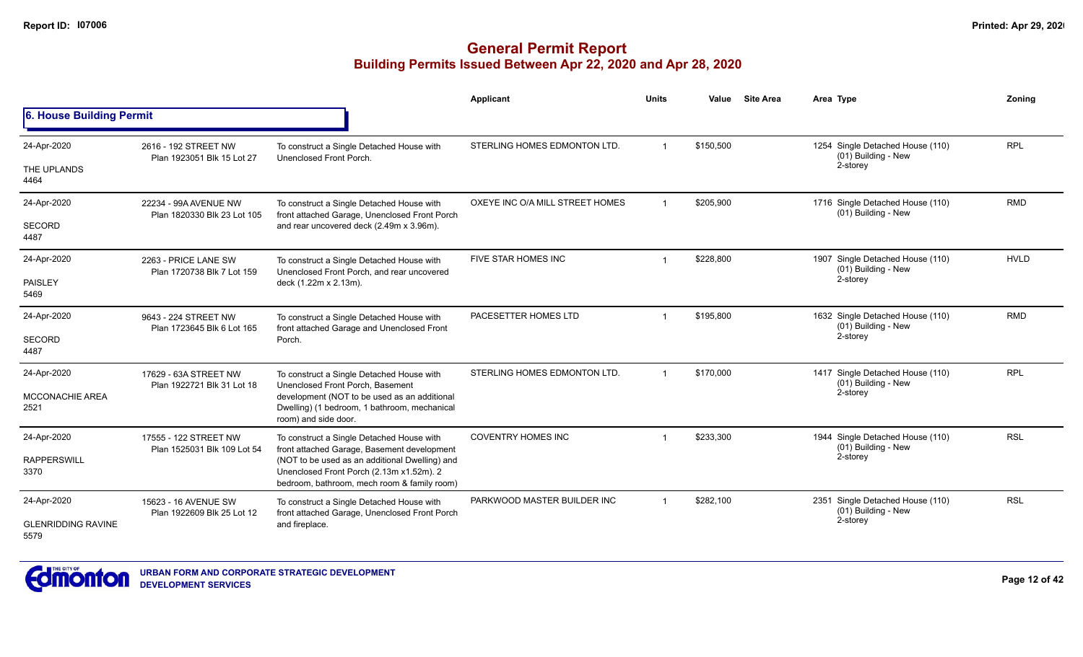|                                   |                                                      |                                                                                                                                           | Applicant                       | <b>Units</b>            | Value     | <b>Site Area</b> | Area Type                                               | Zoning      |
|-----------------------------------|------------------------------------------------------|-------------------------------------------------------------------------------------------------------------------------------------------|---------------------------------|-------------------------|-----------|------------------|---------------------------------------------------------|-------------|
| 6. House Building Permit          |                                                      |                                                                                                                                           |                                 |                         |           |                  |                                                         |             |
| 24-Apr-2020                       | 2616 - 192 STREET NW<br>Plan 1923051 Blk 15 Lot 27   | To construct a Single Detached House with<br>Unenclosed Front Porch.                                                                      | STERLING HOMES EDMONTON LTD.    |                         | \$150,500 |                  | 1254 Single Detached House (110)<br>(01) Building - New | <b>RPL</b>  |
| THE UPLANDS<br>4464               |                                                      |                                                                                                                                           |                                 |                         |           |                  | 2-storey                                                |             |
| 24-Apr-2020                       | 22234 - 99A AVENUE NW<br>Plan 1820330 Blk 23 Lot 105 | To construct a Single Detached House with<br>front attached Garage, Unenclosed Front Porch                                                | OXEYE INC O/A MILL STREET HOMES | $\overline{\mathbf{1}}$ | \$205.900 |                  | 1716 Single Detached House (110)<br>(01) Building - New | <b>RMD</b>  |
| SECORD<br>4487                    |                                                      | and rear uncovered deck (2.49m x 3.96m).                                                                                                  |                                 |                         |           |                  |                                                         |             |
| 24-Apr-2020                       | 2263 - PRICE LANE SW<br>Plan 1720738 Blk 7 Lot 159   | To construct a Single Detached House with<br>Unenclosed Front Porch, and rear uncovered                                                   | FIVE STAR HOMES INC             |                         | \$228,800 |                  | 1907 Single Detached House (110)<br>(01) Building - New | <b>HVLD</b> |
| PAISLEY<br>5469                   |                                                      | deck (1.22m x 2.13m).                                                                                                                     |                                 |                         |           | 2-storey         |                                                         |             |
| 24-Apr-2020                       | 9643 - 224 STREET NW<br>Plan 1723645 Blk 6 Lot 165   | To construct a Single Detached House with<br>front attached Garage and Unenclosed Front                                                   | PACESETTER HOMES LTD            |                         | \$195,800 |                  | 1632 Single Detached House (110)<br>(01) Building - New | <b>RMD</b>  |
| <b>SECORD</b><br>4487             |                                                      | Porch.                                                                                                                                    |                                 |                         |           |                  | 2-storey                                                |             |
| 24-Apr-2020                       | 17629 - 63A STREET NW<br>Plan 1922721 Blk 31 Lot 18  | To construct a Single Detached House with<br>Unenclosed Front Porch, Basement                                                             | STERLING HOMES EDMONTON LTD.    |                         | \$170,000 |                  | 1417 Single Detached House (110)<br>(01) Building - New | <b>RPL</b>  |
| MCCONACHIE AREA<br>2521           |                                                      | development (NOT to be used as an additional<br>Dwelling) (1 bedroom, 1 bathroom, mechanical<br>room) and side door.                      |                                 | 2-storey                |           |                  |                                                         |             |
| 24-Apr-2020                       | 17555 - 122 STREET NW                                | To construct a Single Detached House with<br>front attached Garage, Basement development                                                  | <b>COVENTRY HOMES INC</b>       |                         | \$233,300 |                  | 1944 Single Detached House (110)<br>(01) Building - New | <b>RSL</b>  |
| <b>RAPPERSWILL</b><br>3370        | Plan 1525031 Blk 109 Lot 54                          | (NOT to be used as an additional Dwelling) and<br>Unenclosed Front Porch (2.13m x1.52m). 2<br>bedroom, bathroom, mech room & family room) |                                 |                         |           |                  | 2-storey                                                |             |
| 24-Apr-2020                       | 15623 - 16 AVENUE SW<br>Plan 1922609 Blk 25 Lot 12   | To construct a Single Detached House with<br>front attached Garage, Unenclosed Front Porch                                                | PARKWOOD MASTER BUILDER INC     |                         | \$282,100 |                  | 2351 Single Detached House (110)<br>(01) Building - New | <b>RSL</b>  |
| <b>GLENRIDDING RAVINE</b><br>5579 |                                                      | and fireplace.                                                                                                                            |                                 |                         |           |                  | 2-storey                                                |             |

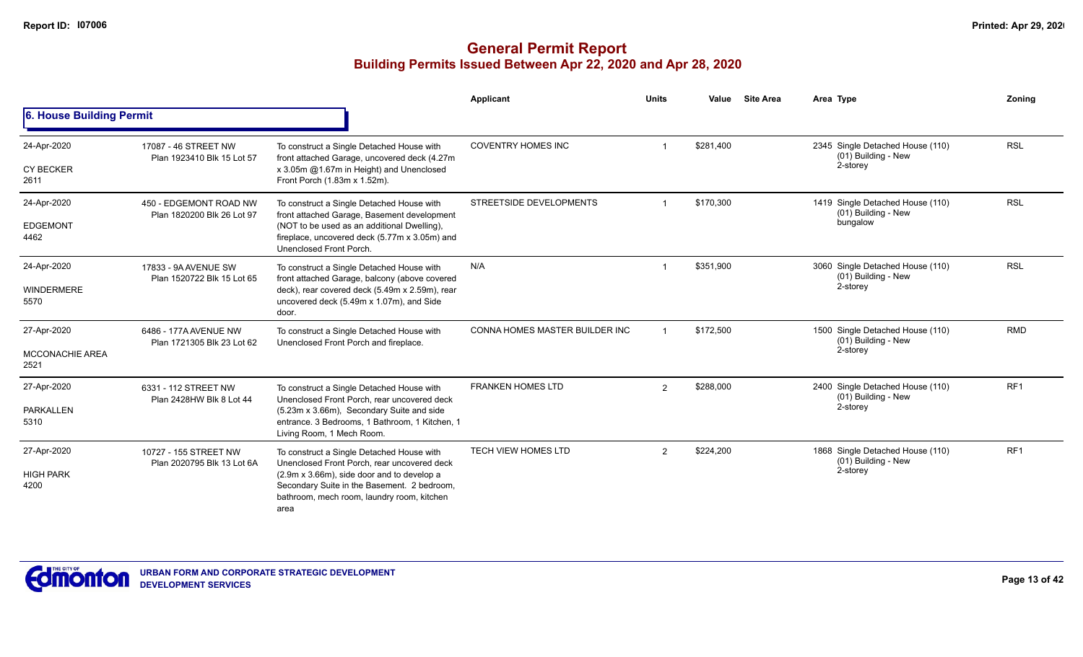|                                               |                                                      |                                                                                                                                                                                                                                             | <b>Applicant</b>               | <b>Units</b>   | Value     | <b>Site Area</b> | Area Type                                                           | Zoning          |
|-----------------------------------------------|------------------------------------------------------|---------------------------------------------------------------------------------------------------------------------------------------------------------------------------------------------------------------------------------------------|--------------------------------|----------------|-----------|------------------|---------------------------------------------------------------------|-----------------|
| 6. House Building Permit                      |                                                      |                                                                                                                                                                                                                                             |                                |                |           |                  |                                                                     |                 |
| 24-Apr-2020<br><b>CY BECKER</b><br>2611       | 17087 - 46 STREET NW<br>Plan 1923410 Blk 15 Lot 57   | To construct a Single Detached House with<br>front attached Garage, uncovered deck (4.27m<br>x 3.05m @1.67m in Height) and Unenclosed<br>Front Porch (1.83m x 1.52m).                                                                       | <b>COVENTRY HOMES INC</b>      |                | \$281,400 |                  | 2345 Single Detached House (110)<br>(01) Building - New<br>2-storey | <b>RSL</b>      |
| 24-Apr-2020<br><b>EDGEMONT</b><br>4462        | 450 - EDGEMONT ROAD NW<br>Plan 1820200 Blk 26 Lot 97 | To construct a Single Detached House with<br>front attached Garage, Basement development<br>(NOT to be used as an additional Dwelling),<br>fireplace, uncovered deck (5.77m x 3.05m) and<br>Unenclosed Front Porch.                         | STREETSIDE DEVELOPMENTS        |                | \$170,300 |                  | 1419 Single Detached House (110)<br>(01) Building - New<br>bungalow | <b>RSL</b>      |
| 24-Apr-2020<br><b>WINDERMERE</b><br>5570      | 17833 - 9A AVENUE SW<br>Plan 1520722 Blk 15 Lot 65   | To construct a Single Detached House with<br>front attached Garage, balcony (above covered<br>deck), rear covered deck (5.49m x 2.59m), rear<br>uncovered deck (5.49m x 1.07m), and Side<br>door.                                           | N/A                            |                | \$351.900 |                  | 3060 Single Detached House (110)<br>(01) Building - New<br>2-storey | <b>RSL</b>      |
| 27-Apr-2020<br><b>MCCONACHIE AREA</b><br>2521 | 6486 - 177A AVENUE NW<br>Plan 1721305 Blk 23 Lot 62  | To construct a Single Detached House with<br>Unenclosed Front Porch and fireplace.                                                                                                                                                          | CONNA HOMES MASTER BUILDER INC |                | \$172,500 |                  | 1500 Single Detached House (110)<br>(01) Building - New<br>2-storey | <b>RMD</b>      |
| 27-Apr-2020<br>PARKALLEN<br>5310              | 6331 - 112 STREET NW<br>Plan 2428HW Blk 8 Lot 44     | To construct a Single Detached House with<br>Unenclosed Front Porch, rear uncovered deck<br>(5.23m x 3.66m), Secondary Suite and side<br>entrance. 3 Bedrooms, 1 Bathroom, 1 Kitchen, 1<br>Living Room, 1 Mech Room.                        | <b>FRANKEN HOMES LTD</b>       | $\overline{2}$ | \$288,000 |                  | 2400 Single Detached House (110)<br>(01) Building - New<br>2-storey | RF <sub>1</sub> |
| 27-Apr-2020<br><b>HIGH PARK</b><br>4200       | 10727 - 155 STREET NW<br>Plan 2020795 Blk 13 Lot 6A  | To construct a Single Detached House with<br>Unenclosed Front Porch, rear uncovered deck<br>(2.9m x 3.66m), side door and to develop a<br>Secondary Suite in the Basement. 2 bedroom,<br>bathroom, mech room, laundry room, kitchen<br>area | <b>TECH VIEW HOMES LTD</b>     | $\overline{2}$ | \$224,200 |                  | 1868 Single Detached House (110)<br>(01) Building - New<br>2-storey | RF <sub>1</sub> |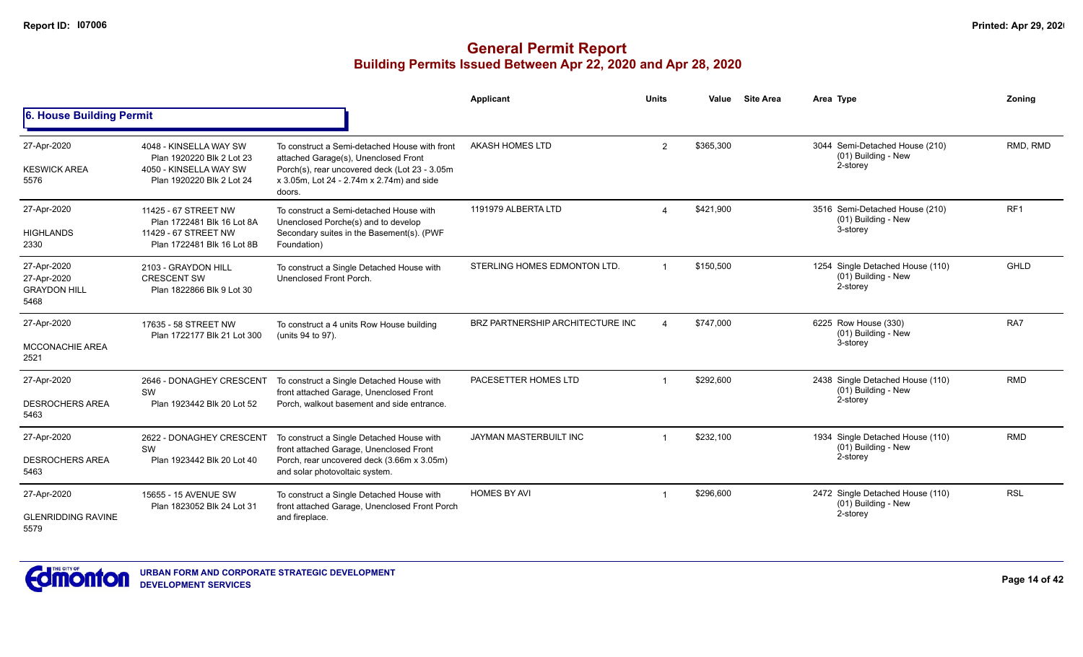|                                                           |                                                                                                            |                                                                                                                                                                                               | Applicant                        | <b>Units</b> | Value     | <b>Site Area</b> | Area Type                                                           | Zoning          |
|-----------------------------------------------------------|------------------------------------------------------------------------------------------------------------|-----------------------------------------------------------------------------------------------------------------------------------------------------------------------------------------------|----------------------------------|--------------|-----------|------------------|---------------------------------------------------------------------|-----------------|
| 6. House Building Permit                                  |                                                                                                            |                                                                                                                                                                                               |                                  |              |           |                  |                                                                     |                 |
| 27-Apr-2020<br><b>KESWICK AREA</b><br>5576                | 4048 - KINSELLA WAY SW<br>Plan 1920220 Blk 2 Lot 23<br>4050 - KINSELLA WAY SW<br>Plan 1920220 Blk 2 Lot 24 | To construct a Semi-detached House with front<br>attached Garage(s), Unenclosed Front<br>Porch(s), rear uncovered deck (Lot 23 - 3.05m<br>x 3.05m, Lot 24 - 2.74m x 2.74m) and side<br>doors. | AKASH HOMES LTD                  | 2            | \$365,300 |                  | 3044 Semi-Detached House (210)<br>(01) Building - New<br>2-storey   | RMD, RMD        |
| 27-Apr-2020<br><b>HIGHLANDS</b><br>2330                   | 11425 - 67 STREET NW<br>Plan 1722481 Blk 16 Lot 8A<br>11429 - 67 STREET NW<br>Plan 1722481 Blk 16 Lot 8B   | To construct a Semi-detached House with<br>Unenclosed Porche(s) and to develop<br>Secondary suites in the Basement(s). (PWF<br>Foundation)                                                    | 1191979 ALBERTA LTD              |              | \$421,900 |                  | 3516 Semi-Detached House (210)<br>(01) Building - New<br>3-storey   | RF <sub>1</sub> |
| 27-Apr-2020<br>27-Apr-2020<br><b>GRAYDON HILL</b><br>5468 | 2103 - GRAYDON HILL<br><b>CRESCENT SW</b><br>Plan 1822866 Blk 9 Lot 30                                     | To construct a Single Detached House with<br>Unenclosed Front Porch.                                                                                                                          | STERLING HOMES EDMONTON LTD.     |              | \$150,500 |                  | 1254 Single Detached House (110)<br>(01) Building - New<br>2-storey | GHLD            |
| 27-Apr-2020<br><b>MCCONACHIE AREA</b><br>2521             | 17635 - 58 STREET NW<br>Plan 1722177 Blk 21 Lot 300                                                        | To construct a 4 units Row House building<br>(units 94 to 97).                                                                                                                                | BRZ PARTNERSHIP ARCHITECTURE INC |              | \$747,000 |                  | 6225 Row House (330)<br>(01) Building - New<br>3-storey             | RA7             |
| 27-Apr-2020<br><b>DESROCHERS AREA</b><br>5463             | 2646 - DONAGHEY CRESCENT<br>SW<br>Plan 1923442 Blk 20 Lot 52                                               | To construct a Single Detached House with<br>front attached Garage, Unenclosed Front<br>Porch, walkout basement and side entrance.                                                            | PACESETTER HOMES LTD             |              | \$292,600 |                  | 2438 Single Detached House (110)<br>(01) Building - New<br>2-storey | <b>RMD</b>      |
| 27-Apr-2020<br><b>DESROCHERS AREA</b><br>5463             | 2622 - DONAGHEY CRESCENT<br>SW<br>Plan 1923442 Blk 20 Lot 40                                               | To construct a Single Detached House with<br>front attached Garage, Unenclosed Front<br>Porch, rear uncovered deck (3.66m x 3.05m)<br>and solar photovoltaic system.                          | JAYMAN MASTERBUILT INC           |              | \$232,100 |                  | 1934 Single Detached House (110)<br>(01) Building - New<br>2-storey | <b>RMD</b>      |
| 27-Apr-2020<br><b>GLENRIDDING RAVINE</b><br>5579          | 15655 - 15 AVENUE SW<br>Plan 1823052 Blk 24 Lot 31                                                         | To construct a Single Detached House with<br>front attached Garage, Unenclosed Front Porch<br>and fireplace.                                                                                  | <b>HOMES BY AVI</b>              |              | \$296,600 |                  | 2472 Single Detached House (110)<br>(01) Building - New<br>2-storey | <b>RSL</b>      |

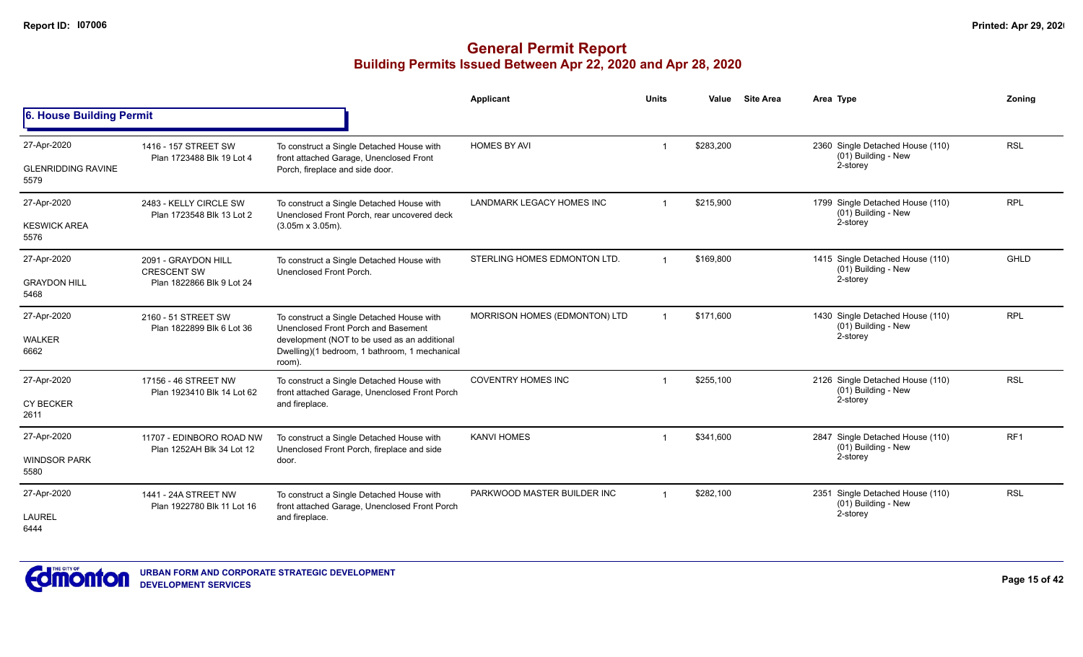|                                                  |                                                                        |                                                                                                                                                                                             | <b>Applicant</b>                 | <b>Units</b>   | Value     | <b>Site Area</b> | Area Type                                                           | Zoning          |
|--------------------------------------------------|------------------------------------------------------------------------|---------------------------------------------------------------------------------------------------------------------------------------------------------------------------------------------|----------------------------------|----------------|-----------|------------------|---------------------------------------------------------------------|-----------------|
| 6. House Building Permit                         |                                                                        |                                                                                                                                                                                             |                                  |                |           |                  |                                                                     |                 |
| 27-Apr-2020<br><b>GLENRIDDING RAVINE</b><br>5579 | 1416 - 157 STREET SW<br>Plan 1723488 Blk 19 Lot 4                      | To construct a Single Detached House with<br>front attached Garage, Unenclosed Front<br>Porch, fireplace and side door.                                                                     | <b>HOMES BY AVI</b>              |                | \$283,200 |                  | 2360 Single Detached House (110)<br>(01) Building - New<br>2-storey | <b>RSL</b>      |
| 27-Apr-2020<br><b>KESWICK AREA</b><br>5576       | 2483 - KELLY CIRCLE SW<br>Plan 1723548 Blk 13 Lot 2                    | To construct a Single Detached House with<br>Unenclosed Front Porch, rear uncovered deck<br>$(3.05m \times 3.05m)$ .                                                                        | <b>LANDMARK LEGACY HOMES INC</b> | $\overline{1}$ | \$215,900 |                  | 1799 Single Detached House (110)<br>(01) Building - New<br>2-storey | <b>RPL</b>      |
| 27-Apr-2020<br><b>GRAYDON HILL</b><br>5468       | 2091 - GRAYDON HILL<br><b>CRESCENT SW</b><br>Plan 1822866 Blk 9 Lot 24 | To construct a Single Detached House with<br>Unenclosed Front Porch.                                                                                                                        | STERLING HOMES EDMONTON LTD.     | $\overline{1}$ | \$169,800 |                  | 1415 Single Detached House (110)<br>(01) Building - New<br>2-storey | <b>GHLD</b>     |
| 27-Apr-2020<br><b>WALKER</b><br>6662             | 2160 - 51 STREET SW<br>Plan 1822899 Blk 6 Lot 36                       | To construct a Single Detached House with<br>Unenclosed Front Porch and Basement<br>development (NOT to be used as an additional<br>Dwelling)(1 bedroom, 1 bathroom, 1 mechanical<br>room). | MORRISON HOMES (EDMONTON) LTD    |                | \$171,600 |                  | 1430 Single Detached House (110)<br>(01) Building - New<br>2-storey | <b>RPL</b>      |
| 27-Apr-2020<br><b>CY BECKER</b><br>2611          | 17156 - 46 STREET NW<br>Plan 1923410 Blk 14 Lot 62                     | To construct a Single Detached House with<br>front attached Garage, Unenclosed Front Porch<br>and fireplace.                                                                                | <b>COVENTRY HOMES INC</b>        |                | \$255,100 |                  | 2126 Single Detached House (110)<br>(01) Building - New<br>2-storey | <b>RSL</b>      |
| 27-Apr-2020<br><b>WINDSOR PARK</b><br>5580       | 11707 - EDINBORO ROAD NW<br>Plan 1252AH Blk 34 Lot 12                  | To construct a Single Detached House with<br>Unenclosed Front Porch, fireplace and side<br>door.                                                                                            | <b>KANVI HOMES</b>               | $\mathbf 1$    | \$341,600 |                  | 2847 Single Detached House (110)<br>(01) Building - New<br>2-storey | RF <sub>1</sub> |
| 27-Apr-2020<br><b>LAUREL</b><br>6444             | 1441 - 24A STREET NW<br>Plan 1922780 Blk 11 Lot 16                     | To construct a Single Detached House with<br>front attached Garage, Unenclosed Front Porch<br>and fireplace.                                                                                | PARKWOOD MASTER BUILDER INC      | $\overline{1}$ | \$282,100 |                  | 2351 Single Detached House (110)<br>(01) Building - New<br>2-storey | <b>RSL</b>      |

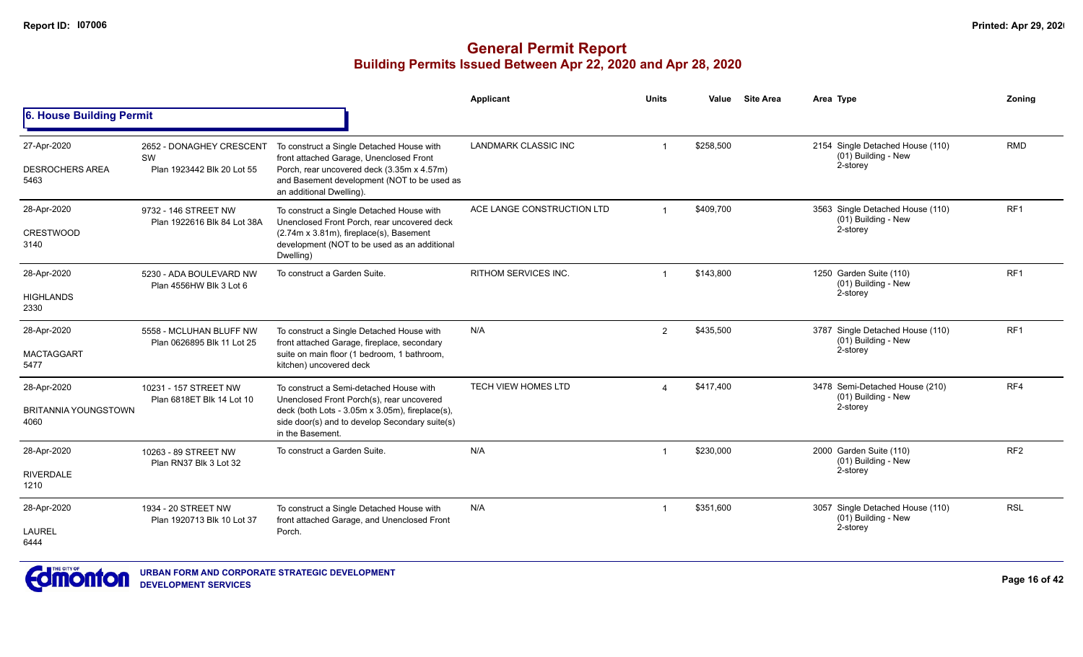|                                                    |                                                              |                                                                                                                                                                                                               | Applicant                   | <b>Units</b> | Value     | <b>Site Area</b> | Area Type                                                             | Zoning          |
|----------------------------------------------------|--------------------------------------------------------------|---------------------------------------------------------------------------------------------------------------------------------------------------------------------------------------------------------------|-----------------------------|--------------|-----------|------------------|-----------------------------------------------------------------------|-----------------|
| 6. House Building Permit                           |                                                              |                                                                                                                                                                                                               |                             |              |           |                  |                                                                       |                 |
| 27-Apr-2020<br><b>DESROCHERS AREA</b><br>5463      | 2652 - DONAGHEY CRESCENT<br>SW<br>Plan 1923442 Blk 20 Lot 55 | To construct a Single Detached House with<br>front attached Garage, Unenclosed Front<br>Porch, rear uncovered deck (3.35m x 4.57m)<br>and Basement development (NOT to be used as<br>an additional Dwelling). | <b>LANDMARK CLASSIC INC</b> |              | \$258,500 |                  | 2154 Single Detached House (110)<br>(01) Building - New<br>2-storey   | <b>RMD</b>      |
| 28-Apr-2020<br><b>CRESTWOOD</b><br>3140            | 9732 - 146 STREET NW<br>Plan 1922616 Blk 84 Lot 38A          | To construct a Single Detached House with<br>Unenclosed Front Porch, rear uncovered deck<br>(2.74m x 3.81m), fireplace(s), Basement<br>development (NOT to be used as an additional<br>Dwelling)              | ACE LANGE CONSTRUCTION LTD  |              | \$409,700 |                  | 3563 Single Detached House (110)<br>$(01)$ Building - New<br>2-storey | RF1             |
| 28-Apr-2020<br><b>HIGHLANDS</b><br>2330            | 5230 - ADA BOULEVARD NW<br>Plan 4556HW Blk 3 Lot 6           | To construct a Garden Suite.                                                                                                                                                                                  | <b>RITHOM SERVICES INC.</b> |              | \$143,800 |                  | 1250 Garden Suite (110)<br>(01) Building - New<br>2-storey            | RF1             |
| 28-Apr-2020<br><b>MACTAGGART</b><br>5477           | 5558 - MCLUHAN BLUFF NW<br>Plan 0626895 Blk 11 Lot 25        | To construct a Single Detached House with<br>front attached Garage, fireplace, secondary<br>suite on main floor (1 bedroom, 1 bathroom,<br>kitchen) uncovered deck                                            | N/A                         | 2            | \$435,500 |                  | 3787 Single Detached House (110)<br>(01) Building - New<br>2-storey   | RF1             |
| 28-Apr-2020<br><b>BRITANNIA YOUNGSTOWN</b><br>4060 | 10231 - 157 STREET NW<br>Plan 6818ET Blk 14 Lot 10           | To construct a Semi-detached House with<br>Unenclosed Front Porch(s), rear uncovered<br>deck (both Lots - 3.05m x 3.05m), fireplace(s),<br>side door(s) and to develop Secondary suite(s)<br>in the Basement. | <b>TECH VIEW HOMES LTD</b>  |              | \$417,400 |                  | 3478 Semi-Detached House (210)<br>(01) Building - New<br>2-storey     | RF4             |
| 28-Apr-2020<br><b>RIVERDALE</b><br>1210            | 10263 - 89 STREET NW<br>Plan RN37 Blk 3 Lot 32               | To construct a Garden Suite.                                                                                                                                                                                  | N/A                         |              | \$230,000 |                  | 2000 Garden Suite (110)<br>(01) Building - New<br>2-storey            | RF <sub>2</sub> |
| 28-Apr-2020<br>LAUREL<br>6444                      | 1934 - 20 STREET NW<br>Plan 1920713 Blk 10 Lot 37            | To construct a Single Detached House with<br>front attached Garage, and Unenclosed Front<br>Porch.                                                                                                            | N/A                         |              | \$351,600 |                  | 3057 Single Detached House (110)<br>(01) Building - New<br>2-storey   | <b>RSL</b>      |

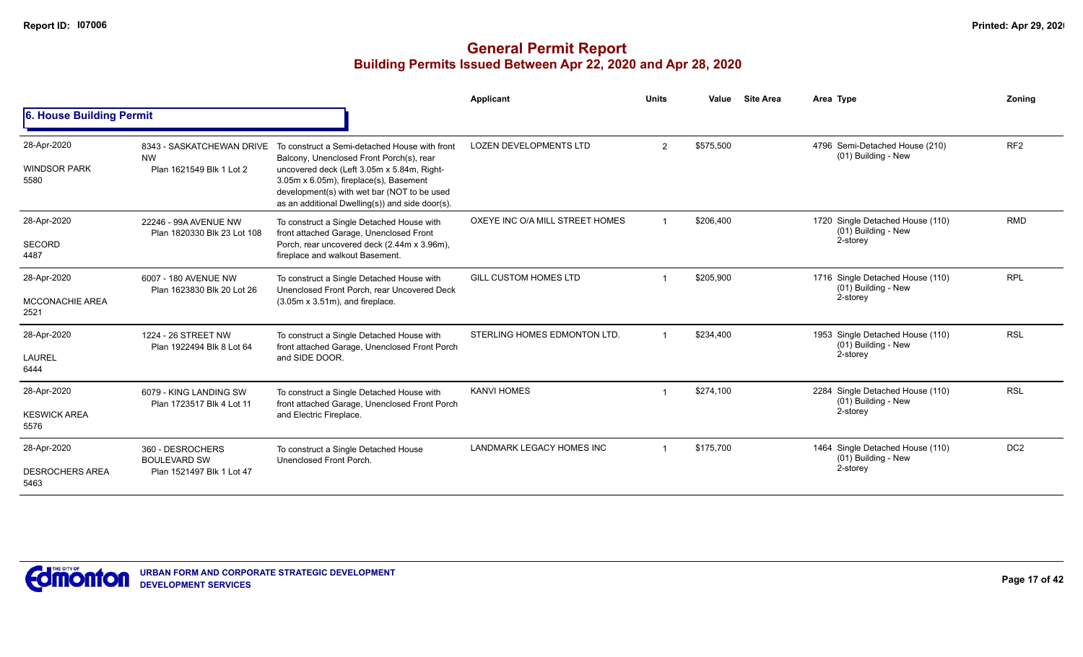|                                               |                                                                      |                                                                                                                                                                                                                                                                                     | Applicant                       | <b>Units</b> | Value     | <b>Site Area</b> | Area Type                                                           | Zoning          |
|-----------------------------------------------|----------------------------------------------------------------------|-------------------------------------------------------------------------------------------------------------------------------------------------------------------------------------------------------------------------------------------------------------------------------------|---------------------------------|--------------|-----------|------------------|---------------------------------------------------------------------|-----------------|
| 6. House Building Permit                      |                                                                      |                                                                                                                                                                                                                                                                                     |                                 |              |           |                  |                                                                     |                 |
| 28-Apr-2020<br><b>WINDSOR PARK</b><br>5580    | 8343 - SASKATCHEWAN DRIVE<br><b>NW</b><br>Plan 1621549 Blk 1 Lot 2   | To construct a Semi-detached House with front<br>Balcony, Unenclosed Front Porch(s), rear<br>uncovered deck (Left 3.05m x 5.84m, Right-<br>3.05m x 6.05m), fireplace(s), Basement<br>development(s) with wet bar (NOT to be used<br>as an additional Dwelling(s)) and side door(s). | <b>LOZEN DEVELOPMENTS LTD</b>   | 2            | \$575,500 |                  | 4796 Semi-Detached House (210)<br>(01) Building - New               | RF <sub>2</sub> |
| 28-Apr-2020<br><b>SECORD</b><br>4487          | 22246 - 99A AVENUE NW<br>Plan 1820330 Blk 23 Lot 108                 | To construct a Single Detached House with<br>front attached Garage, Unenclosed Front<br>Porch, rear uncovered deck (2.44m x 3.96m),<br>fireplace and walkout Basement.                                                                                                              | OXEYE INC O/A MILL STREET HOMES |              | \$206,400 |                  | 1720 Single Detached House (110)<br>(01) Building - New<br>2-storey | <b>RMD</b>      |
| 28-Apr-2020<br><b>MCCONACHIE AREA</b><br>2521 | 6007 - 180 AVENUE NW<br>Plan 1623830 Blk 20 Lot 26                   | To construct a Single Detached House with<br>Unenclosed Front Porch, rear Uncovered Deck<br>$(3.05m \times 3.51m)$ , and fireplace.                                                                                                                                                 | <b>GILL CUSTOM HOMES LTD</b>    |              | \$205,900 |                  | 1716 Single Detached House (110)<br>(01) Building - New<br>2-storey | <b>RPL</b>      |
| 28-Apr-2020<br>LAUREL<br>6444                 | 1224 - 26 STREET NW<br>Plan 1922494 Blk 8 Lot 64                     | To construct a Single Detached House with<br>front attached Garage, Unenclosed Front Porch<br>and SIDE DOOR.                                                                                                                                                                        | STERLING HOMES EDMONTON LTD.    |              | \$234,400 |                  | 1953 Single Detached House (110)<br>(01) Building - New<br>2-storey | <b>RSL</b>      |
| 28-Apr-2020<br><b>KESWICK AREA</b><br>5576    | 6079 - KING LANDING SW<br>Plan 1723517 Blk 4 Lot 11                  | To construct a Single Detached House with<br>front attached Garage, Unenclosed Front Porch<br>and Electric Fireplace.                                                                                                                                                               | <b>KANVI HOMES</b>              |              | \$274,100 |                  | 2284 Single Detached House (110)<br>(01) Building - New<br>2-storey | <b>RSL</b>      |
| 28-Apr-2020<br><b>DESROCHERS AREA</b><br>5463 | 360 - DESROCHERS<br><b>BOULEVARD SW</b><br>Plan 1521497 Blk 1 Lot 47 | To construct a Single Detached House<br>Unenclosed Front Porch.                                                                                                                                                                                                                     | LANDMARK LEGACY HOMES INC       |              | \$175,700 |                  | 1464 Single Detached House (110)<br>(01) Building - New<br>2-storey | DC <sub>2</sub> |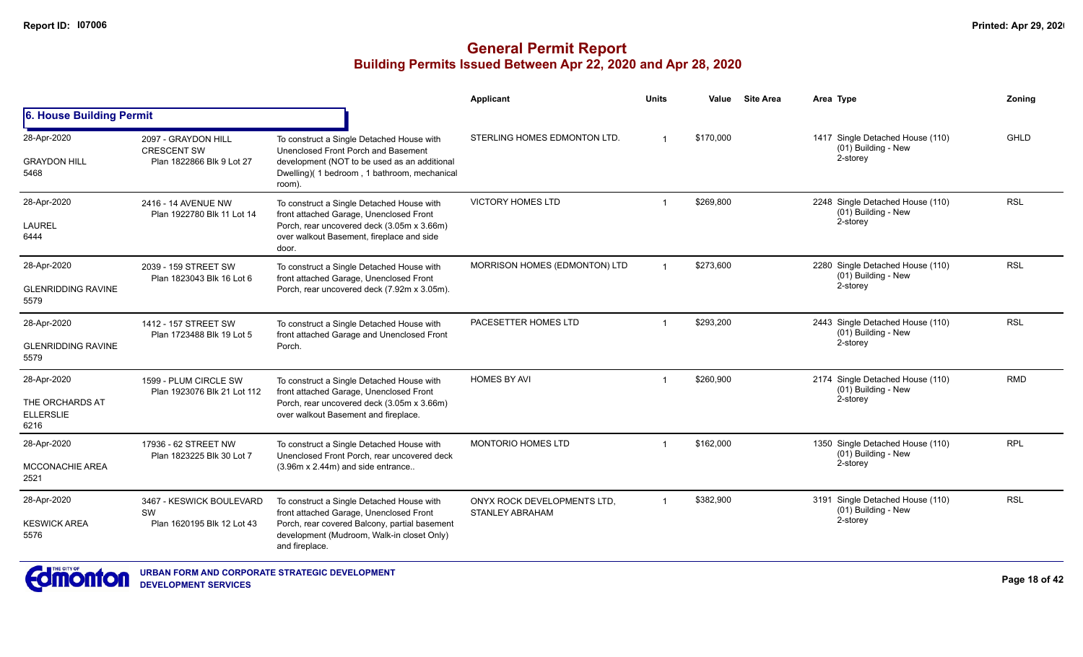## **General Permit Report Building Permits Issued Between Apr 22, 2020 and Apr 28, 2020**

|                                                            |                                                                        |                                                                                                                                                                                                       | Applicant                                      | <b>Units</b>   | Value     | <b>Site Area</b> | Area Type                                                           | Zoning     |
|------------------------------------------------------------|------------------------------------------------------------------------|-------------------------------------------------------------------------------------------------------------------------------------------------------------------------------------------------------|------------------------------------------------|----------------|-----------|------------------|---------------------------------------------------------------------|------------|
| 6. House Building Permit                                   |                                                                        |                                                                                                                                                                                                       |                                                |                |           |                  |                                                                     |            |
| 28-Apr-2020<br><b>GRAYDON HILL</b><br>5468                 | 2097 - GRAYDON HILL<br><b>CRESCENT SW</b><br>Plan 1822866 Blk 9 Lot 27 | To construct a Single Detached House with<br>Unenclosed Front Porch and Basement<br>development (NOT to be used as an additional<br>Dwelling)(1 bedroom, 1 bathroom, mechanical<br>room)              | STERLING HOMES EDMONTON LTD.                   |                | \$170,000 |                  | 1417 Single Detached House (110)<br>(01) Building - New<br>2-storey | GHLD       |
| 28-Apr-2020<br>LAUREL<br>6444                              | 2416 - 14 AVENUE NW<br>Plan 1922780 Blk 11 Lot 14                      | To construct a Single Detached House with<br>front attached Garage, Unenclosed Front<br>Porch, rear uncovered deck (3.05m x 3.66m)<br>over walkout Basement, fireplace and side<br>door.              | <b>VICTORY HOMES LTD</b>                       |                | \$269.800 |                  | 2248 Single Detached House (110)<br>(01) Building - New<br>2-storey | <b>RSL</b> |
| 28-Apr-2020<br><b>GLENRIDDING RAVINE</b><br>5579           | 2039 - 159 STREET SW<br>Plan 1823043 Blk 16 Lot 6                      | To construct a Single Detached House with<br>front attached Garage, Unenclosed Front<br>Porch, rear uncovered deck (7.92m x 3.05m).                                                                   | MORRISON HOMES (EDMONTON) LTD                  |                | \$273.600 |                  | 2280 Single Detached House (110)<br>(01) Building - New<br>2-storey | <b>RSL</b> |
| 28-Apr-2020<br><b>GLENRIDDING RAVINE</b><br>5579           | 1412 - 157 STREET SW<br>Plan 1723488 Blk 19 Lot 5                      | To construct a Single Detached House with<br>front attached Garage and Unenclosed Front<br>Porch.                                                                                                     | PACESETTER HOMES LTD                           |                | \$293,200 |                  | 2443 Single Detached House (110)<br>(01) Building - New<br>2-storey | <b>RSL</b> |
| 28-Apr-2020<br>THE ORCHARDS AT<br><b>ELLERSLIE</b><br>6216 | 1599 - PLUM CIRCLE SW<br>Plan 1923076 Blk 21 Lot 112                   | To construct a Single Detached House with<br>front attached Garage, Unenclosed Front<br>Porch, rear uncovered deck (3.05m x 3.66m)<br>over walkout Basement and fireplace.                            | <b>HOMES BY AVI</b>                            | -1             | \$260.900 |                  | 2174 Single Detached House (110)<br>(01) Building - New<br>2-storey | <b>RMD</b> |
| 28-Apr-2020<br><b>MCCONACHIE AREA</b><br>2521              | 17936 - 62 STREET NW<br>Plan 1823225 Blk 30 Lot 7                      | To construct a Single Detached House with<br>Unenclosed Front Porch, rear uncovered deck<br>$(3.96m \times 2.44m)$ and side entrance                                                                  | <b>MONTORIO HOMES LTD</b>                      |                | \$162,000 |                  | 1350 Single Detached House (110)<br>(01) Building - New<br>2-storey | <b>RPL</b> |
| 28-Apr-2020<br><b>KESWICK AREA</b><br>5576                 | 3467 - KESWICK BOULEVARD<br><b>SW</b><br>Plan 1620195 Blk 12 Lot 43    | To construct a Single Detached House with<br>front attached Garage, Unenclosed Front<br>Porch, rear covered Balcony, partial basement<br>development (Mudroom, Walk-in closet Only)<br>and fireplace. | ONYX ROCK DEVELOPMENTS LTD,<br>STANLEY ABRAHAM | $\overline{1}$ | \$382,900 |                  | 3191 Single Detached House (110)<br>(01) Building - New<br>2-storey | <b>RSL</b> |



**URBAN FORM AND CORPORATE STRATEGIC DEVELOPMENT DEVELOPMENT SERVICES**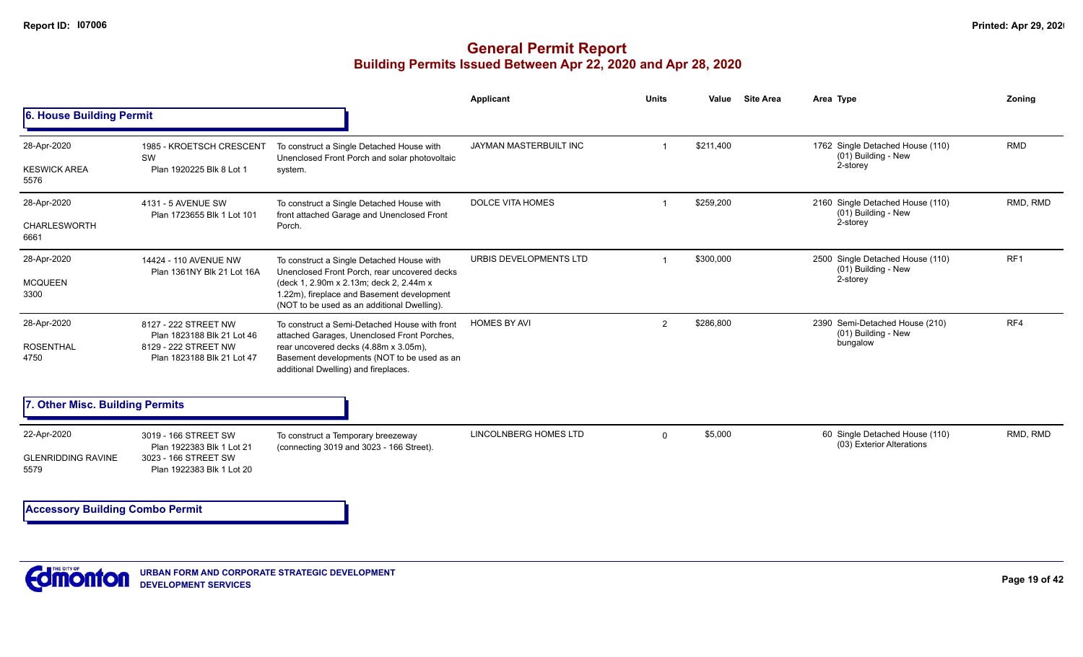|                                                  |                                                                                                          |                                                                                                                                                                                                                                   | <b>Applicant</b>             | <b>Units</b>   | <b>Site Area</b><br>Value | Area Type                                                           | Zoning          |
|--------------------------------------------------|----------------------------------------------------------------------------------------------------------|-----------------------------------------------------------------------------------------------------------------------------------------------------------------------------------------------------------------------------------|------------------------------|----------------|---------------------------|---------------------------------------------------------------------|-----------------|
| 6. House Building Permit                         |                                                                                                          |                                                                                                                                                                                                                                   |                              |                |                           |                                                                     |                 |
| 28-Apr-2020<br><b>KESWICK AREA</b><br>5576       | 1985 - KROETSCH CRESCENT<br>SW<br>Plan 1920225 Blk 8 Lot 1                                               | To construct a Single Detached House with<br>Unenclosed Front Porch and solar photovoltaic<br>system.                                                                                                                             | JAYMAN MASTERBUILT INC       |                | \$211,400                 | 1762 Single Detached House (110)<br>(01) Building - New<br>2-storey | <b>RMD</b>      |
| 28-Apr-2020<br>CHARLESWORTH<br>6661              | 4131 - 5 AVENUE SW<br>Plan 1723655 Blk 1 Lot 101                                                         | To construct a Single Detached House with<br>front attached Garage and Unenclosed Front<br>Porch.                                                                                                                                 | <b>DOLCE VITA HOMES</b>      |                | \$259,200                 | 2160 Single Detached House (110)<br>(01) Building - New<br>2-storey | RMD, RMD        |
| 28-Apr-2020<br><b>MCQUEEN</b><br>3300            | 14424 - 110 AVENUE NW<br>Plan 1361NY Blk 21 Lot 16A                                                      | To construct a Single Detached House with<br>Unenclosed Front Porch, rear uncovered decks<br>(deck 1, 2.90m x 2.13m; deck 2, 2.44m x<br>1.22m), fireplace and Basement development<br>(NOT to be used as an additional Dwelling). | URBIS DEVELOPMENTS LTD       |                | \$300,000                 | 2500 Single Detached House (110)<br>(01) Building - New<br>2-storey | RF <sub>1</sub> |
| 28-Apr-2020<br><b>ROSENTHAL</b><br>4750          | 8127 - 222 STREET NW<br>Plan 1823188 Blk 21 Lot 46<br>8129 - 222 STREET NW<br>Plan 1823188 Blk 21 Lot 47 | To construct a Semi-Detached House with front<br>attached Garages, Unenclosed Front Porches,<br>rear uncovered decks (4.88m x 3.05m),<br>Basement developments (NOT to be used as an<br>additional Dwelling) and fireplaces.      | <b>HOMES BY AVI</b>          | $\overline{2}$ | \$286,800                 | 2390 Semi-Detached House (210)<br>(01) Building - New<br>bungalow   | RF4             |
| 7. Other Misc. Building Permits                  |                                                                                                          |                                                                                                                                                                                                                                   |                              |                |                           |                                                                     |                 |
| 22-Apr-2020<br><b>GLENRIDDING RAVINE</b><br>5579 | 3019 - 166 STREET SW<br>Plan 1922383 Blk 1 Lot 21<br>3023 - 166 STREET SW<br>Plan 1922383 Blk 1 Lot 20   | To construct a Temporary breezeway<br>(connecting 3019 and 3023 - 166 Street).                                                                                                                                                    | <b>LINCOLNBERG HOMES LTD</b> | $\mathbf 0$    | \$5,000                   | 60 Single Detached House (110)<br>(03) Exterior Alterations         | RMD, RMD        |
| <b>Accessory Building Combo Permit</b>           |                                                                                                          |                                                                                                                                                                                                                                   |                              |                |                           |                                                                     |                 |

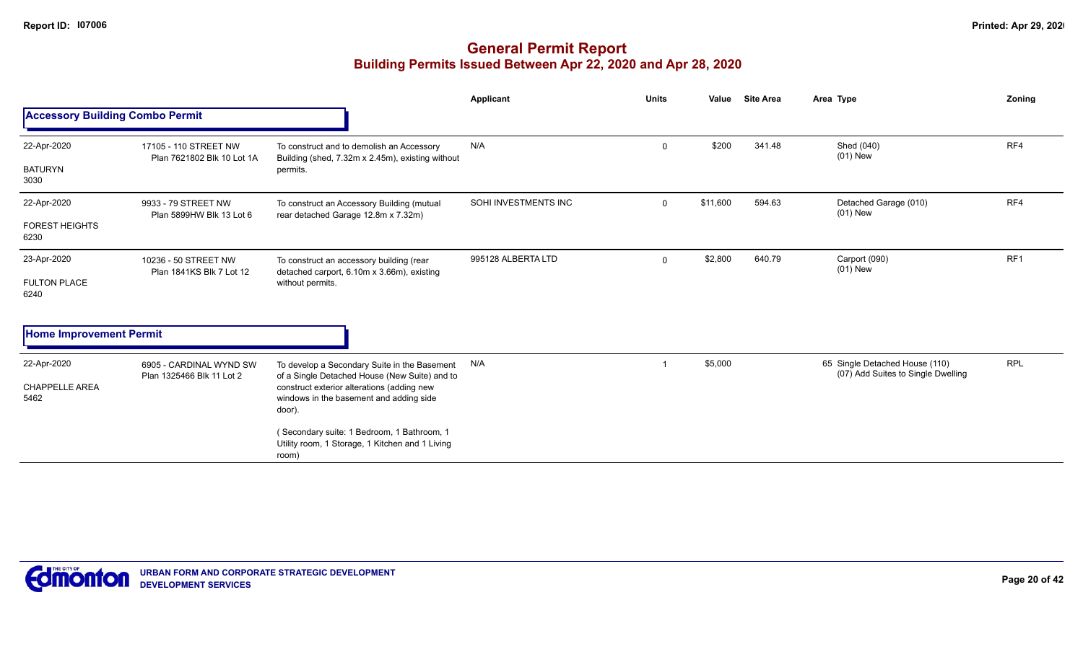|                                        |                                                      |                                                                                                        | Applicant            | <b>Units</b>        | Value    | <b>Site Area</b>            | Area Type                                                            | Zoning     |
|----------------------------------------|------------------------------------------------------|--------------------------------------------------------------------------------------------------------|----------------------|---------------------|----------|-----------------------------|----------------------------------------------------------------------|------------|
| <b>Accessory Building Combo Permit</b> |                                                      |                                                                                                        |                      |                     |          |                             |                                                                      |            |
| 22-Apr-2020                            | 17105 - 110 STREET NW<br>Plan 7621802 Blk 10 Lot 1A  | To construct and to demolish an Accessory<br>Building (shed, 7.32m x 2.45m), existing without          | N/A                  | 0                   | \$200    | 341.48                      | Shed (040)<br>$(01)$ New                                             | RF4        |
| <b>BATURYN</b><br>3030                 |                                                      | permits.                                                                                               |                      |                     |          |                             |                                                                      |            |
| 22-Apr-2020                            | 9933 - 79 STREET NW<br>Plan 5899HW Blk 13 Lot 6      | To construct an Accessory Building (mutual<br>rear detached Garage 12.8m x 7.32m)                      | SOHI INVESTMENTS INC | $\Omega$            | \$11,600 | 594.63                      | Detached Garage (010)<br>$(01)$ New                                  | RF4        |
| <b>FOREST HEIGHTS</b><br>6230          |                                                      |                                                                                                        |                      |                     |          |                             |                                                                      |            |
| 23-Apr-2020                            | 10236 - 50 STREET NW<br>Plan 1841KS Blk 7 Lot 12     | To construct an accessory building (rear<br>detached carport, 6.10m x 3.66m), existing                 | 995128 ALBERTA LTD   | \$2,800<br>$\Omega$ | 640.79   | Carport (090)<br>$(01)$ New | RF <sub>1</sub>                                                      |            |
| <b>FULTON PLACE</b><br>6240            |                                                      | without permits.                                                                                       |                      |                     |          |                             |                                                                      |            |
| <b>Home Improvement Permit</b>         |                                                      |                                                                                                        |                      |                     |          |                             |                                                                      |            |
| 22-Apr-2020                            | 6905 - CARDINAL WYND SW<br>Plan 1325466 Blk 11 Lot 2 | To develop a Secondary Suite in the Basement<br>of a Single Detached House (New Suite) and to          | N/A                  | -1                  | \$5,000  |                             | 65 Single Detached House (110)<br>(07) Add Suites to Single Dwelling | <b>RPL</b> |
| <b>CHAPPELLE AREA</b><br>5462          |                                                      | construct exterior alterations (adding new<br>windows in the basement and adding side<br>door).        |                      |                     |          |                             |                                                                      |            |
|                                        |                                                      | (Secondary suite: 1 Bedroom, 1 Bathroom, 1<br>Utility room, 1 Storage, 1 Kitchen and 1 Living<br>room) |                      |                     |          |                             |                                                                      |            |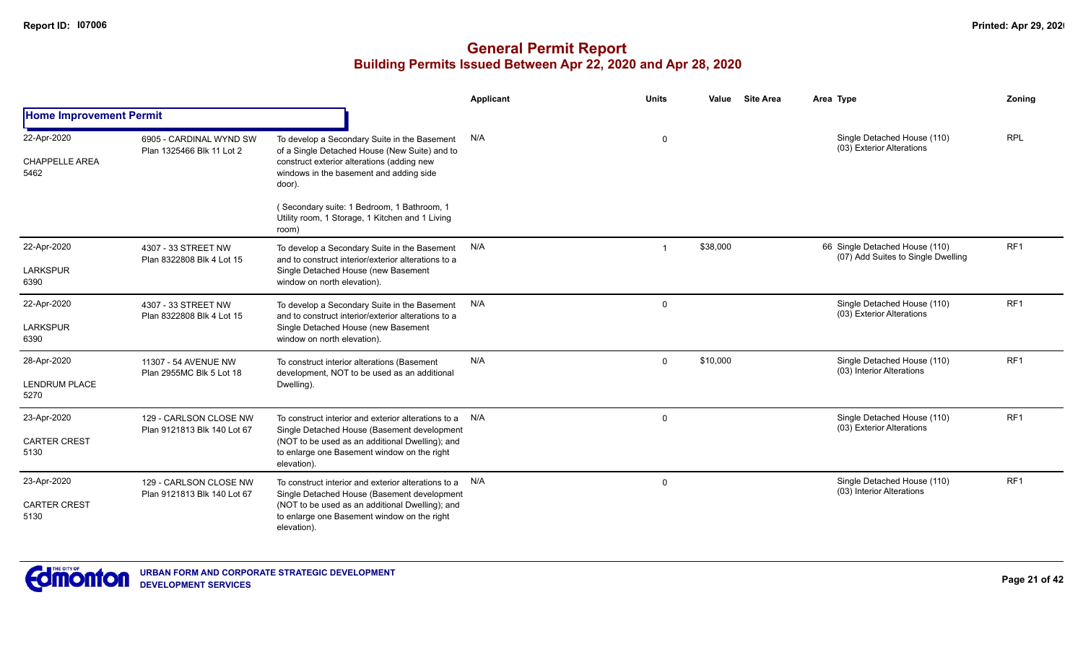|                                              |                                                       |                                                                                                                                                                                                                         | <b>Applicant</b> | <b>Units</b> | Value    | <b>Site Area</b> | Area Type                                                            | Zoning          |
|----------------------------------------------|-------------------------------------------------------|-------------------------------------------------------------------------------------------------------------------------------------------------------------------------------------------------------------------------|------------------|--------------|----------|------------------|----------------------------------------------------------------------|-----------------|
| <b>Home Improvement Permit</b>               |                                                       |                                                                                                                                                                                                                         |                  |              |          |                  |                                                                      |                 |
| 22-Apr-2020<br><b>CHAPPELLE AREA</b><br>5462 | 6905 - CARDINAL WYND SW<br>Plan 1325466 Blk 11 Lot 2  | To develop a Secondary Suite in the Basement<br>of a Single Detached House (New Suite) and to<br>construct exterior alterations (adding new<br>windows in the basement and adding side<br>door).                        | N/A              | 0            |          |                  | Single Detached House (110)<br>(03) Exterior Alterations             | <b>RPL</b>      |
|                                              |                                                       | (Secondary suite: 1 Bedroom, 1 Bathroom, 1<br>Utility room, 1 Storage, 1 Kitchen and 1 Living<br>room)                                                                                                                  |                  |              |          |                  |                                                                      |                 |
| 22-Apr-2020<br><b>LARKSPUR</b><br>6390       | 4307 - 33 STREET NW<br>Plan 8322808 Blk 4 Lot 15      | To develop a Secondary Suite in the Basement<br>and to construct interior/exterior alterations to a<br>Single Detached House (new Basement<br>window on north elevation).                                               | N/A              |              | \$38,000 |                  | 66 Single Detached House (110)<br>(07) Add Suites to Single Dwelling | RF <sub>1</sub> |
| 22-Apr-2020<br><b>LARKSPUR</b><br>6390       | 4307 - 33 STREET NW<br>Plan 8322808 Blk 4 Lot 15      | To develop a Secondary Suite in the Basement<br>and to construct interior/exterior alterations to a<br>Single Detached House (new Basement<br>window on north elevation).                                               | N/A              | $\mathbf 0$  |          |                  | Single Detached House (110)<br>(03) Exterior Alterations             | RF1             |
| 28-Apr-2020<br><b>LENDRUM PLACE</b><br>5270  | 11307 - 54 AVENUE NW<br>Plan 2955MC Blk 5 Lot 18      | To construct interior alterations (Basement<br>development, NOT to be used as an additional<br>Dwelling).                                                                                                               | N/A              | $\mathbf 0$  | \$10,000 |                  | Single Detached House (110)<br>(03) Interior Alterations             | RF1             |
| 23-Apr-2020<br><b>CARTER CREST</b><br>5130   | 129 - CARLSON CLOSE NW<br>Plan 9121813 Blk 140 Lot 67 | To construct interior and exterior alterations to a N/A<br>Single Detached House (Basement development<br>(NOT to be used as an additional Dwelling); and<br>to enlarge one Basement window on the right<br>elevation). |                  | $\Omega$     |          |                  | Single Detached House (110)<br>(03) Exterior Alterations             | RF <sub>1</sub> |
| 23-Apr-2020<br><b>CARTER CREST</b><br>5130   | 129 - CARLSON CLOSE NW<br>Plan 9121813 Blk 140 Lot 67 | To construct interior and exterior alterations to a N/A<br>Single Detached House (Basement development<br>(NOT to be used as an additional Dwelling); and<br>to enlarge one Basement window on the right<br>elevation). |                  | $\mathbf 0$  |          |                  | Single Detached House (110)<br>(03) Interior Alterations             | RF <sub>1</sub> |

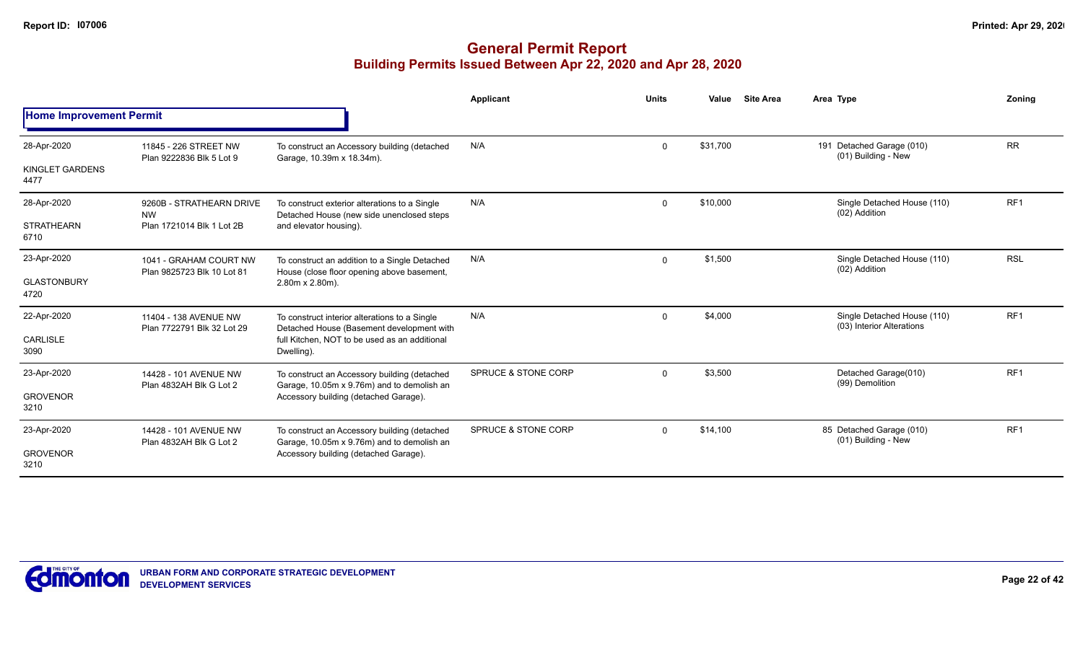|                                |                                                     |                                                                                            | <b>Applicant</b>               | <b>Units</b> | Value    | <b>Site Area</b> | Area Type                                                                 | Zonina          |
|--------------------------------|-----------------------------------------------------|--------------------------------------------------------------------------------------------|--------------------------------|--------------|----------|------------------|---------------------------------------------------------------------------|-----------------|
| <b>Home Improvement Permit</b> |                                                     |                                                                                            |                                |              |          |                  |                                                                           |                 |
| 28-Apr-2020                    | 11845 - 226 STREET NW<br>Plan 9222836 Blk 5 Lot 9   | To construct an Accessory building (detached<br>Garage, 10.39m x 18.34m).                  | N/A                            | 0            | \$31,700 |                  | 191 Detached Garage (010)<br>(01) Building - New                          | <b>RR</b>       |
| KINGLET GARDENS<br>4477        |                                                     |                                                                                            |                                |              |          |                  |                                                                           |                 |
| 28-Apr-2020                    | 9260B - STRATHEARN DRIVE<br><b>NW</b>               | To construct exterior alterations to a Single<br>Detached House (new side unenclosed steps | N/A                            | $\mathbf 0$  | \$10,000 |                  | Single Detached House (110)<br>(02) Addition                              | RF <sub>1</sub> |
| <b>STRATHEARN</b><br>6710      | Plan 1721014 Blk 1 Lot 2B                           | and elevator housing).                                                                     |                                |              |          |                  |                                                                           |                 |
| 23-Apr-2020                    | 1041 - GRAHAM COURT NW                              | To construct an addition to a Single Detached                                              | N/A                            | $\mathbf 0$  | \$1,500  |                  | Single Detached House (110)                                               | <b>RSL</b>      |
| <b>GLASTONBURY</b><br>4720     | Plan 9825723 Blk 10 Lot 81                          | House (close floor opening above basement,<br>2.80m x 2.80m).                              |                                |              |          |                  | (02) Addition<br>Single Detached House (110)<br>(03) Interior Alterations |                 |
| 22-Apr-2020                    | 11404 - 138 AVENUE NW<br>Plan 7722791 Blk 32 Lot 29 | To construct interior alterations to a Single<br>Detached House (Basement development with | N/A                            | $\mathbf 0$  | \$4,000  |                  |                                                                           | RF <sub>1</sub> |
| <b>CARLISLE</b><br>3090        |                                                     | full Kitchen. NOT to be used as an additional<br>Dwelling).                                |                                |              |          |                  |                                                                           |                 |
| 23-Apr-2020                    | 14428 - 101 AVENUE NW                               | To construct an Accessory building (detached                                               | SPRUCE & STONE CORP            | $\Omega$     | \$3,500  |                  | Detached Garage(010)<br>(99) Demolition                                   | RF <sub>1</sub> |
| <b>GROVENOR</b><br>3210        | Plan 4832AH Blk G Lot 2                             | Garage, 10.05m x 9.76m) and to demolish an<br>Accessory building (detached Garage).        |                                |              |          |                  |                                                                           |                 |
| 23-Apr-2020                    | 14428 - 101 AVENUE NW                               | To construct an Accessory building (detached                                               | <b>SPRUCE &amp; STONE CORP</b> | $\mathbf 0$  | \$14,100 |                  | 85 Detached Garage (010)<br>(01) Building - New                           | RF <sub>1</sub> |
| <b>GROVENOR</b><br>3210        | Plan 4832AH Blk G Lot 2                             | Garage, 10.05m x 9.76m) and to demolish an<br>Accessory building (detached Garage).        |                                |              |          |                  |                                                                           |                 |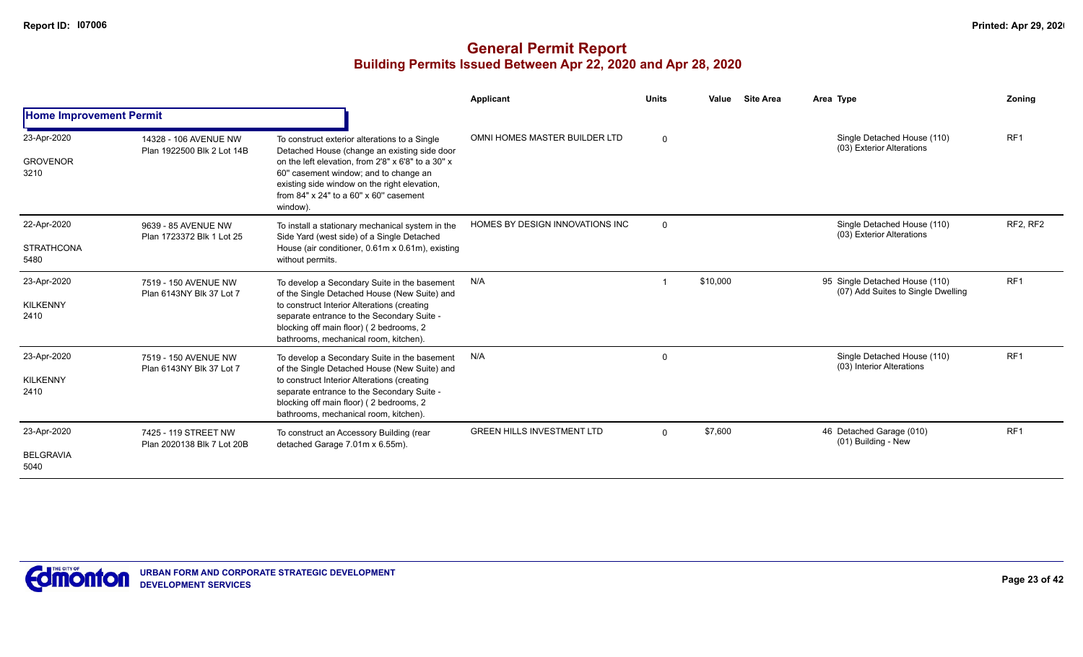|                                          |                                                     |                                                                                                                                                                                                                                                                                                            | Applicant                         | <b>Units</b> | Value<br><b>Site Area</b> | Area Type                                                            | <b>Zoning</b>   |
|------------------------------------------|-----------------------------------------------------|------------------------------------------------------------------------------------------------------------------------------------------------------------------------------------------------------------------------------------------------------------------------------------------------------------|-----------------------------------|--------------|---------------------------|----------------------------------------------------------------------|-----------------|
| <b>Home Improvement Permit</b>           |                                                     |                                                                                                                                                                                                                                                                                                            |                                   |              |                           |                                                                      |                 |
| 23-Apr-2020<br><b>GROVENOR</b><br>3210   | 14328 - 106 AVENUE NW<br>Plan 1922500 Blk 2 Lot 14B | To construct exterior alterations to a Single<br>Detached House (change an existing side door<br>on the left elevation, from 2'8" x 6'8" to a 30" x<br>60" casement window; and to change an<br>existing side window on the right elevation,<br>from $84"$ x $24"$ to a $60"$ x $60"$ casement<br>window). | OMNI HOMES MASTER BUILDER LTD     | $\Omega$     |                           | Single Detached House (110)<br>(03) Exterior Alterations             | RF <sub>1</sub> |
| 22-Apr-2020<br><b>STRATHCONA</b><br>5480 | 9639 - 85 AVENUE NW<br>Plan 1723372 Blk 1 Lot 25    | To install a stationary mechanical system in the<br>Side Yard (west side) of a Single Detached<br>House (air conditioner, 0.61m x 0.61m), existing<br>without permits.                                                                                                                                     | HOMES BY DESIGN INNOVATIONS INC   | $\mathbf 0$  |                           | Single Detached House (110)<br>(03) Exterior Alterations             | RF2, RF2        |
| 23-Apr-2020<br><b>KILKENNY</b><br>2410   | 7519 - 150 AVENUE NW<br>Plan 6143NY Blk 37 Lot 7    | To develop a Secondary Suite in the basement<br>of the Single Detached House (New Suite) and<br>to construct Interior Alterations (creating<br>separate entrance to the Secondary Suite -<br>blocking off main floor) (2 bedrooms, 2<br>bathrooms, mechanical room, kitchen).                              | N/A                               |              | \$10,000                  | 95 Single Detached House (110)<br>(07) Add Suites to Single Dwelling | RF <sub>1</sub> |
| 23-Apr-2020<br><b>KILKENNY</b><br>2410   | 7519 - 150 AVENUE NW<br>Plan 6143NY Blk 37 Lot 7    | To develop a Secondary Suite in the basement<br>of the Single Detached House (New Suite) and<br>to construct Interior Alterations (creating<br>separate entrance to the Secondary Suite -<br>blocking off main floor) (2 bedrooms, 2<br>bathrooms, mechanical room, kitchen).                              | N/A                               | $\Omega$     |                           | Single Detached House (110)<br>(03) Interior Alterations             | RF1             |
| 23-Apr-2020<br><b>BELGRAVIA</b><br>5040  | 7425 - 119 STREET NW<br>Plan 2020138 Blk 7 Lot 20B  | To construct an Accessory Building (rear<br>detached Garage 7.01m x 6.55m).                                                                                                                                                                                                                                | <b>GREEN HILLS INVESTMENT LTD</b> | $\Omega$     | \$7,600                   | 46 Detached Garage (010)<br>(01) Building - New                      | RF <sub>1</sub> |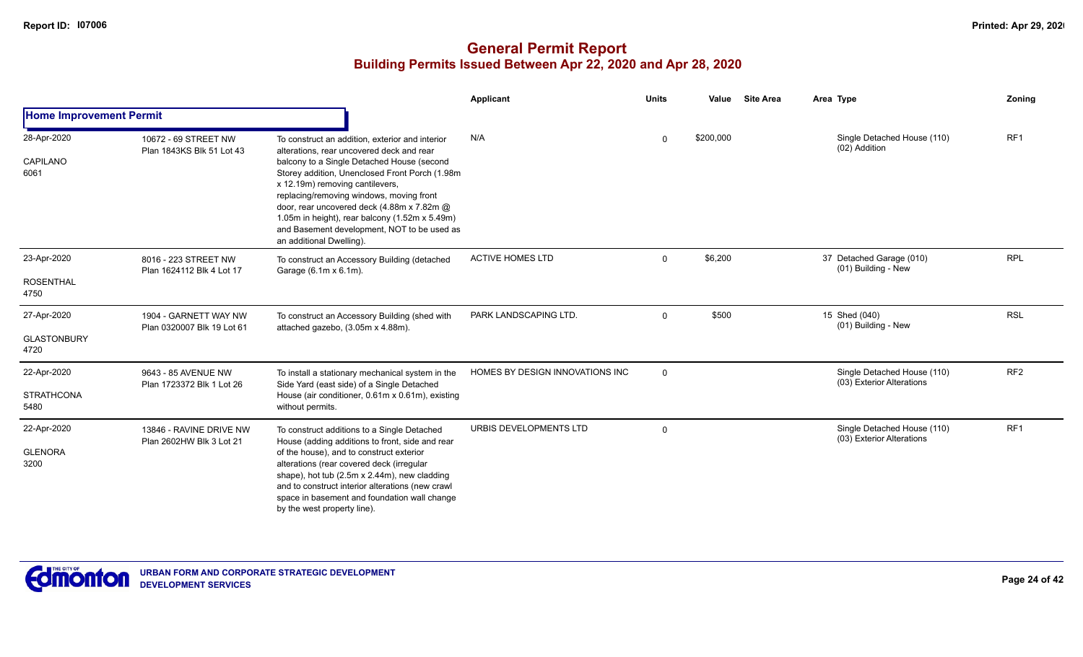|                                           |                                                     |                                                                                                                                                                                                                                                                                                                                                                                                                                                        | <b>Applicant</b>                | <b>Units</b> | Value     | <b>Site Area</b> | Area Type                                                | Zoning          |
|-------------------------------------------|-----------------------------------------------------|--------------------------------------------------------------------------------------------------------------------------------------------------------------------------------------------------------------------------------------------------------------------------------------------------------------------------------------------------------------------------------------------------------------------------------------------------------|---------------------------------|--------------|-----------|------------------|----------------------------------------------------------|-----------------|
| <b>Home Improvement Permit</b>            |                                                     |                                                                                                                                                                                                                                                                                                                                                                                                                                                        |                                 |              |           |                  |                                                          |                 |
| 28-Apr-2020<br><b>CAPILANO</b><br>6061    | 10672 - 69 STREET NW<br>Plan 1843KS Blk 51 Lot 43   | To construct an addition, exterior and interior<br>alterations, rear uncovered deck and rear<br>balcony to a Single Detached House (second<br>Storey addition, Unenclosed Front Porch (1.98m<br>x 12.19m) removing cantilevers,<br>replacing/removing windows, moving front<br>door, rear uncovered deck (4.88m x 7.82m @<br>1.05m in height), rear balcony (1.52m x 5.49m)<br>and Basement development, NOT to be used as<br>an additional Dwelling). | N/A                             | $\Omega$     | \$200,000 |                  | Single Detached House (110)<br>(02) Addition             | RF <sub>1</sub> |
| 23-Apr-2020<br><b>ROSENTHAL</b><br>4750   | 8016 - 223 STREET NW<br>Plan 1624112 Blk 4 Lot 17   | To construct an Accessory Building (detached<br>Garage (6.1m x 6.1m).                                                                                                                                                                                                                                                                                                                                                                                  | <b>ACTIVE HOMES LTD</b>         | $\mathbf{0}$ | \$6,200   |                  | 37 Detached Garage (010)<br>(01) Building - New          | <b>RPL</b>      |
| 27-Apr-2020<br><b>GLASTONBURY</b><br>4720 | 1904 - GARNETT WAY NW<br>Plan 0320007 Blk 19 Lot 61 | To construct an Accessory Building (shed with<br>attached gazebo, (3.05m x 4.88m).                                                                                                                                                                                                                                                                                                                                                                     | PARK LANDSCAPING LTD.           | $\mathbf{0}$ | \$500     |                  | 15 Shed (040)<br>(01) Building - New                     | <b>RSL</b>      |
| 22-Apr-2020<br><b>STRATHCONA</b><br>5480  | 9643 - 85 AVENUE NW<br>Plan 1723372 Blk 1 Lot 26    | To install a stationary mechanical system in the<br>Side Yard (east side) of a Single Detached<br>House (air conditioner, 0.61m x 0.61m), existing<br>without permits.                                                                                                                                                                                                                                                                                 | HOMES BY DESIGN INNOVATIONS INC | $\mathbf 0$  |           |                  | Single Detached House (110)<br>(03) Exterior Alterations | RF <sub>2</sub> |
| 22-Apr-2020<br><b>GLENORA</b><br>3200     | 13846 - RAVINE DRIVE NW<br>Plan 2602HW Blk 3 Lot 21 | To construct additions to a Single Detached<br>House (adding additions to front, side and rear<br>of the house), and to construct exterior<br>alterations (rear covered deck (irregular<br>shape), hot tub (2.5m x 2.44m), new cladding<br>and to construct interior alterations (new crawl<br>space in basement and foundation wall change<br>by the west property line).                                                                             | URBIS DEVELOPMENTS LTD          | $\Omega$     |           |                  | Single Detached House (110)<br>(03) Exterior Alterations | RF1             |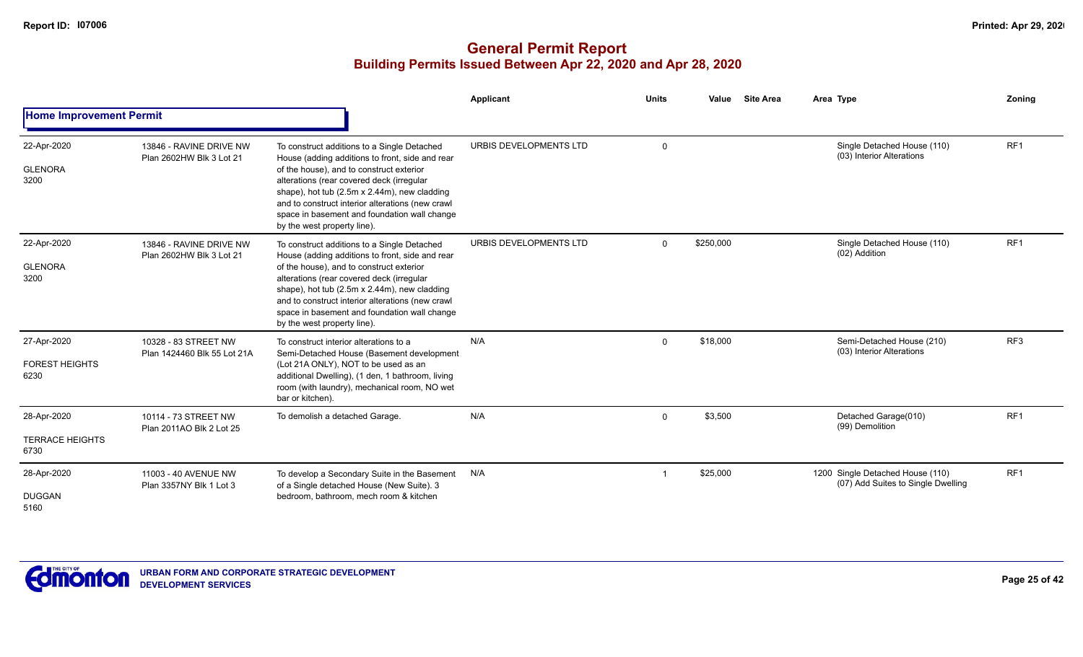|                                               |                                                     |                                                                                                                                                                                                                                                                                                                                                                            | <b>Applicant</b>       | <b>Units</b> | <b>Site Area</b><br>Value | Area Type                                                              | Zoning          |
|-----------------------------------------------|-----------------------------------------------------|----------------------------------------------------------------------------------------------------------------------------------------------------------------------------------------------------------------------------------------------------------------------------------------------------------------------------------------------------------------------------|------------------------|--------------|---------------------------|------------------------------------------------------------------------|-----------------|
| <b>Home Improvement Permit</b>                |                                                     |                                                                                                                                                                                                                                                                                                                                                                            |                        |              |                           |                                                                        |                 |
| 22-Apr-2020<br><b>GLENORA</b><br>3200         | 13846 - RAVINE DRIVE NW<br>Plan 2602HW Blk 3 Lot 21 | To construct additions to a Single Detached<br>House (adding additions to front, side and rear<br>of the house), and to construct exterior<br>alterations (rear covered deck (irregular<br>shape), hot tub (2.5m x 2.44m), new cladding<br>and to construct interior alterations (new crawl<br>space in basement and foundation wall change<br>by the west property line). | URBIS DEVELOPMENTS LTD | $\mathbf 0$  |                           | Single Detached House (110)<br>(03) Interior Alterations               | RF <sub>1</sub> |
| 22-Apr-2020<br><b>GLENORA</b><br>3200         | 13846 - RAVINE DRIVE NW<br>Plan 2602HW Blk 3 Lot 21 | To construct additions to a Single Detached<br>House (adding additions to front, side and rear<br>of the house), and to construct exterior<br>alterations (rear covered deck (irregular<br>shape), hot tub (2.5m x 2.44m), new cladding<br>and to construct interior alterations (new crawl<br>space in basement and foundation wall change<br>by the west property line). | URBIS DEVELOPMENTS LTD | $\Omega$     | \$250,000                 | Single Detached House (110)<br>(02) Addition                           | RF <sub>1</sub> |
| 27-Apr-2020<br><b>FOREST HEIGHTS</b><br>6230  | 10328 - 83 STREET NW<br>Plan 1424460 Blk 55 Lot 21A | To construct interior alterations to a<br>Semi-Detached House (Basement development<br>(Lot 21A ONLY), NOT to be used as an<br>additional Dwelling), (1 den, 1 bathroom, living<br>room (with laundry), mechanical room, NO wet<br>bar or kitchen).                                                                                                                        | N/A                    | $\Omega$     | \$18,000                  | Semi-Detached House (210)<br>(03) Interior Alterations                 | RF3             |
| 28-Apr-2020<br><b>TERRACE HEIGHTS</b><br>6730 | 10114 - 73 STREET NW<br>Plan 2011AO Blk 2 Lot 25    | To demolish a detached Garage.                                                                                                                                                                                                                                                                                                                                             | N/A                    | $\mathbf 0$  | \$3,500                   | Detached Garage(010)<br>(99) Demolition                                | RF <sub>1</sub> |
| 28-Apr-2020<br><b>DUGGAN</b><br>5160          | 11003 - 40 AVENUE NW<br>Plan 3357NY Blk 1 Lot 3     | To develop a Secondary Suite in the Basement<br>of a Single detached House (New Suite). 3<br>bedroom, bathroom, mech room & kitchen                                                                                                                                                                                                                                        | N/A                    |              | \$25,000                  | 1200 Single Detached House (110)<br>(07) Add Suites to Single Dwelling | RF1             |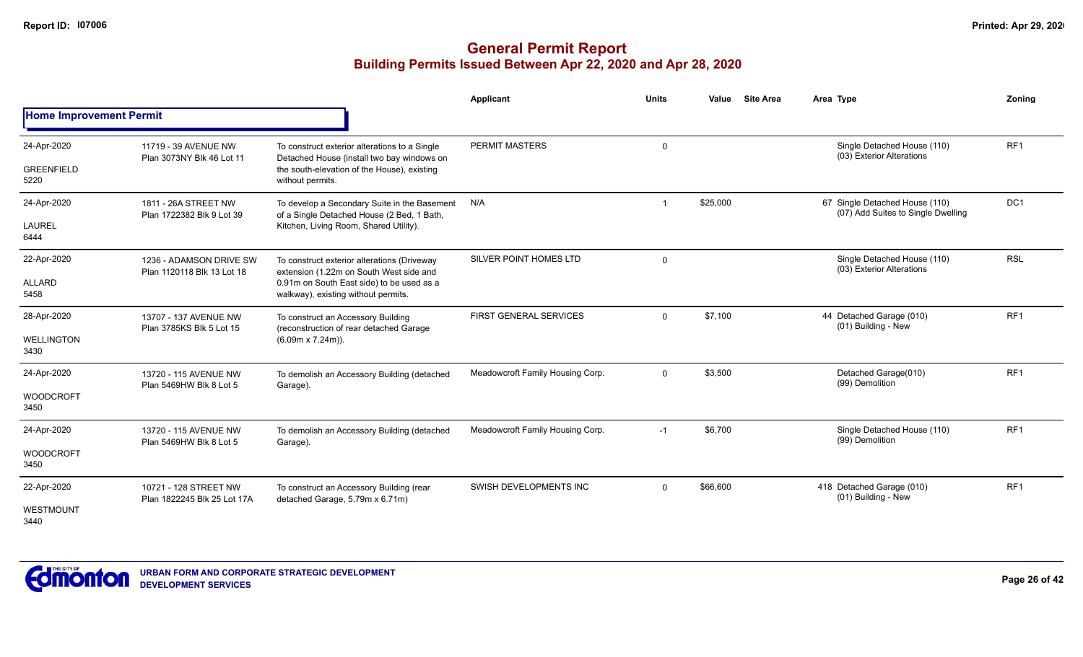|                                          |                                                       |                                                                                                                                                                            | <b>Applicant</b>                 | <b>Units</b> | <b>Site Area</b><br>Value | Area Type                                                            | Zonina          |
|------------------------------------------|-------------------------------------------------------|----------------------------------------------------------------------------------------------------------------------------------------------------------------------------|----------------------------------|--------------|---------------------------|----------------------------------------------------------------------|-----------------|
| <b>Home Improvement Permit</b>           |                                                       |                                                                                                                                                                            |                                  |              |                           |                                                                      |                 |
| 24-Apr-2020<br><b>GREENFIELD</b><br>5220 | 11719 - 39 AVENUE NW<br>Plan 3073NY Blk 46 Lot 11     | To construct exterior alterations to a Single<br>Detached House (install two bay windows on<br>the south-elevation of the House), existing<br>without permits.             | PERMIT MASTERS                   | $\mathbf 0$  |                           | Single Detached House (110)<br>(03) Exterior Alterations             | RF <sub>1</sub> |
| 24-Apr-2020<br><b>LAUREL</b><br>6444     | 1811 - 26A STREET NW<br>Plan 1722382 Blk 9 Lot 39     | To develop a Secondary Suite in the Basement<br>of a Single Detached House (2 Bed, 1 Bath,<br>Kitchen, Living Room, Shared Utility).                                       | N/A                              |              | \$25,000                  | 67 Single Detached House (110)<br>(07) Add Suites to Single Dwelling | DC <sub>1</sub> |
| 22-Apr-2020<br><b>ALLARD</b><br>5458     | 1236 - ADAMSON DRIVE SW<br>Plan 1120118 Blk 13 Lot 18 | To construct exterior alterations (Driveway<br>extension (1.22m on South West side and<br>0.91m on South East side) to be used as a<br>walkway), existing without permits. | SILVER POINT HOMES LTD           | $\mathbf{0}$ |                           | Single Detached House (110)<br>(03) Exterior Alterations             | <b>RSL</b>      |
| 28-Apr-2020<br><b>WELLINGTON</b><br>3430 | 13707 - 137 AVENUE NW<br>Plan 3785KS Blk 5 Lot 15     | To construct an Accessory Building<br>(reconstruction of rear detached Garage<br>$(6.09m \times 7.24m)$ ).                                                                 | <b>FIRST GENERAL SERVICES</b>    | $\Omega$     | \$7,100                   | 44 Detached Garage (010)<br>(01) Building - New                      | RF <sub>1</sub> |
| 24-Apr-2020<br><b>WOODCROFT</b><br>3450  | 13720 - 115 AVENUE NW<br>Plan 5469HW Blk 8 Lot 5      | To demolish an Accessory Building (detached<br>Garage).                                                                                                                    | Meadowcroft Family Housing Corp. | $\mathbf{0}$ | \$3,500                   | Detached Garage(010)<br>(99) Demolition                              | RF <sub>1</sub> |
| 24-Apr-2020<br><b>WOODCROFT</b><br>3450  | 13720 - 115 AVENUE NW<br>Plan 5469HW Blk 8 Lot 5      | To demolish an Accessory Building (detached<br>Garage).                                                                                                                    | Meadowcroft Family Housing Corp. | $-1$         | \$6,700                   | Single Detached House (110)<br>(99) Demolition                       | RF <sub>1</sub> |
| 22-Apr-2020<br>WESTMOUNT<br>3440         | 10721 - 128 STREET NW<br>Plan 1822245 Blk 25 Lot 17A  | To construct an Accessory Building (rear<br>detached Garage, 5.79m x 6.71m)                                                                                                | SWISH DEVELOPMENTS INC           | $\Omega$     | \$66,600                  | 418 Detached Garage (010)<br>(01) Building - New                     | RF <sub>1</sub> |

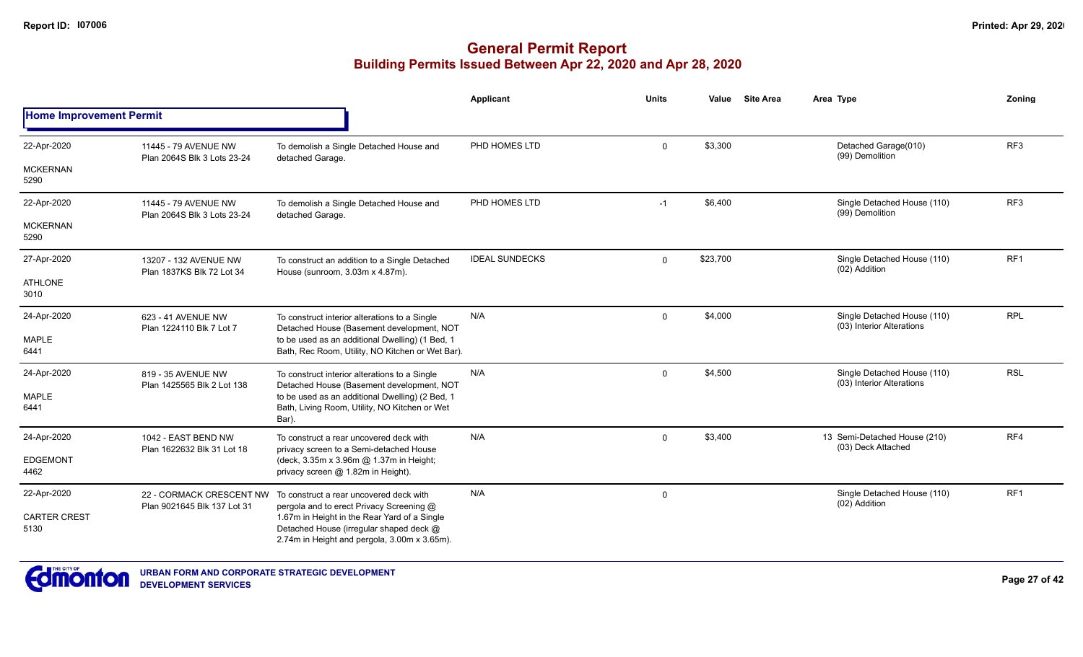|                                |                                                         |                                                                                                                                         | Applicant             | <b>Units</b> | Value    | <b>Site Area</b> | Area Type                                                | Zoning          |
|--------------------------------|---------------------------------------------------------|-----------------------------------------------------------------------------------------------------------------------------------------|-----------------------|--------------|----------|------------------|----------------------------------------------------------|-----------------|
| <b>Home Improvement Permit</b> |                                                         |                                                                                                                                         |                       |              |          |                  |                                                          |                 |
| 22-Apr-2020                    | 11445 - 79 AVENUE NW<br>Plan 2064S Blk 3 Lots 23-24     | To demolish a Single Detached House and<br>detached Garage.                                                                             | PHD HOMES LTD         | $\mathbf 0$  | \$3,300  |                  | Detached Garage(010)<br>(99) Demolition                  | RF <sub>3</sub> |
| <b>MCKERNAN</b><br>5290        |                                                         |                                                                                                                                         |                       |              |          |                  |                                                          |                 |
| 22-Apr-2020                    | 11445 - 79 AVENUE NW<br>Plan 2064S Blk 3 Lots 23-24     | To demolish a Single Detached House and<br>detached Garage.                                                                             | PHD HOMES LTD         | $-1$         | \$6,400  |                  | Single Detached House (110)<br>(99) Demolition           | RF <sub>3</sub> |
| <b>MCKERNAN</b><br>5290        |                                                         |                                                                                                                                         |                       |              |          |                  |                                                          |                 |
| 27-Apr-2020                    | 13207 - 132 AVENUE NW<br>Plan 1837KS Blk 72 Lot 34      | To construct an addition to a Single Detached<br>House (sunroom, 3.03m x 4.87m).                                                        | <b>IDEAL SUNDECKS</b> | $\mathbf 0$  | \$23,700 |                  | Single Detached House (110)<br>(02) Addition             | RF <sub>1</sub> |
| <b>ATHLONE</b><br>3010         |                                                         |                                                                                                                                         |                       |              |          |                  |                                                          |                 |
| 24-Apr-2020                    | 623 - 41 AVENUE NW<br>Plan 1224110 Blk 7 Lot 7          | To construct interior alterations to a Single<br>Detached House (Basement development, NOT                                              | N/A                   | $\mathbf 0$  | \$4,000  |                  | Single Detached House (110)<br>(03) Interior Alterations | <b>RPL</b>      |
| <b>MAPLE</b><br>6441           |                                                         | to be used as an additional Dwelling) (1 Bed, 1<br>Bath, Rec Room, Utility, NO Kitchen or Wet Bar).                                     |                       |              |          |                  |                                                          |                 |
| 24-Apr-2020                    | 819 - 35 AVENUE NW<br>Plan 1425565 Blk 2 Lot 138        | To construct interior alterations to a Single<br>Detached House (Basement development, NOT                                              | N/A                   | $\mathbf 0$  | \$4,500  |                  | Single Detached House (110)<br>(03) Interior Alterations | <b>RSL</b>      |
| <b>MAPLE</b><br>6441           |                                                         | to be used as an additional Dwelling) (2 Bed, 1<br>Bath, Living Room, Utility, NO Kitchen or Wet<br>Bar).                               |                       |              |          |                  |                                                          |                 |
| 24-Apr-2020                    | 1042 - EAST BEND NW                                     | To construct a rear uncovered deck with<br>privacy screen to a Semi-detached House                                                      | N/A                   | 0            | \$3,400  |                  | 13 Semi-Detached House (210)<br>(03) Deck Attached       | RF4             |
| <b>EDGEMONT</b><br>4462        | Plan 1622632 Blk 31 Lot 18                              | (deck, 3.35m x 3.96m @ 1.37m in Height;<br>privacy screen @ 1.82m in Height).                                                           |                       |              |          |                  |                                                          |                 |
| 22-Apr-2020                    | 22 - CORMACK CRESCENT NW<br>Plan 9021645 Blk 137 Lot 31 | To construct a rear uncovered deck with<br>pergola and to erect Privacy Screening @                                                     | N/A                   | 0            |          |                  | Single Detached House (110)<br>(02) Addition             | RF <sub>1</sub> |
| <b>CARTER CREST</b><br>5130    |                                                         | 1.67m in Height in the Rear Yard of a Single<br>Detached House (irregular shaped deck @<br>2.74m in Height and pergola, 3.00m x 3.65m). |                       |              |          |                  |                                                          |                 |

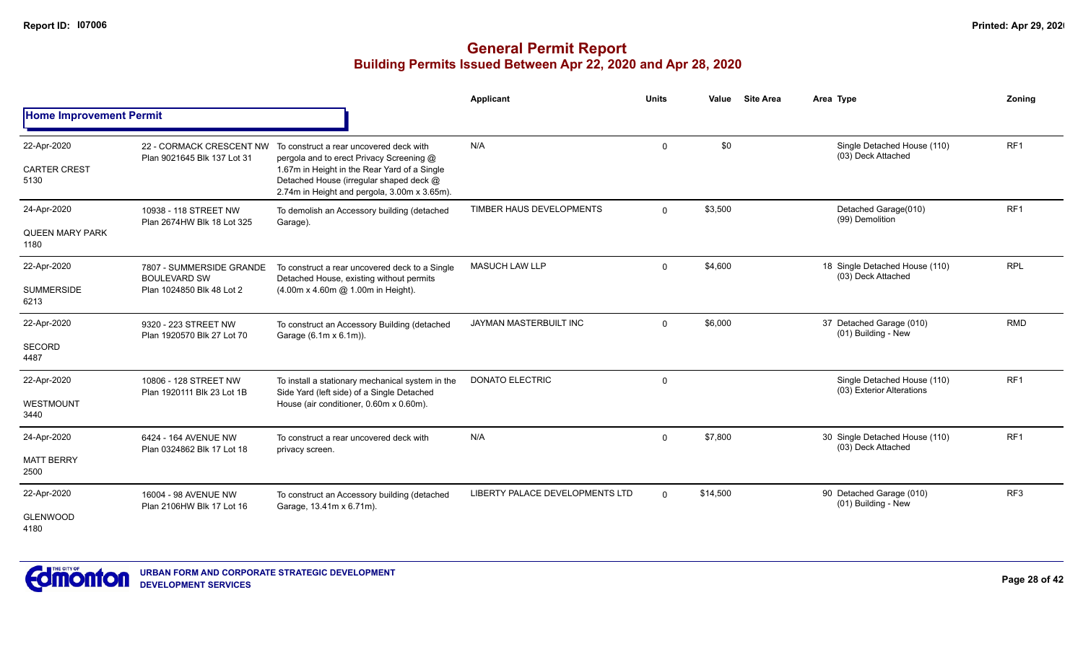|                                               |                                                                              |                                                                                                                                                                                                                                                         | Applicant                       | <b>Units</b> | Value    | <b>Site Area</b> | Area Type                                                | Zoning          |
|-----------------------------------------------|------------------------------------------------------------------------------|---------------------------------------------------------------------------------------------------------------------------------------------------------------------------------------------------------------------------------------------------------|---------------------------------|--------------|----------|------------------|----------------------------------------------------------|-----------------|
| <b>Home Improvement Permit</b>                |                                                                              |                                                                                                                                                                                                                                                         |                                 |              |          |                  |                                                          |                 |
| 22-Apr-2020<br><b>CARTER CREST</b><br>5130    | Plan 9021645 Blk 137 Lot 31                                                  | 22 - CORMACK CRESCENT NW To construct a rear uncovered deck with<br>pergola and to erect Privacy Screening @<br>1.67m in Height in the Rear Yard of a Single<br>Detached House (irregular shaped deck @<br>2.74m in Height and pergola, 3.00m x 3.65m). | N/A                             | $\mathbf{0}$ | \$0      |                  | Single Detached House (110)<br>(03) Deck Attached        | RF <sub>1</sub> |
| 24-Apr-2020<br><b>QUEEN MARY PARK</b><br>1180 | 10938 - 118 STREET NW<br>Plan 2674HW Blk 18 Lot 325                          | To demolish an Accessory building (detached<br>Garage).                                                                                                                                                                                                 | TIMBER HAUS DEVELOPMENTS        | $\Omega$     | \$3,500  |                  | Detached Garage(010)<br>(99) Demolition                  | RF1             |
| 22-Apr-2020<br><b>SUMMERSIDE</b><br>6213      | 7807 - SUMMERSIDE GRANDE<br><b>BOULEVARD SW</b><br>Plan 1024850 Blk 48 Lot 2 | To construct a rear uncovered deck to a Single<br>Detached House, existing without permits<br>(4.00m x 4.60m @ 1.00m in Height).                                                                                                                        | <b>MASUCH LAW LLP</b>           | $\mathbf 0$  | \$4,600  |                  | 18 Single Detached House (110)<br>(03) Deck Attached     | <b>RPL</b>      |
| 22-Apr-2020<br>SECORD<br>4487                 | 9320 - 223 STREET NW<br>Plan 1920570 Blk 27 Lot 70                           | To construct an Accessory Building (detached<br>Garage (6.1m x 6.1m)).                                                                                                                                                                                  | JAYMAN MASTERBUILT INC          | $\mathbf 0$  | \$6,000  |                  | 37 Detached Garage (010)<br>(01) Building - New          | <b>RMD</b>      |
| 22-Apr-2020<br><b>WESTMOUNT</b><br>3440       | 10806 - 128 STREET NW<br>Plan 1920111 Blk 23 Lot 1B                          | To install a stationary mechanical system in the<br>Side Yard (left side) of a Single Detached<br>House (air conditioner, 0.60m x 0.60m).                                                                                                               | <b>DONATO ELECTRIC</b>          | 0            |          |                  | Single Detached House (110)<br>(03) Exterior Alterations | RF <sub>1</sub> |
| 24-Apr-2020<br><b>MATT BERRY</b><br>2500      | 6424 - 164 AVENUE NW<br>Plan 0324862 Blk 17 Lot 18                           | To construct a rear uncovered deck with<br>privacy screen.                                                                                                                                                                                              | N/A                             | $\mathbf 0$  | \$7,800  |                  | 30 Single Detached House (110)<br>(03) Deck Attached     | RF <sub>1</sub> |
| 22-Apr-2020<br><b>GLENWOOD</b><br>4180        | 16004 - 98 AVENUE NW<br>Plan 2106HW Blk 17 Lot 16                            | To construct an Accessory building (detached<br>Garage, 13.41m x 6.71m).                                                                                                                                                                                | LIBERTY PALACE DEVELOPMENTS LTD | $\Omega$     | \$14,500 |                  | 90 Detached Garage (010)<br>(01) Building - New          | RF3             |

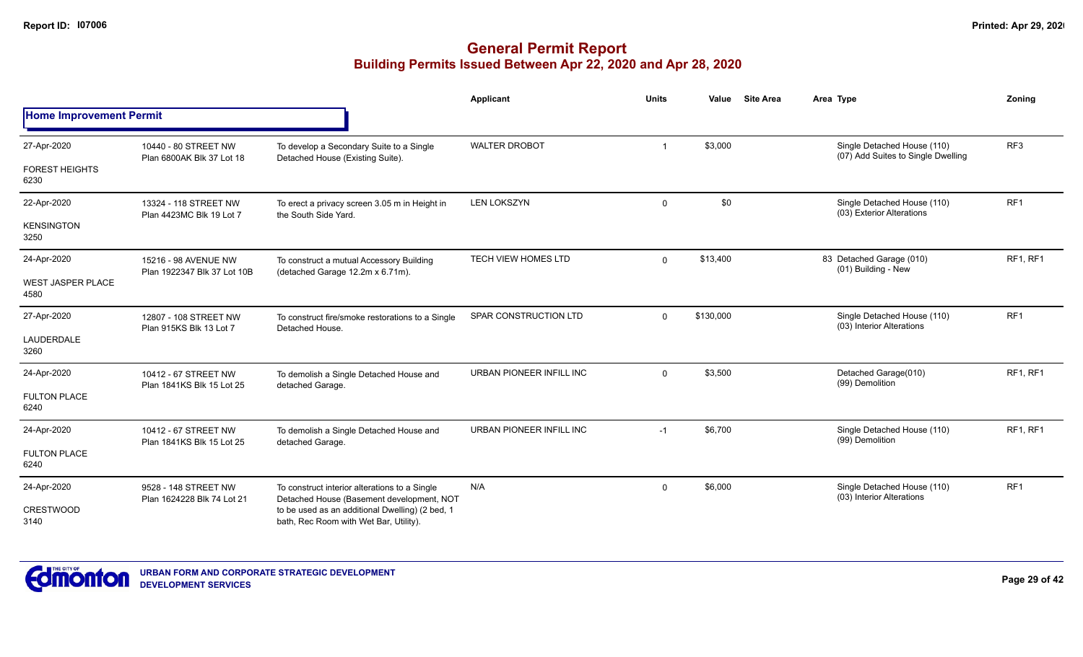|                                  |                                                     |                                                                                            | <b>Applicant</b>             | <b>Units</b> | Value     | <b>Site Area</b> | Area Type                                                         | Zoning          |
|----------------------------------|-----------------------------------------------------|--------------------------------------------------------------------------------------------|------------------------------|--------------|-----------|------------------|-------------------------------------------------------------------|-----------------|
| <b>Home Improvement Permit</b>   |                                                     |                                                                                            |                              |              |           |                  |                                                                   |                 |
| 27-Apr-2020                      | 10440 - 80 STREET NW<br>Plan 6800AK Blk 37 Lot 18   | To develop a Secondary Suite to a Single<br>Detached House (Existing Suite).               | <b>WALTER DROBOT</b>         | -1           | \$3,000   |                  | Single Detached House (110)<br>(07) Add Suites to Single Dwelling | RF <sub>3</sub> |
| <b>FOREST HEIGHTS</b><br>6230    |                                                     |                                                                                            |                              |              |           |                  |                                                                   |                 |
| 22-Apr-2020                      | 13324 - 118 STREET NW<br>Plan 4423MC Blk 19 Lot 7   | To erect a privacy screen 3.05 m in Height in<br>the South Side Yard.                      | <b>LEN LOKSZYN</b>           | $\mathbf 0$  | \$0       |                  | Single Detached House (110)<br>(03) Exterior Alterations          | RF <sub>1</sub> |
| <b>KENSINGTON</b><br>3250        |                                                     |                                                                                            |                              |              |           |                  |                                                                   |                 |
| 24-Apr-2020                      | 15216 - 98 AVENUE NW<br>Plan 1922347 Blk 37 Lot 10B | To construct a mutual Accessory Building<br>(detached Garage 12.2m x 6.71m).               | <b>TECH VIEW HOMES LTD</b>   | $\Omega$     | \$13,400  |                  | 83 Detached Garage (010)<br>(01) Building - New                   | RF1, RF1        |
| <b>WEST JASPER PLACE</b><br>4580 |                                                     |                                                                                            |                              |              |           |                  |                                                                   |                 |
| 27-Apr-2020                      | 12807 - 108 STREET NW                               | To construct fire/smoke restorations to a Single<br>Detached House.                        | <b>SPAR CONSTRUCTION LTD</b> | $\mathbf 0$  | \$130,000 |                  | Single Detached House (110)<br>(03) Interior Alterations          | RF <sub>1</sub> |
| LAUDERDALE<br>3260               | Plan 915KS Blk 13 Lot 7                             |                                                                                            |                              |              |           |                  |                                                                   |                 |
| 24-Apr-2020                      | 10412 - 67 STREET NW<br>Plan 1841KS Blk 15 Lot 25   | To demolish a Single Detached House and<br>detached Garage.                                | URBAN PIONEER INFILL INC     | $\mathbf 0$  | \$3,500   |                  | Detached Garage(010)<br>(99) Demolition                           | RF1, RF1        |
| <b>FULTON PLACE</b><br>6240      |                                                     |                                                                                            |                              |              |           |                  |                                                                   |                 |
| 24-Apr-2020                      | 10412 - 67 STREET NW                                | To demolish a Single Detached House and<br>detached Garage.                                | URBAN PIONEER INFILL INC     | $-1$         | \$6,700   |                  | Single Detached House (110)<br>(99) Demolition                    | RF1, RF1        |
| <b>FULTON PLACE</b><br>6240      | Plan 1841KS Blk 15 Lot 25                           |                                                                                            |                              |              |           |                  |                                                                   |                 |
| 24-Apr-2020                      | 9528 - 148 STREET NW<br>Plan 1624228 Blk 74 Lot 21  | To construct interior alterations to a Single<br>Detached House (Basement development, NOT | N/A                          | $\mathbf 0$  | \$6,000   |                  | Single Detached House (110)<br>(03) Interior Alterations          | RF <sub>1</sub> |
| <b>CRESTWOOD</b><br>3140         |                                                     | to be used as an additional Dwelling) (2 bed, 1<br>bath, Rec Room with Wet Bar, Utility).  |                              |              |           |                  |                                                                   |                 |

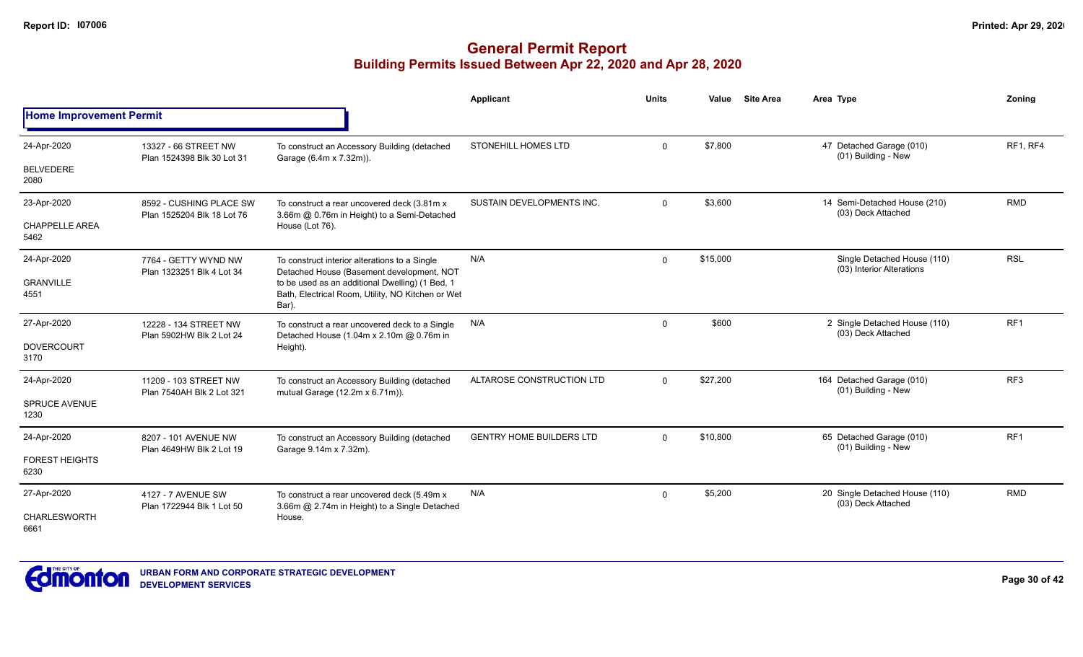|                                |                                                       |                                                                                                               | <b>Applicant</b>                | <b>Units</b> | Value    | <b>Site Area</b> | Area Type                                                | Zoning          |
|--------------------------------|-------------------------------------------------------|---------------------------------------------------------------------------------------------------------------|---------------------------------|--------------|----------|------------------|----------------------------------------------------------|-----------------|
| <b>Home Improvement Permit</b> |                                                       |                                                                                                               |                                 |              |          |                  |                                                          |                 |
| 24-Apr-2020                    | 13327 - 66 STREET NW<br>Plan 1524398 Blk 30 Lot 31    | To construct an Accessory Building (detached<br>Garage (6.4m x 7.32m)).                                       | STONEHILL HOMES LTD             | $\mathbf{0}$ | \$7,800  |                  | 47 Detached Garage (010)<br>(01) Building - New          | RF1, RF4        |
| <b>BELVEDERE</b><br>2080       |                                                       |                                                                                                               |                                 |              |          |                  |                                                          |                 |
| 23-Apr-2020                    | 8592 - CUSHING PLACE SW<br>Plan 1525204 Blk 18 Lot 76 | To construct a rear uncovered deck (3.81m x<br>3.66m @ 0.76m in Height) to a Semi-Detached                    | SUSTAIN DEVELOPMENTS INC.       | $\Omega$     | \$3,600  |                  | 14 Semi-Detached House (210)<br>(03) Deck Attached       | <b>RMD</b>      |
| <b>CHAPPELLE AREA</b><br>5462  |                                                       | House (Lot 76).                                                                                               |                                 |              |          |                  |                                                          |                 |
| 24-Apr-2020                    | 7764 - GETTY WYND NW<br>Plan 1323251 Blk 4 Lot 34     | To construct interior alterations to a Single<br>Detached House (Basement development, NOT                    | N/A                             | 0            | \$15,000 |                  | Single Detached House (110)<br>(03) Interior Alterations | <b>RSL</b>      |
| <b>GRANVILLE</b><br>4551       |                                                       | to be used as an additional Dwelling) (1 Bed, 1<br>Bath, Electrical Room, Utility, NO Kitchen or Wet<br>Bar). |                                 |              |          |                  |                                                          |                 |
| 27-Apr-2020                    | 12228 - 134 STREET NW<br>Plan 5902HW Blk 2 Lot 24     | To construct a rear uncovered deck to a Single<br>Detached House (1.04m x 2.10m @ 0.76m in                    | N/A                             | $\Omega$     | \$600    |                  | 2 Single Detached House (110)<br>(03) Deck Attached      | RF1             |
| <b>DOVERCOURT</b><br>3170      |                                                       | Height).                                                                                                      |                                 |              |          |                  |                                                          |                 |
| 24-Apr-2020                    | 11209 - 103 STREET NW<br>Plan 7540AH Blk 2 Lot 321    | To construct an Accessory Building (detached<br>mutual Garage (12.2m x 6.71m)).                               | ALTAROSE CONSTRUCTION LTD       | $\Omega$     | \$27,200 |                  | 164 Detached Garage (010)<br>(01) Building - New         | RF <sub>3</sub> |
| <b>SPRUCE AVENUE</b><br>1230   |                                                       |                                                                                                               |                                 |              |          |                  |                                                          |                 |
| 24-Apr-2020                    | 8207 - 101 AVENUE NW<br>Plan 4649HW Blk 2 Lot 19      | To construct an Accessory Building (detached<br>Garage 9.14m x 7.32m).                                        | <b>GENTRY HOME BUILDERS LTD</b> | $\mathbf{0}$ | \$10,800 |                  | 65 Detached Garage (010)<br>(01) Building - New          | RF <sub>1</sub> |
| <b>FOREST HEIGHTS</b><br>6230  |                                                       |                                                                                                               |                                 |              |          |                  |                                                          |                 |
| 27-Apr-2020                    | 4127 - 7 AVENUE SW<br>Plan 1722944 Blk 1 Lot 50       | To construct a rear uncovered deck (5.49m x<br>3.66m @ 2.74m in Height) to a Single Detached                  | N/A                             | $\mathbf{0}$ | \$5,200  |                  | 20 Single Detached House (110)<br>(03) Deck Attached     | <b>RMD</b>      |
| CHARLESWORTH<br>6661           |                                                       | House.                                                                                                        |                                 |              |          |                  |                                                          |                 |

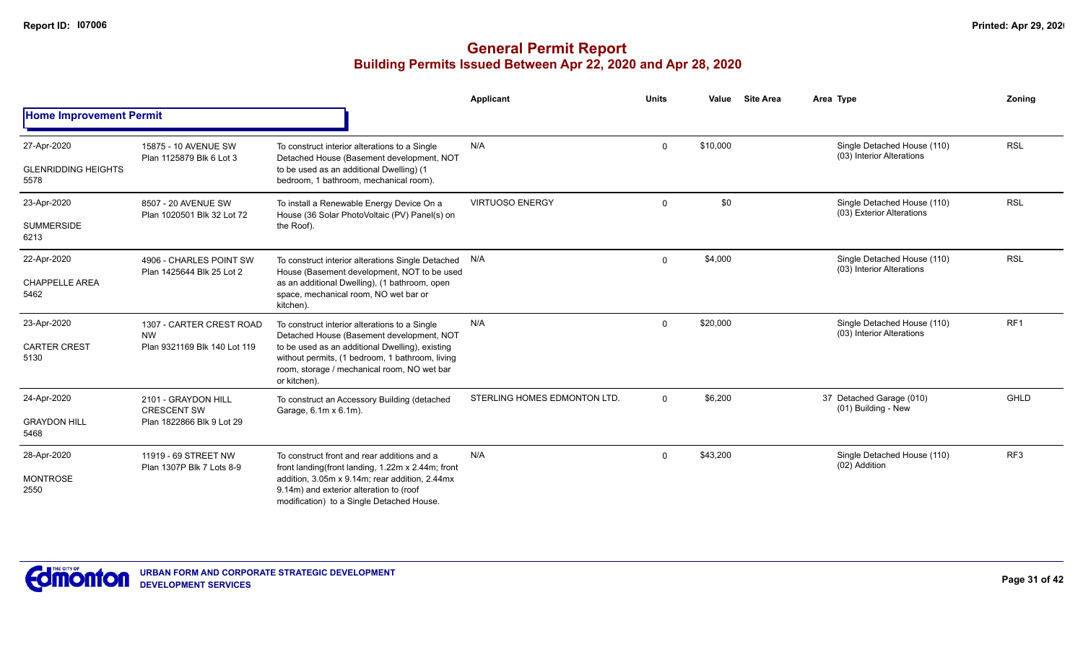|                                                   |                                                                                                                                                                                                                                                                                                                                                                                                                                                                                                                                                                                                                                                                                                                                                                                                                                                                                                                                                                                                                                                                                                                                                                                                                                                                                                                                                                                                                                                                                                                                                                                                                                                                                                                                                                                                                                                                                                                                                                                                           |                                                                                                                                        | <b>Applicant</b> | <b>Units</b> | Value | <b>Site Area</b> | Area Type | Zoning |
|---------------------------------------------------|-----------------------------------------------------------------------------------------------------------------------------------------------------------------------------------------------------------------------------------------------------------------------------------------------------------------------------------------------------------------------------------------------------------------------------------------------------------------------------------------------------------------------------------------------------------------------------------------------------------------------------------------------------------------------------------------------------------------------------------------------------------------------------------------------------------------------------------------------------------------------------------------------------------------------------------------------------------------------------------------------------------------------------------------------------------------------------------------------------------------------------------------------------------------------------------------------------------------------------------------------------------------------------------------------------------------------------------------------------------------------------------------------------------------------------------------------------------------------------------------------------------------------------------------------------------------------------------------------------------------------------------------------------------------------------------------------------------------------------------------------------------------------------------------------------------------------------------------------------------------------------------------------------------------------------------------------------------------------------------------------------------|----------------------------------------------------------------------------------------------------------------------------------------|------------------|--------------|-------|------------------|-----------|--------|
| <b>Home Improvement Permit</b>                    | <b>RSL</b><br>N/A<br>\$10,000<br>Single Detached House (110)<br>$\mathbf 0$<br>15875 - 10 AVENUE SW<br>To construct interior alterations to a Single<br>(03) Interior Alterations<br>Plan 1125879 Blk 6 Lot 3<br>Detached House (Basement development, NOT<br>to be used as an additional Dwelling) (1<br>bedroom, 1 bathroom, mechanical room).<br>\$0<br><b>RSL</b><br><b>VIRTUOSO ENERGY</b><br>Single Detached House (110)<br>0<br>8507 - 20 AVENUE SW<br>To install a Renewable Energy Device On a<br>(03) Exterior Alterations<br>House (36 Solar PhotoVoltaic (PV) Panel(s) on<br>Plan 1020501 Blk 32 Lot 72<br>the Roof).<br>\$4,000<br><b>RSL</b><br>Single Detached House (110)<br>To construct interior alterations Single Detached N/A<br>$\mathbf{0}$<br>4906 - CHARLES POINT SW<br>(03) Interior Alterations<br>Plan 1425644 Blk 25 Lot 2<br>House (Basement development, NOT to be used<br>as an additional Dwelling), (1 bathroom, open<br>space, mechanical room, NO wet bar or<br>kitchen).<br>\$20,000<br>RF <sub>1</sub><br>N/A<br>Single Detached House (110)<br>$\mathbf 0$<br>1307 - CARTER CREST ROAD<br>To construct interior alterations to a Single<br>(03) Interior Alterations<br>Detached House (Basement development, NOT<br><b>NW</b><br>Plan 9321169 Blk 140 Lot 119<br>to be used as an additional Dwelling), existing<br>without permits, (1 bedroom, 1 bathroom, living<br>room, storage / mechanical room, NO wet bar<br>or kitchen).<br>STERLING HOMES EDMONTON LTD.<br>\$6,200<br><b>GHLD</b><br>37 Detached Garage (010)<br>$\Omega$<br>2101 - GRAYDON HILL<br>To construct an Accessory Building (detached<br>(01) Building - New<br><b>CRESCENT SW</b><br>Garage, 6.1m x 6.1m).<br>Plan 1822866 Blk 9 Lot 29<br>N/A<br>\$43,200<br>RF3<br>Single Detached House (110)<br>11919 - 69 STREET NW<br>To construct front and rear additions and a<br>$\mathbf{0}$<br>(02) Addition<br>Plan 1307P Blk 7 Lots 8-9<br>front landing(front landing, 1.22m x 2.44m; front |                                                                                                                                        |                  |              |       |                  |           |        |
| 27-Apr-2020<br><b>GLENRIDDING HEIGHTS</b><br>5578 |                                                                                                                                                                                                                                                                                                                                                                                                                                                                                                                                                                                                                                                                                                                                                                                                                                                                                                                                                                                                                                                                                                                                                                                                                                                                                                                                                                                                                                                                                                                                                                                                                                                                                                                                                                                                                                                                                                                                                                                                           |                                                                                                                                        |                  |              |       |                  |           |        |
| 23-Apr-2020<br><b>SUMMERSIDE</b><br>6213          |                                                                                                                                                                                                                                                                                                                                                                                                                                                                                                                                                                                                                                                                                                                                                                                                                                                                                                                                                                                                                                                                                                                                                                                                                                                                                                                                                                                                                                                                                                                                                                                                                                                                                                                                                                                                                                                                                                                                                                                                           |                                                                                                                                        |                  |              |       |                  |           |        |
| 22-Apr-2020<br><b>CHAPPELLE AREA</b><br>5462      |                                                                                                                                                                                                                                                                                                                                                                                                                                                                                                                                                                                                                                                                                                                                                                                                                                                                                                                                                                                                                                                                                                                                                                                                                                                                                                                                                                                                                                                                                                                                                                                                                                                                                                                                                                                                                                                                                                                                                                                                           |                                                                                                                                        |                  |              |       |                  |           |        |
| 23-Apr-2020<br><b>CARTER CREST</b><br>5130        |                                                                                                                                                                                                                                                                                                                                                                                                                                                                                                                                                                                                                                                                                                                                                                                                                                                                                                                                                                                                                                                                                                                                                                                                                                                                                                                                                                                                                                                                                                                                                                                                                                                                                                                                                                                                                                                                                                                                                                                                           |                                                                                                                                        |                  |              |       |                  |           |        |
| 24-Apr-2020<br><b>GRAYDON HILL</b><br>5468        |                                                                                                                                                                                                                                                                                                                                                                                                                                                                                                                                                                                                                                                                                                                                                                                                                                                                                                                                                                                                                                                                                                                                                                                                                                                                                                                                                                                                                                                                                                                                                                                                                                                                                                                                                                                                                                                                                                                                                                                                           |                                                                                                                                        |                  |              |       |                  |           |        |
| 28-Apr-2020<br><b>MONTROSE</b><br>2550            |                                                                                                                                                                                                                                                                                                                                                                                                                                                                                                                                                                                                                                                                                                                                                                                                                                                                                                                                                                                                                                                                                                                                                                                                                                                                                                                                                                                                                                                                                                                                                                                                                                                                                                                                                                                                                                                                                                                                                                                                           | addition, 3.05m x 9.14m; rear addition, 2.44mx<br>9.14m) and exterior alteration to (roof<br>modification) to a Single Detached House. |                  |              |       |                  |           |        |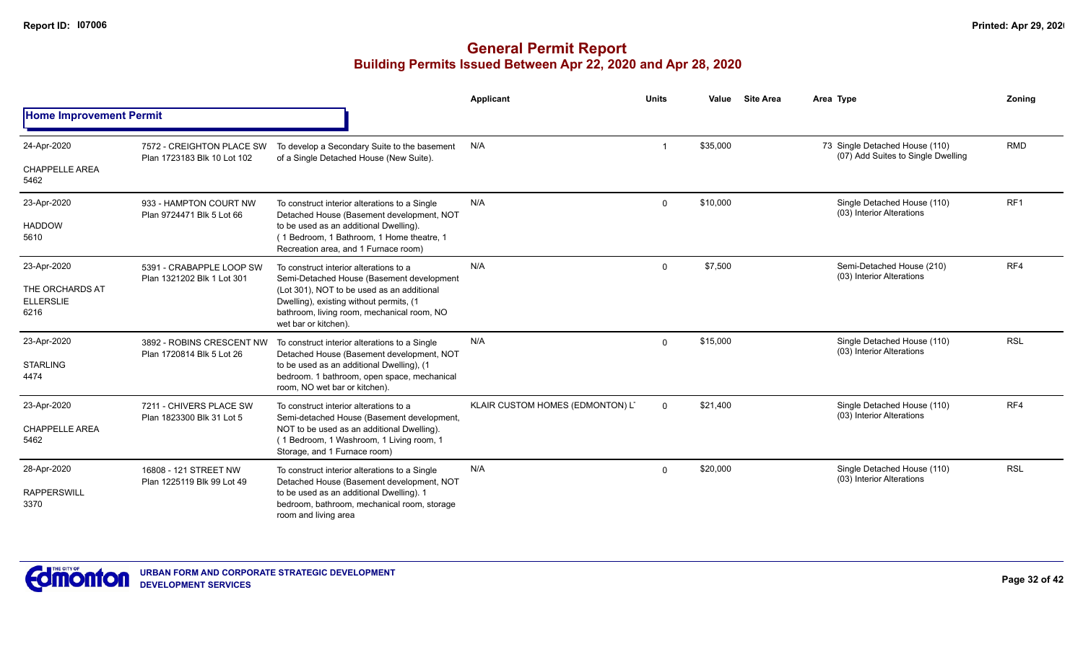|                                                    |                                                          |                                                                                                                                                                              | Applicant                        | <b>Units</b>   | Value    | <b>Site Area</b> | Area Type                                                            | Zoning          |
|----------------------------------------------------|----------------------------------------------------------|------------------------------------------------------------------------------------------------------------------------------------------------------------------------------|----------------------------------|----------------|----------|------------------|----------------------------------------------------------------------|-----------------|
| <b>Home Improvement Permit</b>                     |                                                          |                                                                                                                                                                              |                                  |                |          |                  |                                                                      |                 |
| 24-Apr-2020                                        | 7572 - CREIGHTON PLACE SW<br>Plan 1723183 Blk 10 Lot 102 | To develop a Secondary Suite to the basement<br>of a Single Detached House (New Suite).                                                                                      | N/A                              |                | \$35,000 |                  | 73 Single Detached House (110)<br>(07) Add Suites to Single Dwelling | <b>RMD</b>      |
| <b>CHAPPELLE AREA</b><br>5462                      |                                                          |                                                                                                                                                                              |                                  |                |          |                  |                                                                      |                 |
| 23-Apr-2020                                        | 933 - HAMPTON COURT NW<br>Plan 9724471 Blk 5 Lot 66      | To construct interior alterations to a Single<br>Detached House (Basement development, NOT                                                                                   | N/A                              | $\Omega$       | \$10,000 |                  | Single Detached House (110)<br>(03) Interior Alterations             | RF <sub>1</sub> |
| <b>HADDOW</b><br>5610                              | 5391 - CRABAPPLE LOOP SW                                 | to be used as an additional Dwelling).<br>(1 Bedroom, 1 Bathroom, 1 Home theatre, 1<br>Recreation area, and 1 Furnace room)                                                  |                                  |                |          |                  |                                                                      |                 |
| 23-Apr-2020<br>THE ORCHARDS AT<br><b>ELLERSLIE</b> | Plan 1321202 Blk 1 Lot 301                               | To construct interior alterations to a<br>Semi-Detached House (Basement development<br>(Lot 301), NOT to be used as an additional<br>Dwelling), existing without permits, (1 | N/A                              | $\mathbf 0$    | \$7,500  |                  | Semi-Detached House (210)<br>(03) Interior Alterations               | RF4             |
| 6216                                               |                                                          | bathroom, living room, mechanical room, NO<br>wet bar or kitchen).                                                                                                           |                                  |                |          |                  |                                                                      |                 |
| 23-Apr-2020                                        | 3892 - ROBINS CRESCENT NW<br>Plan 1720814 Blk 5 Lot 26   | To construct interior alterations to a Single<br>Detached House (Basement development, NOT                                                                                   | N/A                              | $\Omega$       | \$15,000 |                  | Single Detached House (110)<br>(03) Interior Alterations             | <b>RSL</b>      |
| <b>STARLING</b><br>4474                            |                                                          | to be used as an additional Dwelling), (1<br>bedroom. 1 bathroom, open space, mechanical<br>room, NO wet bar or kitchen).                                                    |                                  |                |          |                  |                                                                      |                 |
| 23-Apr-2020                                        | 7211 - CHIVERS PLACE SW                                  | To construct interior alterations to a<br>Semi-detached House (Basement development,                                                                                         | KLAIR CUSTOM HOMES (EDMONTON) LT | $\overline{0}$ | \$21,400 |                  | Single Detached House (110)<br>(03) Interior Alterations             | RF4             |
| <b>CHAPPELLE AREA</b><br>5462                      | Plan 1823300 Blk 31 Lot 5                                | NOT to be used as an additional Dwelling).<br>(1 Bedroom, 1 Washroom, 1 Living room, 1<br>Storage, and 1 Furnace room)                                                       |                                  |                |          |                  |                                                                      |                 |
| 28-Apr-2020                                        | 16808 - 121 STREET NW<br>Plan 1225119 Blk 99 Lot 49      | To construct interior alterations to a Single<br>Detached House (Basement development, NOT                                                                                   | N/A                              | $\Omega$       | \$20,000 |                  | Single Detached House (110)<br>(03) Interior Alterations             | <b>RSL</b>      |
| <b>RAPPERSWILL</b><br>3370                         |                                                          | to be used as an additional Dwelling). 1<br>bedroom, bathroom, mechanical room, storage<br>room and living area                                                              |                                  |                |          |                  |                                                                      |                 |

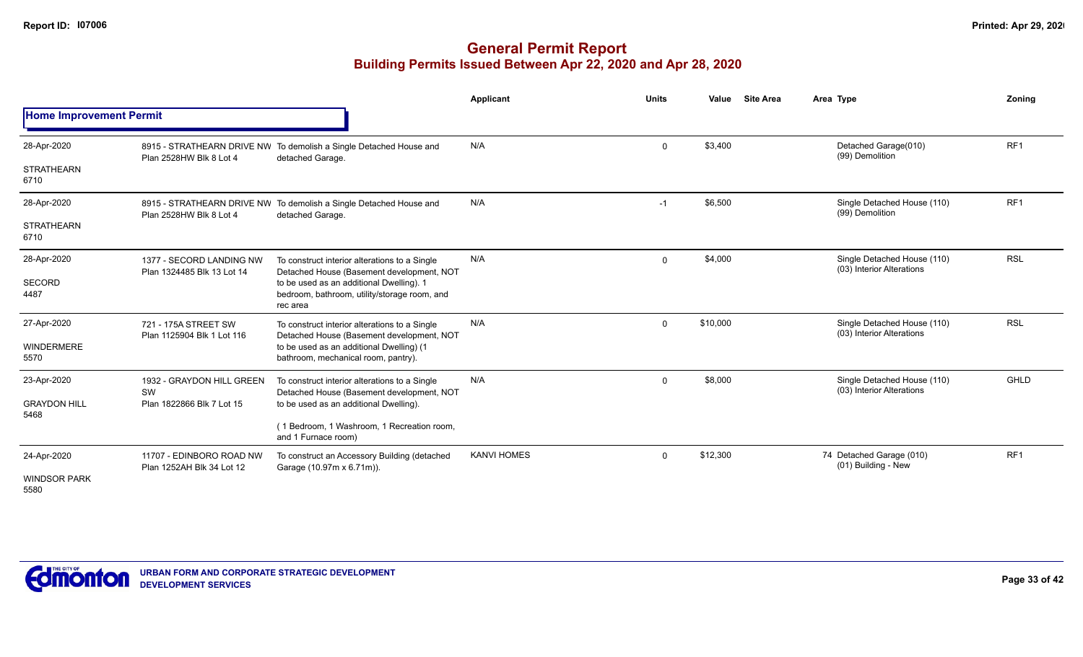|                                |                                                       |                                                                                                      | Applicant          | <b>Units</b> | Value    | <b>Site Area</b> | Area Type                                                | Zoning          |
|--------------------------------|-------------------------------------------------------|------------------------------------------------------------------------------------------------------|--------------------|--------------|----------|------------------|----------------------------------------------------------|-----------------|
| <b>Home Improvement Permit</b> |                                                       |                                                                                                      |                    |              |          |                  |                                                          |                 |
| 28-Apr-2020                    | Plan 2528HW Blk 8 Lot 4                               | 8915 - STRATHEARN DRIVE NW To demolish a Single Detached House and<br>detached Garage.               | N/A                | $\mathbf 0$  | \$3,400  |                  | Detached Garage(010)<br>(99) Demolition                  | RF <sub>1</sub> |
| <b>STRATHEARN</b><br>6710      |                                                       |                                                                                                      |                    |              |          |                  |                                                          |                 |
| 28-Apr-2020                    | Plan 2528HW Blk 8 Lot 4                               | 8915 - STRATHEARN DRIVE NW To demolish a Single Detached House and<br>detached Garage.               | N/A                | $-1$         | \$6,500  |                  | Single Detached House (110)<br>(99) Demolition           | RF <sub>1</sub> |
| <b>STRATHEARN</b><br>6710      |                                                       |                                                                                                      |                    |              |          |                  |                                                          |                 |
| 28-Apr-2020                    | 1377 - SECORD LANDING NW                              | To construct interior alterations to a Single<br>Detached House (Basement development, NOT           | N/A                | $\mathbf 0$  | \$4,000  |                  | Single Detached House (110)<br>(03) Interior Alterations | <b>RSL</b>      |
| SECORD<br>4487                 | Plan 1324485 Blk 13 Lot 14                            | to be used as an additional Dwelling). 1<br>bedroom, bathroom, utility/storage room, and<br>rec area |                    |              |          |                  |                                                          |                 |
| 27-Apr-2020                    | 721 - 175A STREET SW<br>Plan 1125904 Blk 1 Lot 116    | To construct interior alterations to a Single<br>Detached House (Basement development, NOT           | N/A                | $\mathbf 0$  | \$10,000 |                  | Single Detached House (110)<br>(03) Interior Alterations | <b>RSL</b>      |
| <b>WINDERMERE</b><br>5570      |                                                       | to be used as an additional Dwelling) (1<br>bathroom, mechanical room, pantry).                      |                    |              |          |                  |                                                          |                 |
| 23-Apr-2020                    | 1932 - GRAYDON HILL GREEN<br>SW                       | To construct interior alterations to a Single<br>Detached House (Basement development, NOT           | N/A                | $\Omega$     | \$8,000  |                  | Single Detached House (110)<br>(03) Interior Alterations | GHLD            |
| <b>GRAYDON HILL</b><br>5468    | Plan 1822866 Blk 7 Lot 15                             | to be used as an additional Dwelling).                                                               |                    |              |          |                  |                                                          |                 |
|                                |                                                       | (1 Bedroom, 1 Washroom, 1 Recreation room,<br>and 1 Furnace room)                                    |                    |              |          |                  |                                                          |                 |
| 24-Apr-2020                    | 11707 - EDINBORO ROAD NW<br>Plan 1252AH Blk 34 Lot 12 | To construct an Accessory Building (detached<br>Garage (10.97m x 6.71m)).                            | <b>KANVI HOMES</b> | $\Omega$     | \$12,300 |                  | 74 Detached Garage (010)<br>(01) Building - New          | RF <sub>1</sub> |
| <b>WINDSOR PARK</b><br>5580    |                                                       |                                                                                                      |                    |              |          |                  |                                                          |                 |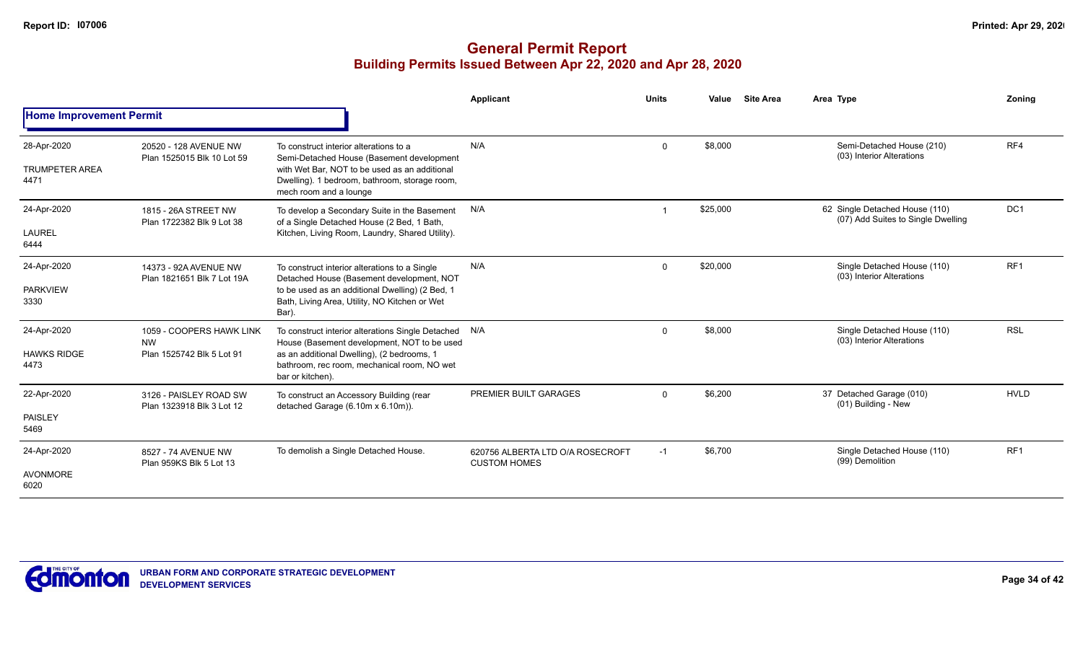|                                              |                                                                    |                                                                                                                                                                                                                       | <b>Applicant</b>                                        | <b>Units</b> | Value    | <b>Site Area</b> | Area Type                                                            | Zonina          |
|----------------------------------------------|--------------------------------------------------------------------|-----------------------------------------------------------------------------------------------------------------------------------------------------------------------------------------------------------------------|---------------------------------------------------------|--------------|----------|------------------|----------------------------------------------------------------------|-----------------|
| <b>Home Improvement Permit</b>               |                                                                    |                                                                                                                                                                                                                       |                                                         |              |          |                  |                                                                      |                 |
| 28-Apr-2020<br><b>TRUMPETER AREA</b><br>4471 | 20520 - 128 AVENUE NW<br>Plan 1525015 Blk 10 Lot 59                | To construct interior alterations to a<br>Semi-Detached House (Basement development<br>with Wet Bar. NOT to be used as an additional<br>Dwelling). 1 bedroom, bathroom, storage room,<br>mech room and a lounge       | N/A                                                     | $\mathbf 0$  | \$8,000  |                  | Semi-Detached House (210)<br>(03) Interior Alterations               | RF4             |
| 24-Apr-2020<br>LAUREL<br>6444                | 1815 - 26A STREET NW<br>Plan 1722382 Blk 9 Lot 38                  | To develop a Secondary Suite in the Basement<br>of a Single Detached House (2 Bed, 1 Bath,<br>Kitchen, Living Room, Laundry, Shared Utility).                                                                         | N/A                                                     |              | \$25,000 |                  | 62 Single Detached House (110)<br>(07) Add Suites to Single Dwelling | DC <sub>1</sub> |
| 24-Apr-2020<br><b>PARKVIEW</b><br>3330       | 14373 - 92A AVENUE NW<br>Plan 1821651 Blk 7 Lot 19A                | To construct interior alterations to a Single<br>Detached House (Basement development, NOT<br>to be used as an additional Dwelling) (2 Bed, 1<br>Bath, Living Area, Utility, NO Kitchen or Wet<br>Bar).               | N/A                                                     | $\mathbf 0$  | \$20,000 |                  | Single Detached House (110)<br>(03) Interior Alterations             | RF <sub>1</sub> |
| 24-Apr-2020<br><b>HAWKS RIDGE</b><br>4473    | 1059 - COOPERS HAWK LINK<br><b>NW</b><br>Plan 1525742 Blk 5 Lot 91 | To construct interior alterations Single Detached N/A<br>House (Basement development, NOT to be used<br>as an additional Dwelling), (2 bedrooms, 1<br>bathroom, rec room, mechanical room, NO wet<br>bar or kitchen). |                                                         | $\mathbf 0$  | \$8,000  |                  | Single Detached House (110)<br>(03) Interior Alterations             | <b>RSL</b>      |
| 22-Apr-2020<br>PAISLEY<br>5469               | 3126 - PAISLEY ROAD SW<br>Plan 1323918 Blk 3 Lot 12                | To construct an Accessory Building (rear<br>detached Garage (6.10m x 6.10m)).                                                                                                                                         | PREMIER BUILT GARAGES                                   | $\mathbf 0$  | \$6,200  |                  | 37 Detached Garage (010)<br>(01) Building - New                      | <b>HVLD</b>     |
| 24-Apr-2020<br><b>AVONMORE</b><br>6020       | 8527 - 74 AVENUE NW<br>Plan 959KS Blk 5 Lot 13                     | To demolish a Single Detached House.                                                                                                                                                                                  | 620756 ALBERTA LTD O/A ROSECROFT<br><b>CUSTOM HOMES</b> | $-1$         | \$6,700  |                  | Single Detached House (110)<br>(99) Demolition                       | RF <sub>1</sub> |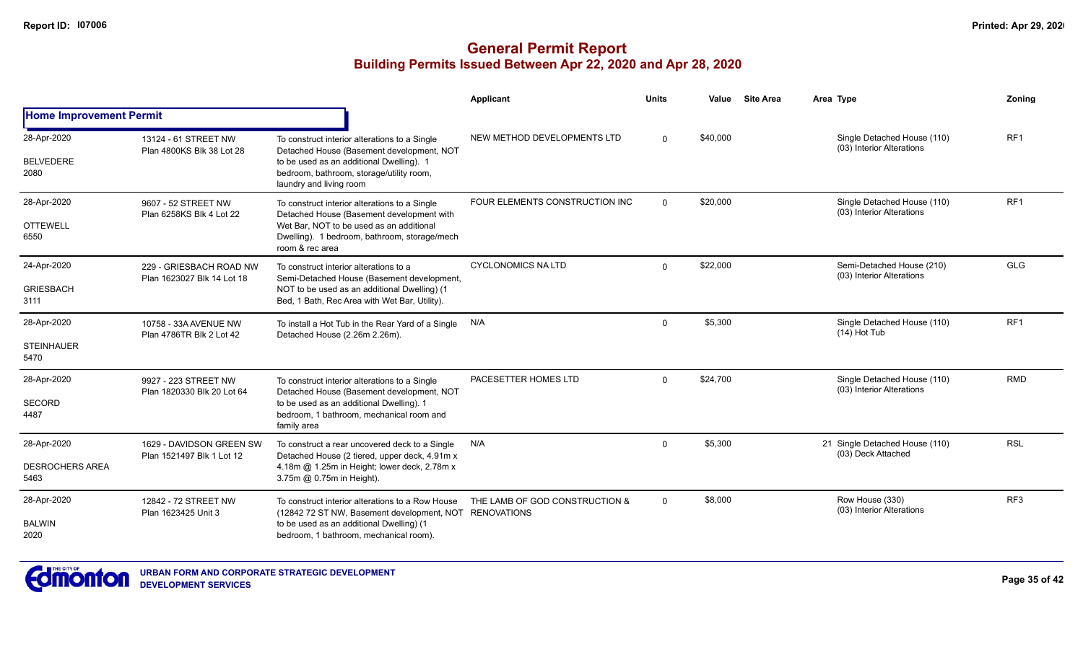|                                 |                                                    |                                                                                                                                        | <b>Applicant</b>               | <b>Units</b>         | Value    | <b>Site Area</b>                             | Area Type                                                | <b>Zoning</b>   |
|---------------------------------|----------------------------------------------------|----------------------------------------------------------------------------------------------------------------------------------------|--------------------------------|----------------------|----------|----------------------------------------------|----------------------------------------------------------|-----------------|
| <b>Home Improvement Permit</b>  |                                                    |                                                                                                                                        |                                |                      |          |                                              |                                                          |                 |
| 28-Apr-2020<br><b>BELVEDERE</b> | 13124 - 61 STREET NW<br>Plan 4800KS Blk 38 Lot 28  | To construct interior alterations to a Single<br>Detached House (Basement development, NOT<br>to be used as an additional Dwelling). 1 | NEW METHOD DEVELOPMENTS LTD    | $\Omega$             | \$40,000 |                                              | Single Detached House (110)<br>(03) Interior Alterations | RF <sub>1</sub> |
| 2080                            |                                                    | bedroom, bathroom, storage/utility room,<br>laundry and living room                                                                    |                                |                      |          |                                              |                                                          |                 |
| 28-Apr-2020                     | 9607 - 52 STREET NW<br>Plan 6258KS Blk 4 Lot 22    | To construct interior alterations to a Single<br>Detached House (Basement development with                                             | FOUR ELEMENTS CONSTRUCTION INC | $\Omega$             | \$20,000 |                                              | Single Detached House (110)<br>(03) Interior Alterations | RF <sub>1</sub> |
| <b>OTTEWELL</b><br>6550         | 229 - GRIESBACH ROAD NW                            | Wet Bar, NOT to be used as an additional<br>Dwelling). 1 bedroom, bathroom, storage/mech<br>room & rec area                            |                                | \$22,000<br>$\Omega$ |          |                                              |                                                          |                 |
| 24-Apr-2020                     | Plan 1623027 Blk 14 Lot 18                         | To construct interior alterations to a<br>Semi-Detached House (Basement development,                                                   | <b>CYCLONOMICS NA LTD</b>      |                      |          |                                              | Semi-Detached House (210)<br>(03) Interior Alterations   | <b>GLG</b>      |
| <b>GRIESBACH</b><br>3111        |                                                    | NOT to be used as an additional Dwelling) (1<br>Bed, 1 Bath, Rec Area with Wet Bar, Utility).                                          |                                |                      |          |                                              |                                                          |                 |
| 28-Apr-2020                     | 10758 - 33A AVENUE NW<br>Plan 4786TR Blk 2 Lot 42  | To install a Hot Tub in the Rear Yard of a Single N/A<br>Detached House (2.26m 2.26m).                                                 |                                | $\Omega$             | \$5,300  |                                              | Single Detached House (110)<br>(14) Hot Tub              | RF1             |
| <b>STEINHAUER</b><br>5470       |                                                    |                                                                                                                                        |                                |                      |          |                                              |                                                          |                 |
| 28-Apr-2020                     | 9927 - 223 STREET NW<br>Plan 1820330 Blk 20 Lot 64 | To construct interior alterations to a Single<br>Detached House (Basement development, NOT                                             | PACESETTER HOMES LTD           | $\Omega$             | \$24,700 |                                              | Single Detached House (110)<br>(03) Interior Alterations | <b>RMD</b>      |
| <b>SECORD</b><br>4487           |                                                    | to be used as an additional Dwelling). 1<br>bedroom, 1 bathroom, mechanical room and<br>family area                                    |                                |                      |          |                                              |                                                          |                 |
| 28-Apr-2020                     | 1629 - DAVIDSON GREEN SW                           | To construct a rear uncovered deck to a Single<br>Detached House (2 tiered, upper deck, 4.91m x                                        | N/A                            | $\Omega$             | \$5,300  |                                              | 21 Single Detached House (110)<br>(03) Deck Attached     | <b>RSL</b>      |
| <b>DESROCHERS AREA</b><br>5463  | Plan 1521497 Blk 1 Lot 12                          | 4.18m @ 1.25m in Height; lower deck, 2.78m x<br>3.75m @ 0.75m in Height).                                                              |                                |                      |          |                                              |                                                          |                 |
| 28-Apr-2020                     | 12842 - 72 STREET NW<br>Plan 1623425 Unit 3        | To construct interior alterations to a Row House<br>(12842 72 ST NW, Basement development, NOT RENOVATIONS                             | THE LAMB OF GOD CONSTRUCTION & | $\mathbf 0$          | \$8,000  | Row House (330)<br>(03) Interior Alterations | RF <sub>3</sub>                                          |                 |
| <b>BALWIN</b><br>2020           |                                                    | to be used as an additional Dwelling) (1<br>bedroom, 1 bathroom, mechanical room).                                                     |                                |                      |          |                                              |                                                          |                 |

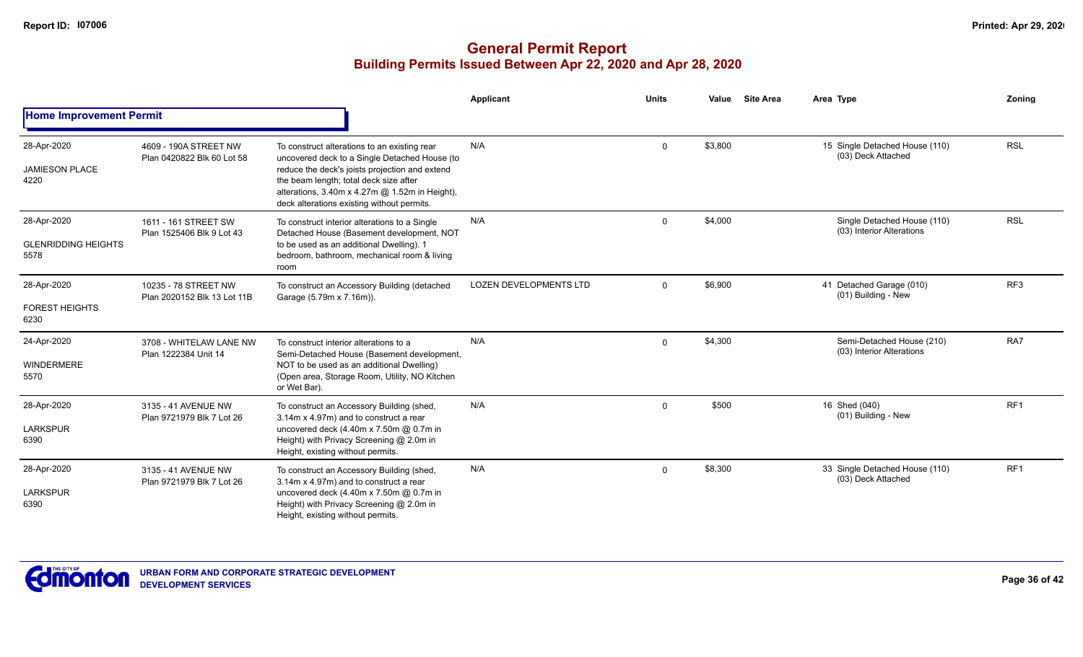|                                                   |                                                     |                                                                                                                                                                                                                                                                                           | Applicant                     | <b>Units</b> | Value   | <b>Site Area</b> | Area Type                                                | <b>Zoning</b>   |
|---------------------------------------------------|-----------------------------------------------------|-------------------------------------------------------------------------------------------------------------------------------------------------------------------------------------------------------------------------------------------------------------------------------------------|-------------------------------|--------------|---------|------------------|----------------------------------------------------------|-----------------|
| <b>Home Improvement Permit</b>                    |                                                     |                                                                                                                                                                                                                                                                                           |                               |              |         |                  |                                                          |                 |
| 28-Apr-2020<br><b>JAMIESON PLACE</b><br>4220      | 4609 - 190A STREET NW<br>Plan 0420822 Blk 60 Lot 58 | To construct alterations to an existing rear<br>uncovered deck to a Single Detached House (to<br>reduce the deck's joists projection and extend<br>the beam length; total deck size after<br>alterations, 3.40m x 4.27m @ 1.52m in Height),<br>deck alterations existing without permits. | N/A                           | $\Omega$     | \$3,800 |                  | 15 Single Detached House (110)<br>(03) Deck Attached     | <b>RSL</b>      |
| 28-Apr-2020<br><b>GLENRIDDING HEIGHTS</b><br>5578 | 1611 - 161 STREET SW<br>Plan 1525406 Blk 9 Lot 43   | To construct interior alterations to a Single<br>Detached House (Basement development, NOT<br>to be used as an additional Dwelling). 1<br>bedroom, bathroom, mechanical room & living<br>room                                                                                             | N/A                           | $\mathbf 0$  | \$4,000 |                  | Single Detached House (110)<br>(03) Interior Alterations | <b>RSL</b>      |
| 28-Apr-2020<br><b>FOREST HEIGHTS</b><br>6230      | 10235 - 78 STREET NW<br>Plan 2020152 Blk 13 Lot 11B | To construct an Accessory Building (detached<br>Garage (5.79m x 7.16m)).                                                                                                                                                                                                                  | <b>LOZEN DEVELOPMENTS LTD</b> | $\mathbf 0$  | \$6,900 |                  | 41 Detached Garage (010)<br>(01) Building - New          | RF <sub>3</sub> |
| 24-Apr-2020<br>WINDERMERE<br>5570                 | 3708 - WHITELAW LANE NW<br>Plan 1222384 Unit 14     | To construct interior alterations to a<br>Semi-Detached House (Basement development,<br>NOT to be used as an additional Dwelling)<br>(Open area, Storage Room, Utility, NO Kitchen<br>or Wet Bar).                                                                                        | N/A                           | $\Omega$     | \$4,300 |                  | Semi-Detached House (210)<br>(03) Interior Alterations   | RA7             |
| 28-Apr-2020<br><b>LARKSPUR</b><br>6390            | 3135 - 41 AVENUE NW<br>Plan 9721979 Blk 7 Lot 26    | To construct an Accessory Building (shed,<br>3.14m x 4.97m) and to construct a rear<br>uncovered deck (4.40m x 7.50m @ 0.7m in<br>Height) with Privacy Screening @ 2.0m in<br>Height, existing without permits.                                                                           | N/A                           | 0            | \$500   |                  | 16 Shed (040)<br>(01) Building - New                     | RF1             |
| 28-Apr-2020<br><b>LARKSPUR</b><br>6390            | 3135 - 41 AVENUE NW<br>Plan 9721979 Blk 7 Lot 26    | To construct an Accessory Building (shed,<br>3.14m x 4.97m) and to construct a rear<br>uncovered deck (4.40m x 7.50m @ 0.7m in<br>Height) with Privacy Screening @ 2.0m in<br>Height, existing without permits.                                                                           | N/A                           | 0            | \$8,300 |                  | 33 Single Detached House (110)<br>(03) Deck Attached     | RF <sub>1</sub> |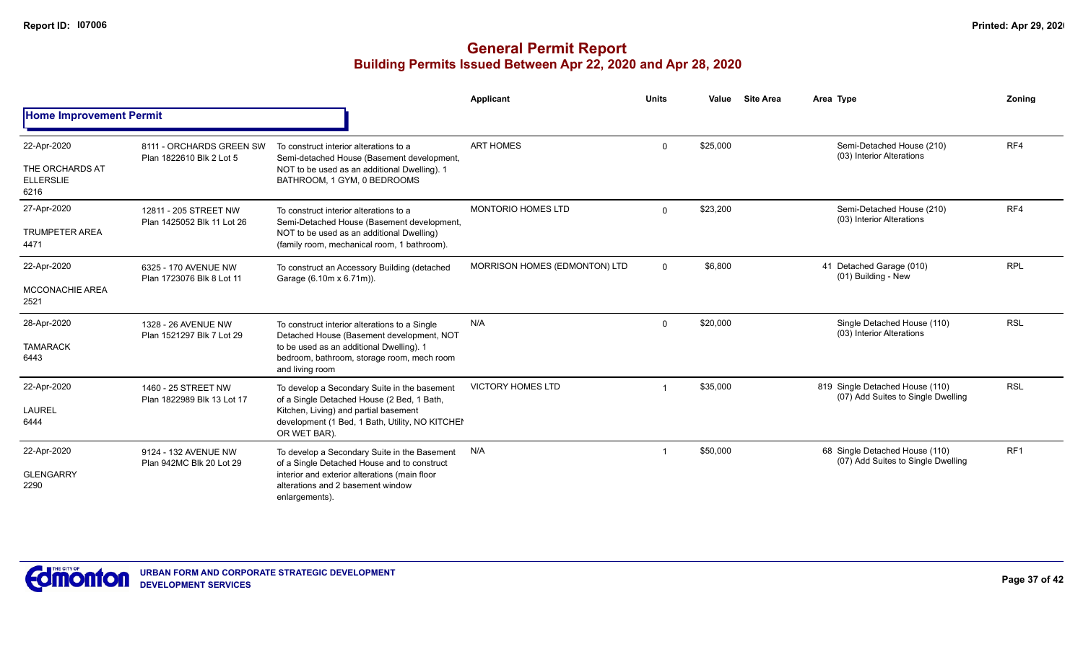|                                                            |                                                      |                                                                                                                                                                                                         | Applicant                     | <b>Units</b> | Value    | <b>Site Area</b> | Area Type                                                             | Zoning          |
|------------------------------------------------------------|------------------------------------------------------|---------------------------------------------------------------------------------------------------------------------------------------------------------------------------------------------------------|-------------------------------|--------------|----------|------------------|-----------------------------------------------------------------------|-----------------|
| <b>Home Improvement Permit</b>                             |                                                      |                                                                                                                                                                                                         |                               |              |          |                  |                                                                       |                 |
| 22-Apr-2020<br>THE ORCHARDS AT<br><b>ELLERSLIE</b><br>6216 | 8111 - ORCHARDS GREEN SW<br>Plan 1822610 Blk 2 Lot 5 | To construct interior alterations to a<br>Semi-detached House (Basement development,<br>NOT to be used as an additional Dwelling). 1<br>BATHROOM, 1 GYM, 0 BEDROOMS                                     | <b>ART HOMES</b>              | $\Omega$     | \$25,000 |                  | Semi-Detached House (210)<br>(03) Interior Alterations                | RF4             |
| 27-Apr-2020<br><b>TRUMPETER AREA</b><br>4471               | 12811 - 205 STREET NW<br>Plan 1425052 Blk 11 Lot 26  | To construct interior alterations to a<br>Semi-Detached House (Basement development,<br>NOT to be used as an additional Dwelling)<br>(family room, mechanical room, 1 bathroom).                        | <b>MONTORIO HOMES LTD</b>     | $\Omega$     | \$23,200 |                  | Semi-Detached House (210)<br>(03) Interior Alterations                | RF4             |
| 22-Apr-2020<br>MCCONACHIE AREA<br>2521                     | 6325 - 170 AVENUE NW<br>Plan 1723076 Blk 8 Lot 11    | To construct an Accessory Building (detached<br>Garage (6.10m x 6.71m)).                                                                                                                                | MORRISON HOMES (EDMONTON) LTD | $\mathbf{0}$ | \$6,800  |                  | 41 Detached Garage (010)<br>(01) Building - New                       | <b>RPL</b>      |
| 28-Apr-2020<br><b>TAMARACK</b><br>6443                     | 1328 - 26 AVENUE NW<br>Plan 1521297 Blk 7 Lot 29     | To construct interior alterations to a Single<br>Detached House (Basement development, NOT<br>to be used as an additional Dwelling). 1<br>bedroom, bathroom, storage room, mech room<br>and living room | N/A                           | $\mathbf 0$  | \$20,000 |                  | Single Detached House (110)<br>(03) Interior Alterations              | <b>RSL</b>      |
| 22-Apr-2020<br><b>LAUREL</b><br>6444                       | 1460 - 25 STREET NW<br>Plan 1822989 Blk 13 Lot 17    | To develop a Secondary Suite in the basement<br>of a Single Detached House (2 Bed, 1 Bath,<br>Kitchen, Living) and partial basement<br>development (1 Bed, 1 Bath, Utility, NO KITCHEI<br>OR WET BAR).  | <b>VICTORY HOMES LTD</b>      |              | \$35,000 |                  | 819 Single Detached House (110)<br>(07) Add Suites to Single Dwelling | <b>RSL</b>      |
| 22-Apr-2020<br><b>GLENGARRY</b><br>2290                    | 9124 - 132 AVENUE NW<br>Plan 942MC Blk 20 Lot 29     | To develop a Secondary Suite in the Basement<br>of a Single Detached House and to construct<br>interior and exterior alterations (main floor<br>alterations and 2 basement window<br>enlargements).     | N/A                           |              | \$50,000 |                  | 68 Single Detached House (110)<br>(07) Add Suites to Single Dwelling  | RF <sub>1</sub> |

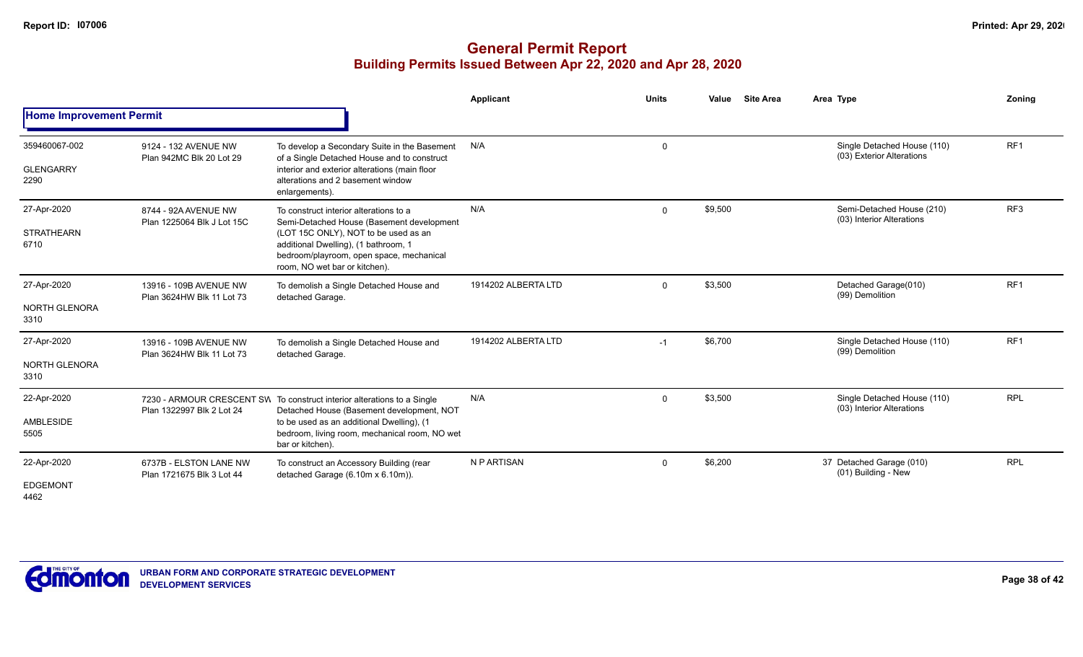|                                          |                                                     |                                                                                                                                                                                                                                                  | <b>Applicant</b>    | <b>Units</b> | <b>Site Area</b><br>Value | Area Type                                                | Zoning          |
|------------------------------------------|-----------------------------------------------------|--------------------------------------------------------------------------------------------------------------------------------------------------------------------------------------------------------------------------------------------------|---------------------|--------------|---------------------------|----------------------------------------------------------|-----------------|
| <b>Home Improvement Permit</b>           |                                                     |                                                                                                                                                                                                                                                  |                     |              |                           |                                                          |                 |
| 359460067-002<br><b>GLENGARRY</b>        | 9124 - 132 AVENUE NW<br>Plan 942MC Blk 20 Lot 29    | To develop a Secondary Suite in the Basement<br>of a Single Detached House and to construct                                                                                                                                                      | N/A                 | $\mathbf 0$  |                           | Single Detached House (110)<br>(03) Exterior Alterations | RF <sub>1</sub> |
| 2290                                     |                                                     | interior and exterior alterations (main floor<br>alterations and 2 basement window<br>enlargements).                                                                                                                                             |                     |              |                           |                                                          |                 |
| 27-Apr-2020<br><b>STRATHEARN</b><br>6710 | 8744 - 92A AVENUE NW<br>Plan 1225064 Blk J Lot 15C  | To construct interior alterations to a<br>Semi-Detached House (Basement development<br>(LOT 15C ONLY), NOT to be used as an<br>additional Dwelling), (1 bathroom, 1<br>bedroom/playroom, open space, mechanical<br>room, NO wet bar or kitchen). | N/A                 | $\mathbf{0}$ | \$9,500                   | Semi-Detached House (210)<br>(03) Interior Alterations   | RF3             |
| 27-Apr-2020<br>NORTH GLENORA<br>3310     | 13916 - 109B AVENUE NW<br>Plan 3624HW Blk 11 Lot 73 | To demolish a Single Detached House and<br>detached Garage.                                                                                                                                                                                      | 1914202 ALBERTA LTD | $\Omega$     | \$3,500                   | Detached Garage(010)<br>(99) Demolition                  | RF <sub>1</sub> |
| 27-Apr-2020<br>NORTH GLENORA<br>3310     | 13916 - 109B AVENUE NW<br>Plan 3624HW Blk 11 Lot 73 | To demolish a Single Detached House and<br>detached Garage.                                                                                                                                                                                      | 1914202 ALBERTA LTD | $-1$         | \$6,700                   | Single Detached House (110)<br>(99) Demolition           | RF <sub>1</sub> |
| 22-Apr-2020<br>AMBLESIDE<br>5505         | Plan 1322997 Blk 2 Lot 24                           | 7230 - ARMOUR CRESCENT SW To construct interior alterations to a Single<br>Detached House (Basement development, NOT<br>to be used as an additional Dwelling), (1<br>bedroom, living room, mechanical room, NO wet<br>bar or kitchen).           | N/A                 | $\Omega$     | \$3,500                   | Single Detached House (110)<br>(03) Interior Alterations | <b>RPL</b>      |
| 22-Apr-2020<br><b>EDGEMONT</b><br>4462   | 6737B - ELSTON LANE NW<br>Plan 1721675 Blk 3 Lot 44 | To construct an Accessory Building (rear<br>detached Garage (6.10m x 6.10m)).                                                                                                                                                                    | N P ARTISAN         | $\Omega$     | \$6,200                   | 37 Detached Garage (010)<br>(01) Building - New          | <b>RPL</b>      |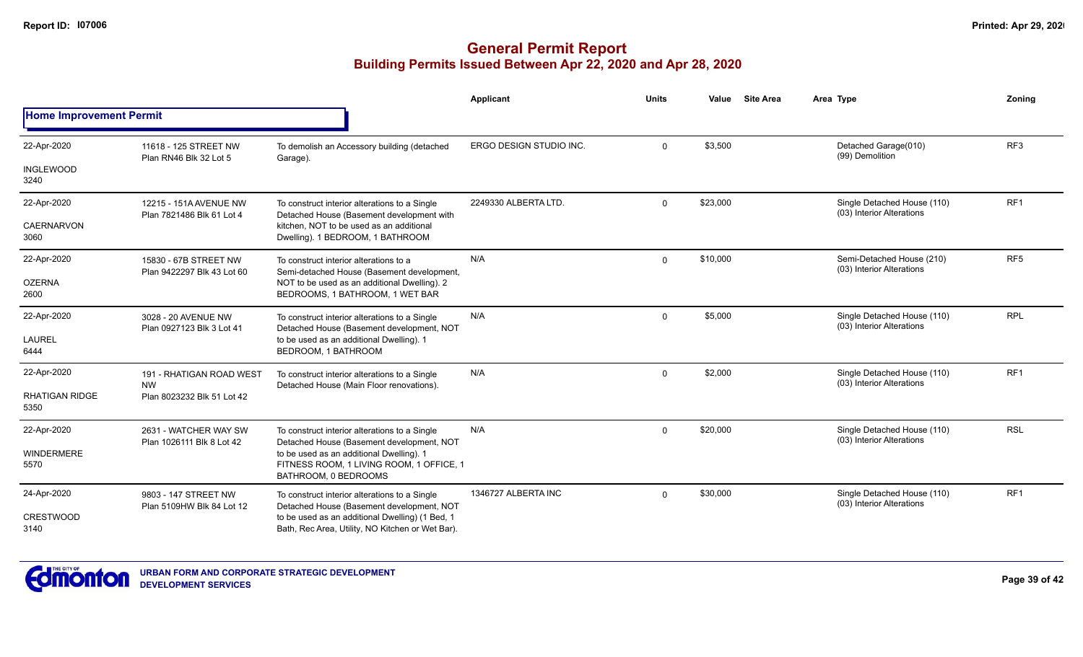|                                |                                                     |                                                                                                              | Applicant                      | <b>Units</b> | Value    | <b>Site Area</b> | Area Type                                                | Zoning          |
|--------------------------------|-----------------------------------------------------|--------------------------------------------------------------------------------------------------------------|--------------------------------|--------------|----------|------------------|----------------------------------------------------------|-----------------|
| <b>Home Improvement Permit</b> |                                                     |                                                                                                              |                                |              |          |                  |                                                          |                 |
| 22-Apr-2020                    | 11618 - 125 STREET NW<br>Plan RN46 Blk 32 Lot 5     | To demolish an Accessory building (detached<br>Garage).                                                      | <b>ERGO DESIGN STUDIO INC.</b> | $\Omega$     | \$3,500  |                  | Detached Garage(010)<br>(99) Demolition                  | RF <sub>3</sub> |
| <b>INGLEWOOD</b><br>3240       |                                                     |                                                                                                              |                                |              |          |                  |                                                          |                 |
| 22-Apr-2020                    | 12215 - 151A AVENUE NW<br>Plan 7821486 Blk 61 Lot 4 | To construct interior alterations to a Single<br>Detached House (Basement development with                   | 2249330 ALBERTA LTD.           | $\Omega$     | \$23,000 |                  | Single Detached House (110)<br>(03) Interior Alterations | RF <sub>1</sub> |
| <b>CAERNARVON</b><br>3060      |                                                     | kitchen, NOT to be used as an additional<br>Dwelling). 1 BEDROOM, 1 BATHROOM                                 |                                |              |          |                  |                                                          |                 |
| 22-Apr-2020                    | 15830 - 67B STREET NW<br>Plan 9422297 Blk 43 Lot 60 | To construct interior alterations to a<br>Semi-detached House (Basement development,                         | N/A                            | $\Omega$     | \$10,000 |                  | Semi-Detached House (210)<br>(03) Interior Alterations   | RF <sub>5</sub> |
| <b>OZERNA</b><br>2600          |                                                     | NOT to be used as an additional Dwelling). 2<br>BEDROOMS, 1 BATHROOM, 1 WET BAR                              |                                |              |          |                  |                                                          |                 |
| 22-Apr-2020                    | 3028 - 20 AVENUE NW<br>Plan 0927123 Blk 3 Lot 41    | To construct interior alterations to a Single<br>Detached House (Basement development, NOT                   | N/A                            | $\Omega$     | \$5,000  |                  | Single Detached House (110)<br>(03) Interior Alterations | <b>RPL</b>      |
| <b>LAUREL</b><br>6444          |                                                     | to be used as an additional Dwelling). 1<br>BEDROOM, 1 BATHROOM                                              |                                |              |          |                  |                                                          |                 |
| 22-Apr-2020                    | 191 - RHATIGAN ROAD WEST<br><b>NW</b>               | To construct interior alterations to a Single<br>Detached House (Main Floor renovations).                    | N/A                            | $\Omega$     | \$2,000  |                  | Single Detached House (110)<br>(03) Interior Alterations | RF <sub>1</sub> |
| <b>RHATIGAN RIDGE</b><br>5350  | Plan 8023232 Blk 51 Lot 42                          |                                                                                                              |                                |              |          |                  |                                                          |                 |
| 22-Apr-2020                    | 2631 - WATCHER WAY SW<br>Plan 1026111 Blk 8 Lot 42  | To construct interior alterations to a Single<br>Detached House (Basement development, NOT                   | N/A                            | $\mathbf 0$  | \$20,000 |                  | Single Detached House (110)<br>(03) Interior Alterations | <b>RSL</b>      |
| <b>WINDERMERE</b><br>5570      |                                                     | to be used as an additional Dwelling). 1<br>FITNESS ROOM, 1 LIVING ROOM, 1 OFFICE, 1<br>BATHROOM, 0 BEDROOMS |                                |              |          |                  |                                                          |                 |
| 24-Apr-2020                    | 9803 - 147 STREET NW<br>Plan 5109HW Blk 84 Lot 12   | To construct interior alterations to a Single<br>Detached House (Basement development, NOT                   | 1346727 ALBERTA INC            | $\Omega$     | \$30,000 |                  | Single Detached House (110)<br>(03) Interior Alterations | RF1             |
| <b>CRESTWOOD</b><br>3140       |                                                     | to be used as an additional Dwelling) (1 Bed, 1<br>Bath, Rec Area, Utility, NO Kitchen or Wet Bar).          |                                |              |          |                  |                                                          |                 |

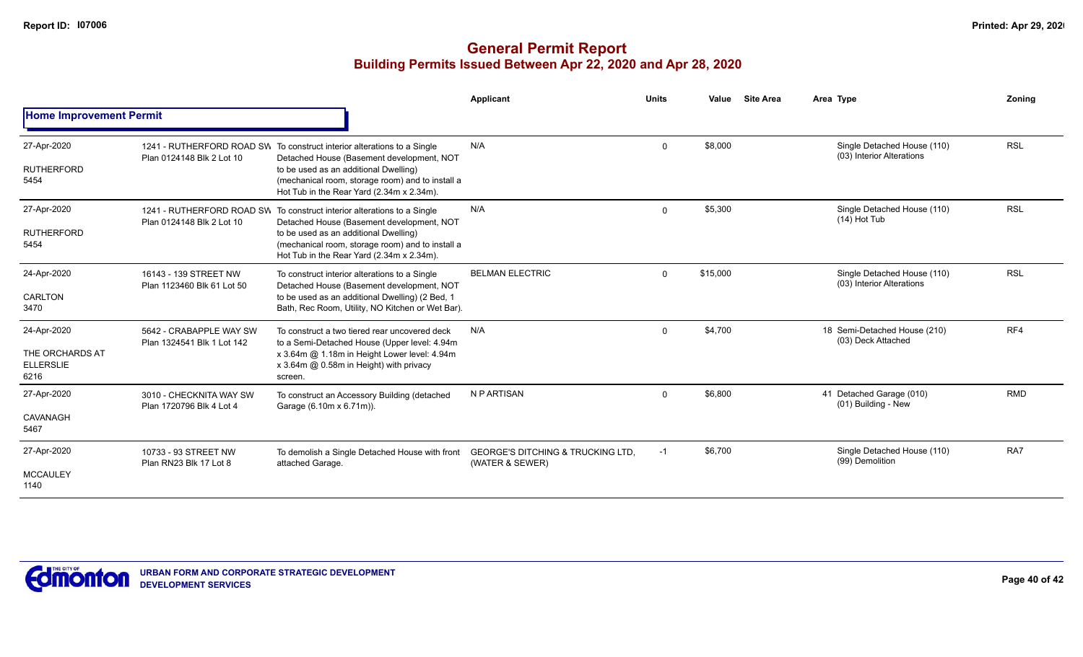|                                             |                                                        |                                                                                                                                        | <b>Applicant</b>                                                | <b>Units</b> | Value    | <b>Site Area</b> | Area Type                                                | Zoning     |  |
|---------------------------------------------|--------------------------------------------------------|----------------------------------------------------------------------------------------------------------------------------------------|-----------------------------------------------------------------|--------------|----------|------------------|----------------------------------------------------------|------------|--|
| <b>Home Improvement Permit</b>              |                                                        |                                                                                                                                        |                                                                 |              |          |                  |                                                          |            |  |
| 27-Apr-2020                                 | Plan 0124148 Blk 2 Lot 10                              | 1241 - RUTHERFORD ROAD SW To construct interior alterations to a Single<br>Detached House (Basement development, NOT                   | N/A                                                             | $\Omega$     | \$8,000  |                  | Single Detached House (110)<br>(03) Interior Alterations | <b>RSL</b> |  |
| <b>RUTHERFORD</b><br>5454                   |                                                        | to be used as an additional Dwelling)<br>(mechanical room, storage room) and to install a<br>Hot Tub in the Rear Yard (2.34m x 2.34m). |                                                                 |              |          |                  |                                                          |            |  |
| 27-Apr-2020                                 | 1241 - RUTHERFORD ROAD SW<br>Plan 0124148 Blk 2 Lot 10 | To construct interior alterations to a Single<br>Detached House (Basement development, NOT                                             | N/A                                                             | $\mathbf{0}$ | \$5,300  |                  | Single Detached House (110)<br>$(14)$ Hot Tub            | <b>RSL</b> |  |
| <b>RUTHERFORD</b><br>5454                   |                                                        | to be used as an additional Dwelling)<br>(mechanical room, storage room) and to install a<br>Hot Tub in the Rear Yard (2.34m x 2.34m). |                                                                 |              |          |                  |                                                          |            |  |
| 24-Apr-2020                                 | 16143 - 139 STREET NW<br>Plan 1123460 Blk 61 Lot 50    | To construct interior alterations to a Single<br>Detached House (Basement development, NOT                                             | <b>BELMAN ELECTRIC</b>                                          | $\Omega$     | \$15,000 |                  | Single Detached House (110)<br>(03) Interior Alterations | <b>RSL</b> |  |
| CARLTON<br>3470                             |                                                        | to be used as an additional Dwelling) (2 Bed, 1<br>Bath, Rec Room, Utility, NO Kitchen or Wet Bar).                                    |                                                                 |              |          |                  |                                                          |            |  |
| 24-Apr-2020                                 | 5642 - CRABAPPLE WAY SW<br>Plan 1324541 Blk 1 Lot 142  | To construct a two tiered rear uncovered deck<br>to a Semi-Detached House (Upper level: 4.94m)                                         | N/A                                                             | $\mathbf{0}$ | \$4,700  |                  | 18 Semi-Detached House (210)<br>(03) Deck Attached       | RF4        |  |
| THE ORCHARDS AT<br><b>ELLERSLIE</b><br>6216 |                                                        | x 3.64m @ 1.18m in Height Lower level: 4.94m<br>x 3.64m @ 0.58m in Height) with privacy<br>screen.                                     |                                                                 |              |          |                  |                                                          |            |  |
| 27-Apr-2020                                 | 3010 - CHECKNITA WAY SW<br>Plan 1720796 Blk 4 Lot 4    | To construct an Accessory Building (detached<br>Garage (6.10m x 6.71m)).                                                               | N P ARTISAN                                                     | $\Omega$     | \$6,800  |                  | 41 Detached Garage (010)<br>(01) Building - New          | <b>RMD</b> |  |
| CAVANAGH<br>5467                            |                                                        |                                                                                                                                        |                                                                 |              |          |                  |                                                          |            |  |
| 27-Apr-2020                                 | 10733 - 93 STREET NW<br>Plan RN23 Blk 17 Lot 8         | To demolish a Single Detached House with front<br>attached Garage.                                                                     | <b>GEORGE'S DITCHING &amp; TRUCKING LTD.</b><br>(WATER & SEWER) | $-1$         | \$6,700  |                  | Single Detached House (110)<br>(99) Demolition           | RA7        |  |
| <b>MCCAULEY</b><br>1140                     |                                                        |                                                                                                                                        |                                                                 |              |          |                  |                                                          |            |  |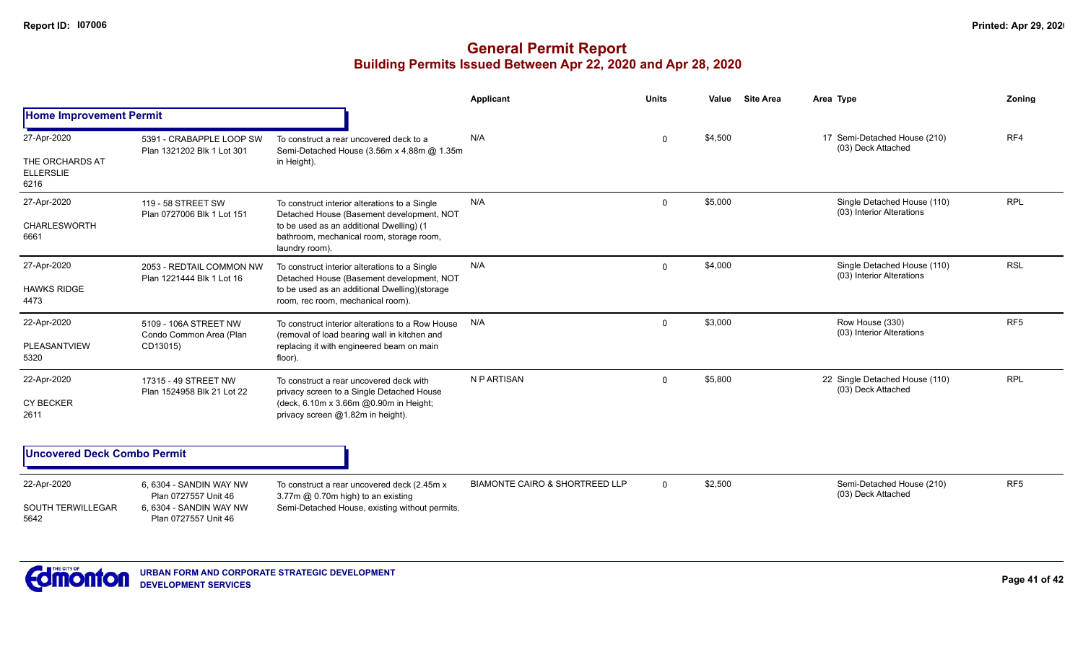## **General Permit Report Building Permits Issued Between Apr 22, 2020 and Apr 28, 2020**

|                                                            |                                                                                                   |                                                                                                                                                                                                      | <b>Applicant</b>                          | <b>Units</b> | Value   | <b>Site Area</b> | Area Type                                                | Zoning          |
|------------------------------------------------------------|---------------------------------------------------------------------------------------------------|------------------------------------------------------------------------------------------------------------------------------------------------------------------------------------------------------|-------------------------------------------|--------------|---------|------------------|----------------------------------------------------------|-----------------|
| <b>Home Improvement Permit</b>                             |                                                                                                   |                                                                                                                                                                                                      |                                           |              |         |                  |                                                          |                 |
| 27-Apr-2020<br>THE ORCHARDS AT<br><b>ELLERSLIE</b><br>6216 | 5391 - CRABAPPLE LOOP SW<br>Plan 1321202 Blk 1 Lot 301                                            | To construct a rear uncovered deck to a<br>Semi-Detached House (3.56m x 4.88m @ 1.35m<br>in Height).                                                                                                 | N/A                                       | $\Omega$     | \$4,500 |                  | 17 Semi-Detached House (210)<br>(03) Deck Attached       | RF4             |
| 27-Apr-2020<br><b>CHARLESWORTH</b><br>6661                 | 119 - 58 STREET SW<br>Plan 0727006 Blk 1 Lot 151                                                  | To construct interior alterations to a Single<br>Detached House (Basement development, NOT<br>to be used as an additional Dwelling) (1<br>bathroom, mechanical room, storage room,<br>laundry room). | N/A                                       | 0            | \$5,000 |                  | Single Detached House (110)<br>(03) Interior Alterations | <b>RPL</b>      |
| 27-Apr-2020<br><b>HAWKS RIDGE</b><br>4473                  | 2053 - REDTAIL COMMON NW<br>Plan 1221444 Blk 1 Lot 16                                             | To construct interior alterations to a Single<br>Detached House (Basement development, NOT<br>to be used as an additional Dwelling)(storage<br>room, rec room, mechanical room).                     | N/A                                       | $\mathbf{0}$ | \$4,000 |                  | Single Detached House (110)<br>(03) Interior Alterations | <b>RSL</b>      |
| 22-Apr-2020<br><b>PLEASANTVIEW</b><br>5320                 | 5109 - 106A STREET NW<br>Condo Common Area (Plan<br>CD13015)                                      | To construct interior alterations to a Row House<br>(removal of load bearing wall in kitchen and<br>replacing it with engineered beam on main<br>floor).                                             | N/A                                       | $\Omega$     | \$3,000 |                  | Row House (330)<br>(03) Interior Alterations             | RF <sub>5</sub> |
| 22-Apr-2020<br><b>CY BECKER</b><br>2611                    | 17315 - 49 STREET NW<br>Plan 1524958 Blk 21 Lot 22                                                | To construct a rear uncovered deck with<br>privacy screen to a Single Detached House<br>(deck, 6.10m x 3.66m @0.90m in Height;<br>privacy screen @1.82m in height).                                  | N P ARTISAN                               | $\Omega$     | \$5,800 |                  | 22 Single Detached House (110)<br>(03) Deck Attached     | <b>RPL</b>      |
| <b>Uncovered Deck Combo Permit</b>                         |                                                                                                   |                                                                                                                                                                                                      |                                           |              |         |                  |                                                          |                 |
| 22-Apr-2020<br><b>SOUTH TERWILLEGAR</b><br>5642            | 6, 6304 - SANDIN WAY NW<br>Plan 0727557 Unit 46<br>6.6304 - SANDIN WAY NW<br>Plan 0727557 Unit 46 | To construct a rear uncovered deck (2.45m x<br>3.77m @ 0.70m high) to an existing<br>Semi-Detached House, existing without permits.                                                                  | <b>BIAMONTE CAIRO &amp; SHORTREED LLP</b> | $\Omega$     | \$2,500 |                  | Semi-Detached House (210)<br>(03) Deck Attached          | RF <sub>5</sub> |

**URBAN FORM AND CORPORATE STRATEGIC DEVELOPMENT DEVELOPMENT SERVICES**